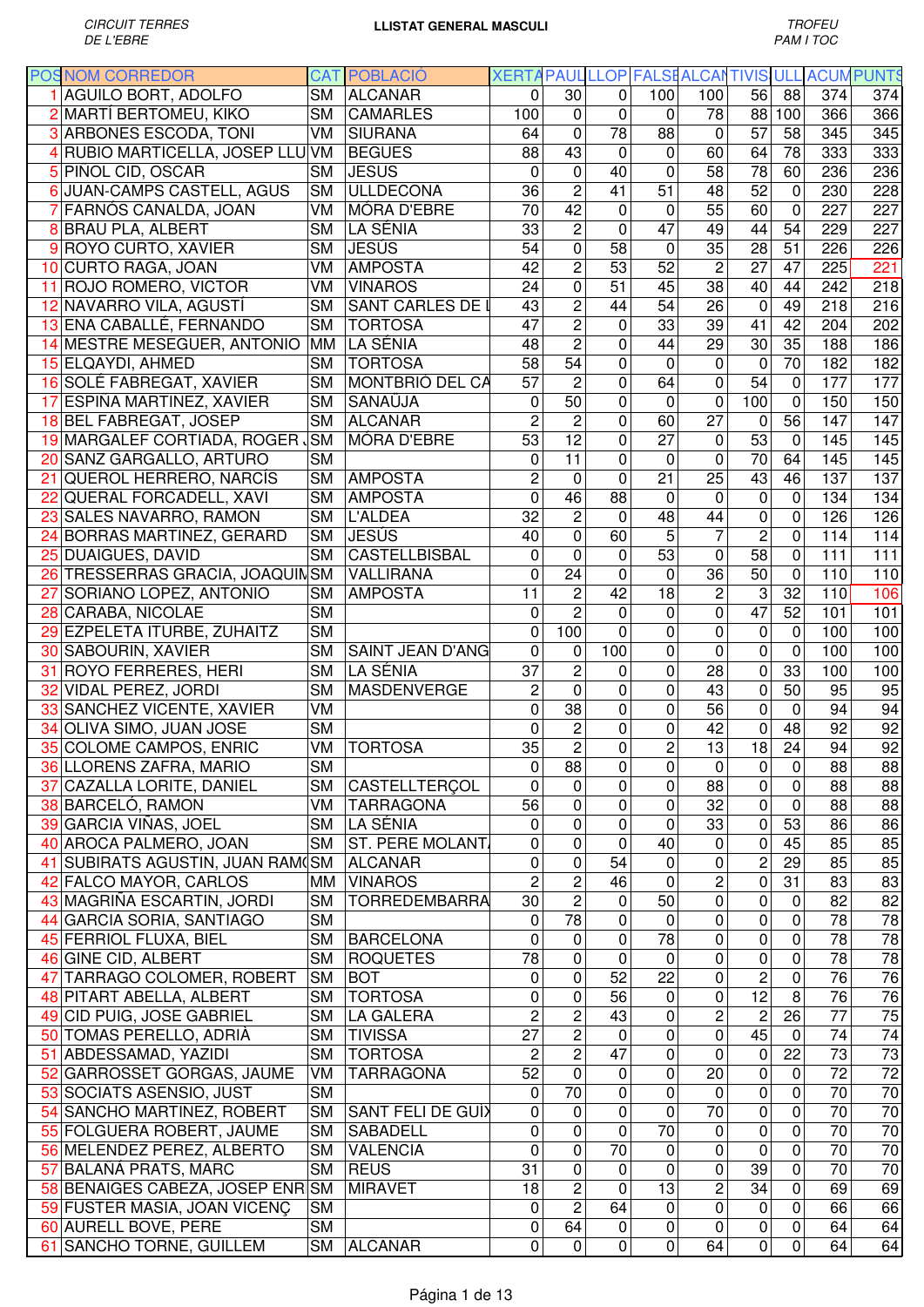|    | <b>POSNOM CORREDOR</b>            |                        | <b>CAT POBLACIÓ</b>     | XERTA PAUL LLOP FALSE ALCANTIVIS ULL ACUM PUNTS |                 |                 |                 |                 |                 |                          |                 |                  |
|----|-----------------------------------|------------------------|-------------------------|-------------------------------------------------|-----------------|-----------------|-----------------|-----------------|-----------------|--------------------------|-----------------|------------------|
|    | 1 AGUILO BORT, ADOLFO             | <b>SM</b>              | <b>ALCANAR</b>          | 0                                               | 30              | 0               | 100             | 100             | 56              | 88                       | 374             | 374              |
|    | 2 MARTÍ BERTOMEU, KIKO            | <b>SM</b>              | <b>CAMARLES</b>         | 100                                             | $\mathbf 0$     | $\mathbf 0$     | 0               | 78              |                 | 88 100                   | 366             | 366              |
|    | 3 ARBONES ESCODA, TONI            | VM                     | SIURANA                 | 64                                              | $\mathbf 0$     | 78              | 88              | 0               | 57              | 58                       | 345             | 345              |
|    | 4 RUBIO MARTICELLA, JOSEP LLU VM  |                        | <b>BEGUES</b>           | 88                                              | 43              | $\mathbf 0$     | 0               | 60              | 64              | 78                       | 333             | 333              |
|    | 5 PIÑOL CID, OSCAR                | <b>SM</b>              | <b>JESUS</b>            | 0                                               | $\mathbf 0$     | 40              | $\mathbf 0$     | 58              | 78              | 60                       | 236             | 236              |
|    | JUAN-CAMPS CASTELL, AGUS          | <b>SM</b>              | <b>ULLDECONA</b>        | 36                                              | $\overline{c}$  | 41              | 51              | 48              | 52              | $\mathbf 0$              | 230             | 228              |
|    | FARNÓS CANALDA, JOAN              | VM                     | MÓRA D'EBRE             | $\overline{70}$                                 | $\overline{42}$ | $\mathbf 0$     | 0               | 55              | 60              | $\mathbf 0$              | 227             | 227              |
|    |                                   |                        |                         |                                                 |                 |                 |                 |                 |                 |                          |                 |                  |
|    | 8 BRAU PLA, ALBERT                | <b>SM</b>              | LA SÉNIA                | 33                                              | $\overline{c}$  | $\Omega$        | 47              | 49              | 44              | 54                       | 229             | 227              |
|    | 9 ROYO CURTO, XAVIER              | <b>SM</b>              | <b>JESÚS</b>            | 54                                              | 0               | 58              | 0               | 35              | 28              | 51                       | 226             | 226              |
|    | 10 CURTO RAGA, JOAN               | VM                     | <b>AMPOSTA</b>          | 42                                              | $\overline{2}$  | 53              | 52              | $\overline{2}$  | 27              | 47                       | 225             | $\overline{221}$ |
|    | 11 ROJO ROMERO, VICTOR            | VM                     | <b>VINAROS</b>          | 24                                              | 0               | 51              | 45              | 38              | 40              | 44                       | 242             | 218              |
|    | 12 NAVARRO VILA, AGUSTÍ           | <b>SM</b>              | <b>SANT CARLES DE I</b> | 43                                              | $\overline{2}$  | 44              | 54              | 26              | $\mathbf 0$     | 49                       | 218             | 216              |
|    | 13 ENA CABALLÉ, FERNANDO          | <b>SM</b>              | <b>TORTOSA</b>          | 47                                              | $\overline{2}$  | $\mathbf 0$     | 33              | 39              | 41              | 42                       | 204             | $\overline{202}$ |
|    | 14 MESTRE MESEGUER, ANTONIO       |                        | MM LA SÉNIA             | 48                                              | $\overline{2}$  | $\mathbf 0$     | 44              | 29              | 30              | 35                       | 188             | 186              |
|    | 15 ELQAYDI, AHMED                 | <b>SM</b>              | <b>TORTOSA</b>          | 58                                              | $\overline{54}$ | $\overline{0}$  | 0               | $\mathbf 0$     | $\mathbf 0$     | 70                       | 182             | 182              |
|    | 16 SOLÉ FABREGAT, XAVIER          |                        | SM MONTBRIÓ DEL CA      | $\overline{57}$                                 | $\overline{c}$  | $\mathbf 0$     | 64              | $\mathbf 0$     | 54              | $\mathbf 0$              | 177             | 177              |
|    | 17 ESPIÑA MARTINEZ, XAVIER        | <b>SM</b>              | <b>SANAÜJA</b>          | $\mathbf 0$                                     | $\overline{50}$ | $\mathbf 0$     | 0               | $\overline{0}$  | 100             | $\overline{0}$           | 150             | 150              |
|    | 18 BEL FABREGAT, JOSEP            |                        | SM ALCANAR              | $\overline{c}$                                  | $\overline{c}$  | 0               | 60              | $\overline{27}$ | $\mathbf 0$     | 56                       | 147             | 147              |
|    | 19 MARGALEF CORTIADA, ROGER SM    |                        | MÓRA D'EBRE             | $\overline{53}$                                 | $\overline{12}$ | $\mathbf 0$     | 27              | 0               | 53              | $\mathbf 0$              | 145             | 145              |
|    | 20 SANZ GARGALLO, ARTURO          | <b>SM</b>              |                         | 0                                               | $\overline{11}$ | $\mathbf 0$     | $\mathbf 0$     | 0               | 70              | 64                       | 145             | 145              |
|    |                                   |                        |                         |                                                 |                 |                 |                 |                 |                 |                          |                 |                  |
|    | 21 QUEROL HERRERO, NARCÍS         | <b>SM</b>              | <b>AMPOSTA</b>          | $\overline{c}$                                  | $\overline{0}$  | $\mathbf 0$     | 21              | $\overline{25}$ | 43              | 46                       | 137             | $\overline{137}$ |
|    | 22 QUERAL FORCADELL, XAVI         | <b>SM</b>              | <b>AMPOSTA</b>          | $\mathbf 0$                                     | 46              | 88              | 0               | 0               | $\pmb{0}$       | $\mathbf 0$              | 134             | 134              |
|    | 23 SALES NAVARRO, RAMON           | <b>SM</b>              | <b>L'ALDEA</b>          | $\overline{32}$                                 | $\overline{2}$  | $\mathbf 0$     | 48              | $\overline{44}$ | $\overline{0}$  | 0                        | 126             | 126              |
| 24 | <b>BORRAS MARTINEZ, GERARD</b>    | <b>SM</b>              | <b>JESÚS</b>            | $\overline{40}$                                 | $\overline{0}$  | 60              | $\overline{5}$  | $\overline{7}$  | $\overline{2}$  | 0                        | 114             | 114              |
|    | <b>DUAIGUES, DAVID</b>            | <b>SM</b>              | CASTELLBISBAL           | 0                                               | $\overline{0}$  | $\Omega$        | 53              | $\mathbf 0$     | 58              | $\Omega$                 | 111             | 111              |
|    | 26 TRESSERRAS GRACIA, JOAQUINSM   |                        | <b>VALLIRANA</b>        | $\mathbf 0$                                     | 24              | 0               | 0               | 36              | 50              | 0                        | 110             | 110              |
|    | SORIANO LOPEZ, ANTONIO            | <b>SM</b>              | <b>AMPOSTA</b>          | 11                                              | $\overline{c}$  | 42              | 18              | $\overline{c}$  | 3               | 32                       | 110             | 106              |
|    | 28 CARABA, NICOLAE                | <b>SM</b>              |                         | 0                                               | $\overline{2}$  | $\mathbf 0$     | 0               | $\pmb{0}$       | 47              | 52                       | 101             | 101              |
|    | 29 EZPELETA ITURBE, ZUHAITZ       | <b>SM</b>              |                         | 0                                               | 100             | $\mathbf 0$     | $\mathbf 0$     | $\mathbf 0$     | $\pmb{0}$       | $\mathbf 0$              | 100             | 100              |
|    | 30 SABOURIN, XAVIER               | <b>SM</b>              | SAINT JEAN D'ANG        | $\mathbf 0$                                     | 0               | 100             | 0               | $\mathbf 0$     | $\mathbf 0$     | $\mathbf 0$              | 100             | 100              |
| 31 | <b>ROYO FERRERES, HERI</b>        | <b>SM</b>              | LA SÉNIA                | 37                                              | $\overline{c}$  | 0               | $\mathbf 0$     | 28              | $\pmb{0}$       | 33                       | 100             | 100              |
|    | 32 VIDAL PEREZ, JORDI             | <b>SM</b>              | MASDENVERGE             | $\overline{2}$                                  | $\mathbf 0$     | $\mathbf 0$     | 0               | 43              | 0               | 50                       | 95              | 95               |
|    |                                   |                        |                         |                                                 |                 |                 |                 |                 |                 |                          |                 |                  |
|    | 33 SANCHEZ VICENTE, XAVIER        | VM                     |                         | $\mathbf 0$                                     | 38              | $\mathbf 0$     | 0               | 56              | 0               | $\mathbf 0$              | 94              | 94               |
|    | 34 OLIVA SIMO, JUAN JOSE          | <b>SM</b>              |                         | $\mathbf 0$                                     | $\overline{c}$  | $\mathbf 0$     | 0               | 42              | 0               | 48                       | 92              | 92               |
|    | 35 COLOME CAMPOS, ENRIC           | VM                     | <b>TORTOSA</b>          | 35                                              | $\overline{2}$  | $\pmb{0}$       | $\overline{c}$  | $\overline{13}$ | 18              | 24                       | 94              | 92               |
|    | 36 LLORENS ZAFRA, MARIO           | $\overline{\text{SM}}$ |                         | $\overline{0}$                                  | 88              | $\overline{0}$  | $\overline{0}$  | $\overline{0}$  | $\overline{0}$  | $\overline{\phantom{a}}$ | 88              | 88               |
|    | 37 CAZALLA LORITE, DANIEL         | <b>SM</b>              | CASTELLTERÇOL           | 0                                               | 0               | 0               | $\mathbf 0$     | 88              | $\mathbf 0$     | $\mathbf 0$              | 88              | 88               |
|    | 38 BARCELÓ, RAMON                 | VM                     | <b>TARRAGONA</b>        | 56                                              | 0               | 0               | 0               | 32              | $\mathbf 0$     | $\pmb{0}$                | 88              | 88               |
|    | 39 GARCIA VIÑAS, JOEL             | <b>SM</b>              | LA SÉNIA                | 0                                               | 0               | $\mathbf 0$     | $\mathbf 0$     | 33              | 0               | 53                       | 86              | 86               |
|    | 40 AROCA PALMERO, JOAN            | <b>SM</b>              | ST. PERE MOLANT.        | $\mathbf 0$                                     | 0               | $\mathbf 0$     | 40              | $\pmb{0}$       | $\mathbf 0$     | 45                       | 85              | 85               |
|    | 41 SUBIRATS AGUSTIN, JUAN RAM (SM |                        | <b>ALCANAR</b>          | $\mathbf 0$                                     | 0               | 54              | 0               | 0               | $\overline{c}$  | 29                       | 85              | 85               |
|    | 42 FALCO MAYOR, CARLOS            | MМ                     | <b>VINAROS</b>          | $\overline{c}$                                  | $\overline{2}$  | 46              | 0               | 2               | 0               | 31                       | 83              | 83               |
|    | 43 MAGRIÑA ESCARTIN, JORDI        | <b>SM</b>              | <b>TORREDEMBARRA</b>    | 30                                              | $\overline{2}$  | 0               | 50              | $\pmb{0}$       | 0               | $\pmb{0}$                | 82              | 82               |
|    | 44 GARCIA SORIA, SANTIAGO         | <b>SM</b>              |                         | 0                                               | 78              | 0               | $\mathbf 0$     | $\pmb{0}$       | $\pmb{0}$       | $\pmb{0}$                | 78              | 78               |
|    | 45 FERRIOL FLUXA, BIEL            | <b>SM</b>              | <b>BARCELONA</b>        | 0                                               | 0               | 0               | 78              | $\pmb{0}$       | $\pmb{0}$       | $\pmb{0}$                | 78              | 78               |
|    | 46 GINE CID, ALBERT               | <b>SM</b>              | <b>ROQUETES</b>         | 78                                              | 0               | $\mathbf 0$     | 0               | 0               | 0               | $\pmb{0}$                | 78              | $\overline{3}$   |
|    |                                   |                        |                         |                                                 |                 |                 |                 |                 |                 |                          | 76              |                  |
|    | 47 TARRAGO COLOMER, ROBERT        | <b>SM</b>              | <b>BOT</b>              | 0                                               | $\pmb{0}$       | 52              | 22              | 0               | $\overline{c}$  | 0                        |                 | 76               |
|    | 48 PITART ABELLA, ALBERT          | <b>SM</b>              | <b>TORTOSA</b>          | 0                                               | 0               | 56              | 0               | 0               | $\overline{12}$ | $\overline{8}$           | $\overline{76}$ | $\overline{76}$  |
|    | 49 CID PUIG, JOSE GABRIEL         | <b>SM</b>              | <b>LA GALERA</b>        | $\overline{2}$                                  | $\overline{c}$  | 43              | $\overline{0}$  | $\overline{2}$  | $\overline{c}$  | $\overline{26}$          | $\overline{77}$ | 75               |
|    | 50 TOMAS PERELLO, ADRIÀ           | <b>SM</b>              | <b>TIVISSA</b>          | $\overline{27}$                                 | $\overline{2}$  | $\mathbf 0$     | $\mathbf 0$     | $\overline{0}$  | 45              | $\mathbf 0$              | $\overline{74}$ | $\overline{74}$  |
|    | 51 ABDESSAMAD, YAZIDI             | <b>SM</b>              | <b>TORTOSA</b>          | $\overline{c}$                                  | $\overline{2}$  | 47              | $\pmb{0}$       | 0               | 0               | 22                       | 73              | $\overline{3}$   |
|    | 52 GARROSSET GORGAS, JAUME        | VM                     | <b>TARRAGONA</b>        | 52                                              | $\overline{0}$  | 0               | $\mathbf 0$     | $\overline{20}$ | 0               | $\pmb{0}$                | $\overline{72}$ | $\overline{72}$  |
|    | 53 SOCIATS ASENSIO, JUST          | <b>SM</b>              |                         | 0                                               | 70              | $\mathbf 0$     | $\mathbf 0$     | $\mathbf 0$     | $\pmb{0}$       | $\pmb{0}$                | 70              | $\overline{70}$  |
|    | 54 SANCHO MARTINEZ, ROBERT        | <b>SM</b>              | SANT FELI DE GUÍX       | 0                                               | $\mathbf 0$     | $\mathbf 0$     | $\overline{0}$  | $\overline{70}$ | $\overline{0}$  | $\overline{0}$           | $\overline{70}$ | 70               |
|    | 55 FOLGUERA ROBERT, JAUME         | <b>SM</b>              | <b>SABADELL</b>         | $\pmb{0}$                                       | $\overline{0}$  | $\mathbf 0$     | $\overline{70}$ | 0               | $\pmb{0}$       | $\overline{0}$           | $\overline{70}$ | 70               |
|    | 56 MELENDEZ PEREZ, ALBERTO        | <b>SM</b>              | <b>VALENCIA</b>         | $\mathbf 0$                                     | $\overline{0}$  | $\overline{70}$ | $\mathbf 0$     | $\mathbf 0$     | $\mathbf 0$     | $\overline{0}$           | 70              | 70               |
|    | 57 BALAÑA PRATS, MARC             | <b>SM</b>              | <b>REUS</b>             | $\overline{31}$                                 | 0               | 0               | $\mathbf 0$     | $\mathbf 0$     | 39              | $\pmb{0}$                | $\overline{70}$ | $\overline{70}$  |
|    | 58 BENAIGES CABEZA, JOSEP ENR SM  |                        | <b>MIRAVET</b>          | 18                                              | $\overline{c}$  | $\mathbf{0}$    | 13              | $\overline{c}$  | 34              | $\mathbf 0$              | 69              | 69               |
|    |                                   |                        |                         |                                                 | $\overline{2}$  |                 |                 |                 |                 |                          |                 |                  |
|    | 59 FUSTER MASIA, JOAN VICENÇ      | <b>SM</b>              |                         | 0                                               |                 | 64              | $\mathbf 0$     | $\mathbf 0$     | 0               | 0                        | 66              | 66               |
|    | 60 AURELL BOVE, PERE              | <b>SM</b>              |                         | 0                                               | 64              | $\mathbf 0$     | 0               | 0               | $\pmb{0}$       | 0                        | 64              | 64               |
|    | 61 SANCHO TORNE, GUILLEM          | <b>SM</b>              | <b>ALCANAR</b>          | 0                                               | $\pmb{0}$       | $\pmb{0}$       | 0               | 64              | $\pmb{0}$       | 0                        | 64              | 64               |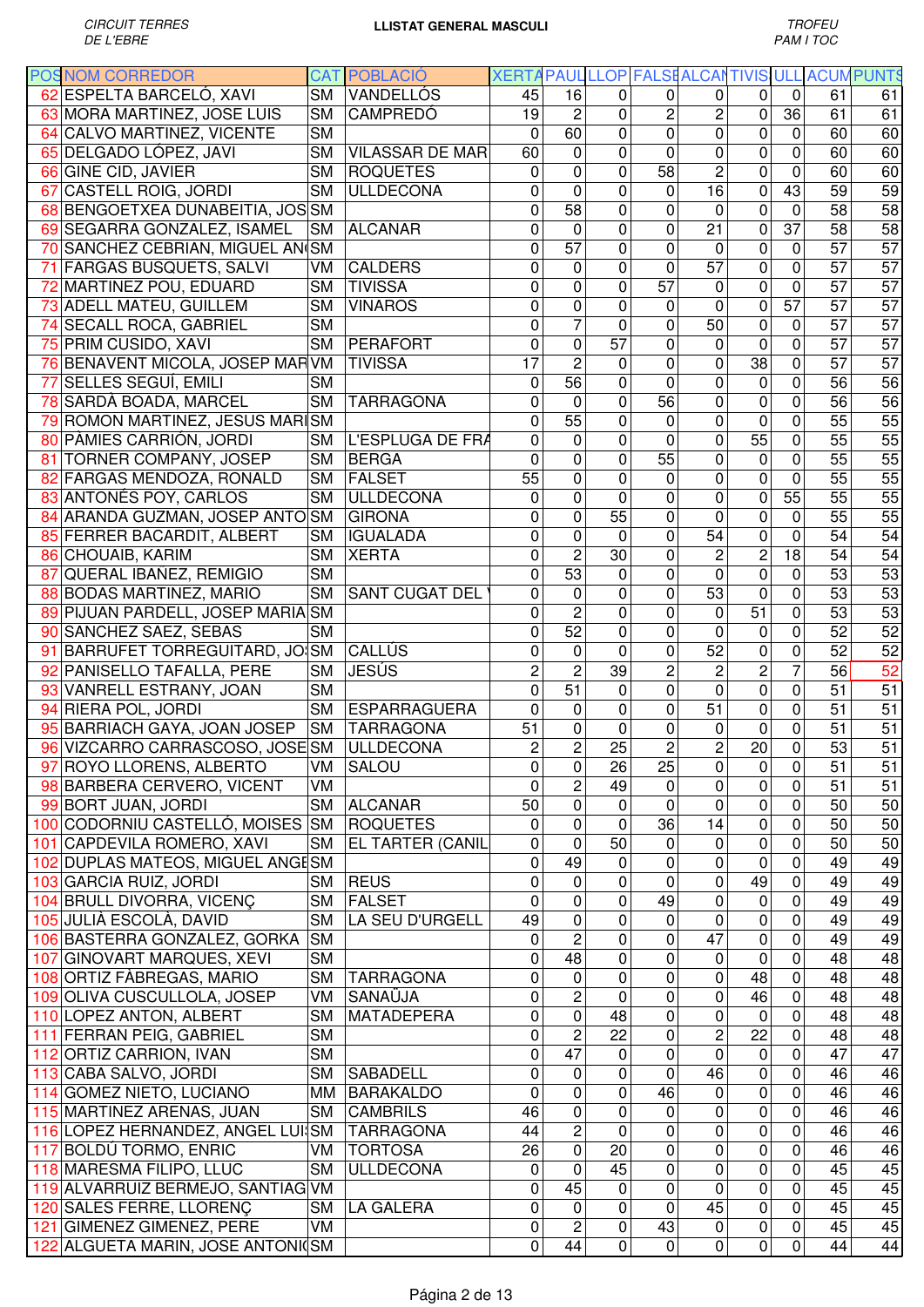|    | <b>POS NOM CORREDOR</b>           |           | <b>CAT POBLACIÓ</b>     | XERTA PAUL LLOP FALSE ALCANTIVIS ULL |                 |                 |                 |                 |                 |                  |                 | <b>ACUMPUNTS</b> |
|----|-----------------------------------|-----------|-------------------------|--------------------------------------|-----------------|-----------------|-----------------|-----------------|-----------------|------------------|-----------------|------------------|
|    | 62 ESPELTA BARCELÓ, XAVI          | <b>SM</b> | VANDELLÓS               | 45                                   | 16              | 0               | 0               | 0               | 0               | 0                | 61              | 61               |
|    | 63 MORA MARTINEZ, JOSE LUIS       | <b>SM</b> | <b>CAMPREDÓ</b>         | 19                                   | $\overline{c}$  | $\mathbf{0}$    | $\overline{c}$  | $\overline{c}$  | $\mathbf 0$     | $\overline{36}$  | 61              | 61               |
| 64 | CALVO MARTINEZ, VICENTE           | <b>SM</b> |                         | $\mathbf 0$                          | 60              | $\mathbf 0$     | $\overline{0}$  | $\overline{0}$  | $\mathbf 0$     | $\overline{0}$   | 60              | 60               |
|    | 65 DELGADO LÓPEZ, JAVI            | <b>SM</b> | <b>VILASSAR DE MAR</b>  | 60                                   | 0               | 0               | 0               | $\mathbf 0$     | 0               | $\mathbf 0$      | 60              | 60               |
|    | 66 GINE CID, JAVIER               | <b>SM</b> | <b>ROQUETES</b>         | $\Omega$                             | 0               | $\mathbf 0$     | 58              | $\overline{2}$  | $\mathbf 0$     | 0                | 60              | 60               |
|    | 67 CASTELL ROIG, JORDI            | <b>SM</b> | <b>ULLDECONA</b>        | 0                                    | $\mathbf 0$     | $\mathbf 0$     | 0               | 16              | $\mathbf 0$     | 43               | 59              | 59               |
|    | 68 BENGOETXEA DUNABEITIA, JOS SM  |           |                         | 0                                    | 58              | 0               | 0               | $\mathbf 0$     | $\mathbf 0$     | $\mathbf 0$      | 58              | $\overline{58}$  |
|    | 69 SEGARRA GONZALEZ, ISAMEL       | <b>SM</b> | <b>ALCANAR</b>          | 0                                    | 0               | $\mathbf 0$     | 0               | 21              | $\mathbf 0$     | $\overline{37}$  | 58              | 58               |
|    | 70 SANCHEZ CEBRIAN, MIGUEL AN SM  |           |                         | 0                                    | 57              | $\mathbf 0$     | 0               | 0               | $\mathbf 0$     | 0                | 57              | $\overline{57}$  |
| 71 | <b>FARGAS BUSQUETS, SALVI</b>     | VM        | <b>CALDERS</b>          | 0                                    | 0               | $\mathbf 0$     | $\overline{0}$  | $\overline{57}$ | $\mathbf 0$     | 0                | 57              | $\overline{57}$  |
|    | 72 MARTINEZ POU, EDUARD           | <b>SM</b> | <b>TIVISSA</b>          | 0                                    | 0               | $\mathbf 0$     | 57              | $\pmb{0}$       | $\mathbf 0$     | $\mathbf 0$      | 57              | 57               |
|    | 73 ADELL MATEU, GUILLEM           | <b>SM</b> | <b>VINAROS</b>          | 0                                    | 0               | $\mathbf 0$     | 0               | $\mathbf 0$     | $\mathbf 0$     | $\overline{57}$  | 57              | $\overline{57}$  |
|    | 74 SECALL ROCA, GABRIEL           | <b>SM</b> |                         | $\mathbf 0$                          | 7               | 0               | 0               | 50              | $\mathbf 0$     | 0                | 57              | $\overline{57}$  |
|    | 75 PRIM CUSIDO, XAVI              | <b>SM</b> | <b>PERAFORT</b>         | $\mathbf 0$                          | 0               | 57              | 0               | $\mathbf 0$     | 0               | $\mathbf 0$      | 57              | 57               |
|    | 76 BENAVENT MICOLA, JOSEP MARVM   |           | <b>TIVISSA</b>          | $\overline{17}$                      | $\overline{2}$  | $\mathbf 0$     | 0               | 0               | $\overline{38}$ | $\mathbf 0$      | 57              | 57               |
|    | 77 SELLES SEGUÍ, EMILI            | <b>SM</b> |                         | 0                                    | $\overline{56}$ | 0               | 0               | 0               | 0               | $\mathbf 0$      | 56              | 56               |
|    | 78 SARDÀ BOADA, MARCEL            | <b>SM</b> | <b>TARRAGONA</b>        | 0                                    | $\mathbf 0$     | $\mathbf 0$     | $\overline{56}$ | $\mathbf 0$     | $\pmb{0}$       | $\mathbf 0$      | $\overline{56}$ | 56               |
| 79 | ROMON MARTINEZ, JESUS MARISM      |           |                         | 0                                    | 55              | $\overline{0}$  | 0               | 0               | $\mathbf 0$     | $\overline{0}$   | $\overline{55}$ | $\overline{55}$  |
|    | 80 PÀMIES CARRIÓN, JORDI          |           | L'ESPLUGA DE FRA        | $\mathbf 0$                          | 0               | $\mathbf 0$     | 0               | 0               | 55              | 0                | $\overline{55}$ | 55               |
|    |                                   | <b>SM</b> | <b>BERGA</b>            |                                      |                 |                 |                 |                 |                 | $\overline{0}$   |                 | $\overline{55}$  |
|    | 81 TORNER COMPANY, JOSEP          | <b>SM</b> |                         | $\mathbf 0$                          | 0               | $\mathbf 0$     | $\overline{55}$ | 0               | 0               |                  | $\overline{55}$ |                  |
|    | 82 FARGAS MENDOZA, RONALD         | <b>SM</b> | <b>FALSET</b>           | 55                                   | 0               | 0               | 0               | $\pmb{0}$       | 0               | $\mathbf 0$      | $\overline{55}$ | $\overline{55}$  |
|    | 83 ANTONÉS POY, CARLOS            | <b>SM</b> | <b>ULLDECONA</b>        | $\mathbf 0$                          | 0               | $\mathbf 0$     | 0               | $\overline{0}$  | $\mathbf 0$     | 55               | 55              | $\overline{55}$  |
|    | 84 ARANDA GUZMAN, JOSEP ANTO SM   |           | <b>GIRONA</b>           | 0                                    | 0               | 55              | 0               | $\mathbf 0$     | $\mathbf 0$     | 0                | $\overline{55}$ | 55               |
|    | 85 FERRER BACARDIT, ALBERT        | <b>SM</b> | <b>IGUALADA</b>         | 0                                    | 0               | $\mathbf 0$     | 0               | $\overline{54}$ | $\mathbf 0$     | $\mathbf 0$      | $\overline{54}$ | $\overline{54}$  |
|    | 86 CHOUAIB, KARIM                 | <b>SM</b> | <b>XERTA</b>            | 0                                    | $\overline{c}$  | 30              | 0               | $\overline{c}$  | $\overline{c}$  | 18               | 54              | 54               |
| 87 | QUERAL IBAÑEZ, REMIGIO            | <b>SM</b> |                         | 0                                    | 53              | 0               | 0               | 0               | $\mathbf 0$     | 0                | 53              | 53               |
|    | 88 BODAS MARTINEZ, MARIO          | <b>SM</b> | <b>SANT CUGAT DEL</b>   | 0                                    | 0               | $\mathbf 0$     | $\mathbf 0$     | 53              | $\mathbf 0$     | 0                | 53              | 53               |
|    | 89 PIJUAN PARDELL, JOSEP MARIA SM |           |                         | 0                                    | $\overline{2}$  | $\mathbf 0$     | 0               | $\mathbf 0$     | 51              | $\mathbf 0$      | 53              | 53               |
|    | 90 SANCHEZ SAEZ, SEBAS            | <b>SM</b> |                         | 0                                    | 52              | $\mathbf 0$     | 0               | $\mathbf 0$     | 0               | $\mathbf 0$      | 52              | 52               |
|    | 91 BARRUFET TORREGUITARD, JO SM   |           | CALLÚS                  | 0                                    | $\mathbf 0$     | $\mathbf 0$     | 0               | 52              | $\pmb{0}$       | $\mathbf 0$      | 52              | $\overline{52}$  |
|    | 92 PANISELLO TAFALLA, PERE        | <b>SM</b> | <b>JESÚS</b>            | $\overline{2}$                       | $\overline{2}$  | 39              | 2               | $\overline{2}$  | $\overline{c}$  | $\overline{7}$   | 56              | $\overline{52}$  |
|    | 93 VANRELL ESTRANY, JOAN          | <b>SM</b> |                         | $\mathbf 0$                          | 51              | 0               | $\mathbf 0$     | $\mathbf 0$     | $\overline{0}$  | $\mathbf 0$      | 51              | $\overline{51}$  |
|    | 94 RIERA POL, JORDI               | <b>SM</b> | <b>ESPARRAGUERA</b>     | $\mathbf 0$                          | $\mathbf 0$     | $\mathbf 0$     | $\mathbf 0$     | 51              | $\mathbf 0$     | $\mathbf 0$      | 51              | $\overline{51}$  |
|    | 95 BARRIACH GAYA, JOAN JOSEP      | <b>SM</b> | <b>TARRAGONA</b>        | 51                                   | 0               | $\mathbf 0$     | 0               | 0               | $\mathbf 0$     | $\overline{0}$   | 51              | $\overline{51}$  |
|    | 96 VIZCARRO CARRASCOSO, JOSE SM   |           | <b>ULLDECONA</b>        | $\overline{c}$                       | $\overline{c}$  | 25              | $\overline{c}$  | $\overline{2}$  | 20              | 0                | 53              | 51               |
|    | ROYO LLORENS, ALBERTO             | VM        | <b>SALOU</b>            | 0                                    | 0               | 26              | 25              | 0               | 0               | 0                | 51              | 51               |
|    | 98 BARBERA CERVERO, VICENT        | VM        |                         | 0                                    | $\overline{c}$  | 49              | 0               | 0               | 0               | 0                | 51              | 51               |
|    | 99 BORT JUAN, JORDI               | <b>SM</b> | <b>ALCANAR</b>          | 50                                   | $\mathbf 0$     | 0               | 0               | $\pmb{0}$       | 0               | 0                | 50              | 50               |
|    | 100 CODORNIU CASTELLÓ, MOISES SM  |           | <b>ROQUETES</b>         | 0                                    | 0               | $\mathbf 0$     | 36              | 14              | 0               | $\pmb{0}$        | 50              | 50               |
|    | 101 CAPDEVILA ROMERO, XAVI        | <b>SM</b> | <b>EL TARTER (CANIL</b> | 0                                    | 0               | 50              | 0               | $\pmb{0}$       | 0               | $\mathbf 0$      | 50              | 50               |
|    | 102 DUPLAS MATEOS, MIGUEL ANGESM  |           |                         | 0                                    | 49              | $\mathbf 0$     | 0               | 0               | $\mathbf 0$     | 0                | 49              | 49               |
|    | 103 GARCIA RUIZ, JORDI            | <b>SM</b> | <b>REUS</b>             | 0                                    | 0               | $\mathbf 0$     | 0               | 0               | 49              | 0                | 49              | 49               |
|    | 104 BRULL DIVORRA, VICENC         | <b>SM</b> | <b>FALSET</b>           | 0                                    | 0               | $\mathbf 0$     | 49              | 0               | 0               | 0                | 49              | 49               |
|    | 105 JULIÀ ESCOLÀ, DAVID           | <b>SM</b> | LA SEU D'URGELL         | 49                                   | 0               | $\mathbf 0$     | 0               | $\pmb{0}$       | 0               | 0                | 49              | 49               |
|    | 106 BASTERRA GONZALEZ, GORKA      | <b>SM</b> |                         | 0                                    | $\overline{2}$  | $\mathbf 0$     | 0               | 47              | $\pmb{0}$       | $\boldsymbol{0}$ | 49              | 49               |
|    | 107 GINOVART MARQUES, XEVI        | <b>SM</b> |                         | 0                                    | 48              | 0               | 0               | 0               | 0               | 0                | 48              | 48               |
|    | 108 ORTIZ FABREGAS, MARIO         | <b>SM</b> | <b>TARRAGONA</b>        | 0                                    | $\mathbf 0$     | $\mathbf 0$     | 0               | 0               | 48              | $\boldsymbol{0}$ | 48              | 48               |
|    | 109 OLIVA CUSCULLOLA, JOSEP       | VM        | <b>SANAÜJA</b>          | 0                                    | $\overline{c}$  | 0               | $\mathbf 0$     | 0               | 46              | $\boldsymbol{0}$ | 48              | 48               |
|    | 110 LOPEZ ANTON, ALBERT           | <b>SM</b> | MATADEPERA              | 0                                    | $\overline{0}$  | 48              | $\mathbf 0$     | 0               | $\mathbf 0$     | $\overline{0}$   | 48              | $\overline{48}$  |
|    | 111 FERRAN PEIG, GABRIEL          | <b>SM</b> |                         | 0                                    | 2               | $\overline{22}$ | $\mathbf 0$     | 2               | $\overline{22}$ | $\boldsymbol{0}$ | 48              | $\overline{48}$  |
|    | 112 ORTIZ CARRION, IVAN           | <b>SM</b> |                         | $\mathbf 0$                          | 47              | $\mathbf 0$     | 0               | $\mathbf 0$     | $\overline{0}$  | $\mathbf 0$      | 47              | 47               |
|    | 113 CABA SALVO, JORDI             | <b>SM</b> | <b>SABADELL</b>         | $\mathbf 0$                          | $\mathbf 0$     | $\mathbf{0}$    | 0               | 46              | 0               | 0                | 46              | $\overline{46}$  |
|    | 114 GOMEZ NIETO, LUCIANO          | MM        | <b>BARAKALDO</b>        | $\mathbf 0$                          | 0               | 0               | 46              | 0               | 0               | 0                | 46              | $\overline{46}$  |
|    | 115 MARTINEZ ARENAS, JUAN         | <b>SM</b> | <b>CAMBRILS</b>         | 46                                   | $\pmb{0}$       | 0               | 0               | 0               | 0               | 0                | 46              | 46               |
|    | 116 LOPEZ HERNANDEZ, ANGEL LUI SM |           | <b>TARRAGONA</b>        | 44                                   | $\overline{2}$  | $\mathbf 0$     | $\mathbf 0$     | $\mathbf 0$     | 0               | 0                | 46              | $\overline{46}$  |
|    |                                   |           | <b>TORTOSA</b>          | 26                                   | 0               | 20              | $\mathbf 0$     | 0               | 0               | $\mathbf 0$      | 46              |                  |
|    | 117 BOLDÚ TORMO, ENRIC            | VM        |                         |                                      |                 |                 |                 |                 |                 | $\mathbf 0$      |                 | 46               |
|    | 118 MARESMA FILIPO, LLUC          | <b>SM</b> | <b>ULLDECONA</b>        | 0                                    | 0               | 45              | 0               | 0               | 0               |                  | 45              | 45               |
|    | 119 ALVARRUIZ BERMEJO, SANTIAG VM |           |                         | 0                                    | 45              | 0               | 0               | 0               | 0               | 0                | 45              | 45               |
|    | 120 SALES FERRE, LLORENÇ          | <b>SM</b> | LA GALERA               | 0                                    | 0               | 0               | 0               | 45              | $\pmb{0}$       | 0                | 45              | 45               |
|    | 121 GIMENEZ GIMENEZ, PERE         | VM        |                         | 0                                    | $\overline{c}$  | 0               | 43              | 0               | 0               | 0                | 45              | 45               |
|    | 122 ALGUETA MARIN, JOSE ANTONICSM |           |                         | 0                                    | 44              | $\mathbf 0$     | $\pmb{0}$       | 0               | $\mathbf 0$     | 0                | 44              | 44               |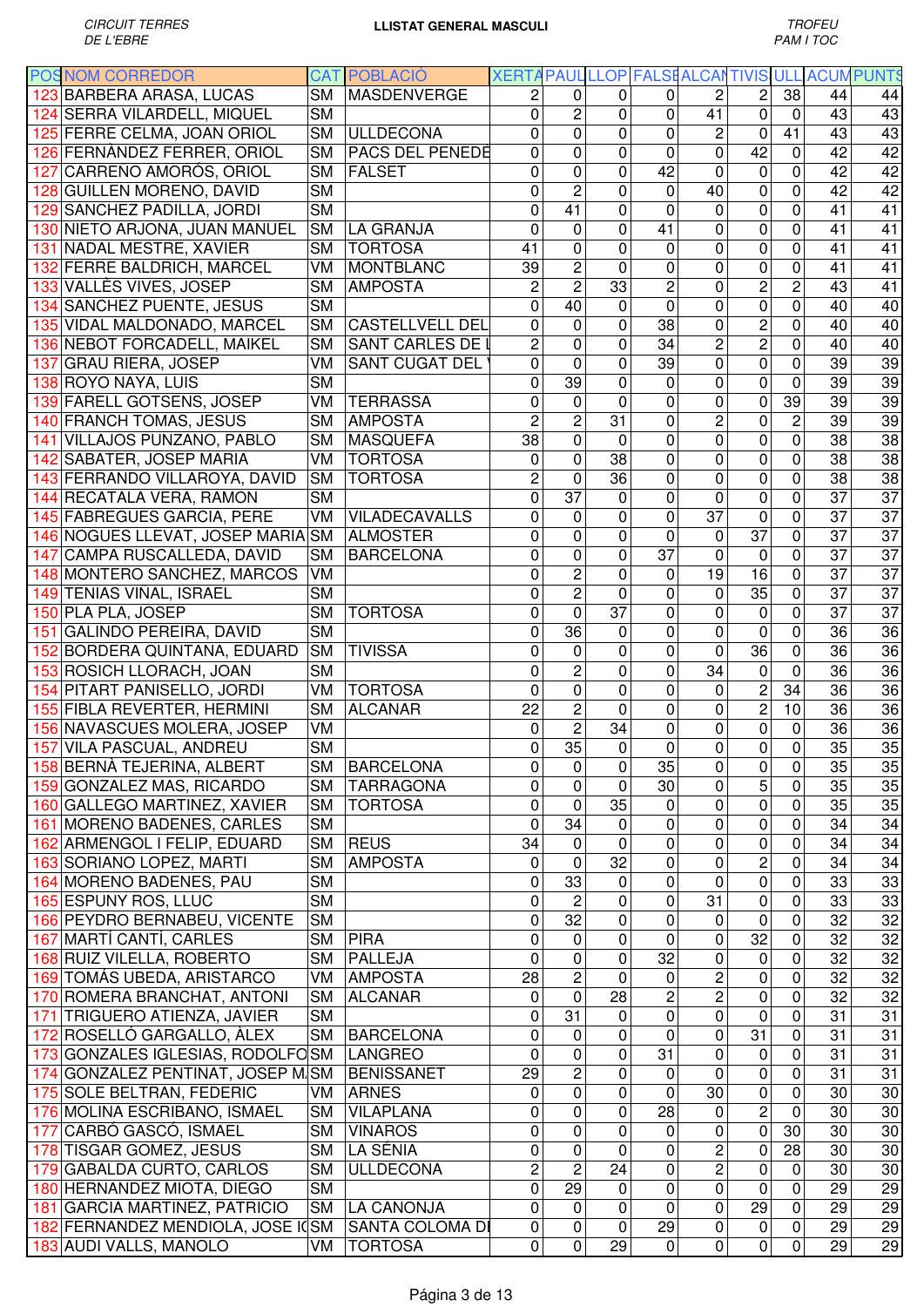|     | <b>POSNOM CORREDOR</b>                   |           | <b>CAT POBLACIÓ</b>        | XERTA PAUL LLOP FALSE ALCANTIVIS ULL ACUM PUNTS |                        |                 |                |                 |                 |                  |                 |                       |
|-----|------------------------------------------|-----------|----------------------------|-------------------------------------------------|------------------------|-----------------|----------------|-----------------|-----------------|------------------|-----------------|-----------------------|
|     | 123 BARBERA ARASA, LUCAS                 | <b>SM</b> | <b>MASDENVERGE</b>         | $\overline{c}$                                  | $\mathbf 0$            | $\Omega$        | $\overline{0}$ | $\overline{c}$  | $\overline{c}$  | 38               | 44              | 44                    |
|     | 124 SERRA VILARDELL, MIQUEL              | <b>SM</b> |                            | $\mathbf 0$                                     | $\overline{2}$         | $\mathbf 0$     | 0              | 41              | $\mathbf 0$     | $\mathbf 0$      | 43              | 43                    |
|     | 125 FERRE CELMA, JOAN ORIOL              | <b>SM</b> | <b>ULLDECONA</b>           | $\mathbf 0$                                     | 0                      | $\mathbf 0$     | $\mathbf 0$    | 2               | 0               | 41               | 43              | 43                    |
|     | 126 FERNANDEZ FERRER, ORIOL              | <b>SM</b> | PACS DEL PENEDE            | $\mathbf 0$                                     | 0                      | $\mathbf 0$     | $\mathbf{0}$   | 0               | 42              | 0                | 42              | 42                    |
| 127 | CARREÑO AMORÓS, ORIOL                    | <b>SM</b> | <b>FALSET</b>              | 0                                               | 0                      | $\mathbf 0$     | 42             | 0               | $\mathbf 0$     | $\overline{0}$   | 42              | 42                    |
|     | 128 GUILLEN MORENO, DAVID                | <b>SM</b> |                            | 0                                               | $\overline{c}$         | $\mathbf{0}$    | $\mathbf{0}$   | 40              | 0               | 0                | 42              | $\overline{42}$       |
|     | 129 SANCHEZ PADILLA, JORDI               | <b>SM</b> |                            | $\mathbf 0$                                     | 41                     | 0               | $\Omega$       | 0               | 0               | 0                | 41              | 41                    |
|     | 130 NIETO ARJONA, JUAN MANUEL            | <b>SM</b> | <b>LA GRANJA</b>           | $\mathbf{0}$                                    | 0                      | 0               | 41             | 0               | $\pmb{0}$       | 0                | 41              | $\overline{41}$       |
|     | 131 NADAL MESTRE, XAVIER                 | <b>SM</b> | <b>TORTOSA</b>             | 41                                              | 0                      | $\mathbf 0$     | $\Omega$       | 0               | 0               | 0                | 41              | 41                    |
|     | 132 FERRE BALDRICH, MARCEL               | VM        | <b>MONTBLANC</b>           | 39                                              | $\overline{2}$         | $\mathbf 0$     | 0              | $\mathbf 0$     | $\pmb{0}$       | $\mathbf 0$      | 41              | 41                    |
|     | 133 VALLÈS VIVES, JOSEP                  | <b>SM</b> | <b>AMPOSTA</b>             | $\overline{c}$                                  | $\overline{c}$         | 33              | $\overline{c}$ | 0               | $\overline{c}$  | $\overline{c}$   | 43              | 41                    |
|     | 134 SANCHEZ PUENTE, JESUS                | <b>SM</b> |                            | 0                                               | 40                     | 0               | $\mathbf 0$    | 0               | $\pmb{0}$       | 0                | 40              | 40                    |
|     | 135 VIDAL MALDONADO, MARCEL              | <b>SM</b> | <b>CASTELLVELL DEL</b>     | $\mathbf 0$                                     | 0                      | $\overline{0}$  | 38             | 0               | $\overline{2}$  | 0                | 40              | 40                    |
|     | 136 NEBOT FORCADELL, MAIKEL              | <b>SM</b> | <b>SANT CARLES DE I</b>    | $\overline{2}$                                  | 0                      | $\mathbf 0$     | 34             | $\overline{2}$  | $\overline{2}$  | 0                | 40              | 40                    |
|     | 137 GRAU RIERA, JOSEP                    | VM        | <b>SANT CUGAT DEL</b>      | $\mathbf 0$                                     | 0                      | $\mathbf 0$     | 39             | $\overline{0}$  | $\mathbf 0$     | $\mathbf 0$      | $\overline{39}$ | $\overline{39}$       |
|     | 138 ROYO NAYA, LUIS                      | <b>SM</b> |                            | 0                                               | 39                     | 0               | 0              | 0               | $\mathbf 0$     | 0                | 39              | 39                    |
|     | 139 FARELL GOTSENS, JOSEP                | VM        | <b>TERRASSA</b>            | 0                                               | 0                      | $\Omega$        | $\Omega$       | 0               | 0               | $\overline{39}$  | 39              | $\overline{39}$       |
|     | 140 FRANCH TOMAS, JESUS                  | <b>SM</b> | <b>AMPOSTA</b>             | $\overline{2}$                                  | $\overline{2}$         | 31              | 0              | $\overline{2}$  | $\mathbf 0$     | $\overline{2}$   | $\overline{39}$ | 39                    |
|     | 141 VILLAJOS PUNZANO, PABLO              | <b>SM</b> | <b>MASQUEFA</b>            | 38                                              | 0                      | $\mathbf 0$     | 0              | $\mathbf 0$     | $\mathbf 0$     | $\mathbf 0$      | 38              | 38                    |
|     | 142 SABATER, JOSEP MARIA                 | VM        | <b>TORTOSA</b>             | $\mathbf 0$                                     | 0                      | 38              | 0              | 0               | $\mathbf 0$     | $\mathbf 0$      | 38              | 38                    |
|     | 143 FERRANDO VILLAROYA, DAVID            | <b>SM</b> | <b>TORTOSA</b>             | $\overline{2}$                                  | $\mathbf 0$            | $\overline{36}$ | 0              | $\mathbf 0$     | $\mathbf 0$     | $\mathbf 0$      | $\overline{38}$ | 38                    |
|     | 144 RECATALA VERA, RAMON                 | <b>SM</b> |                            | $\overline{0}$                                  | $\overline{37}$        | $\mathbf{0}$    | 0              | $\overline{0}$  | $\mathbf 0$     | 0                | $\overline{37}$ | 37                    |
|     | 145 FABREGUES GARCIA, PERE               | VM        | <b>VILADECAVALLS</b>       | 0                                               | 0                      | 0               | 0              | $\overline{37}$ | $\mathbf 0$     | 0                | $\overline{37}$ | 37                    |
|     | 146 NOGUES LLEVAT, JOSEP MARIA SM        |           | <b>ALMOSTER</b>            | $\mathbf 0$                                     | 0                      | $\mathbf 0$     | 0              | 0               | $\overline{37}$ | 0                | $\overline{37}$ | $\overline{37}$       |
| 147 | CAMPA RUSCALLEDA, DAVID                  | <b>SM</b> | <b>BARCELONA</b>           | $\mathbf 0$                                     | 0                      | 0               | 37             | 0               | $\pmb{0}$       | 0                | 37              | $\overline{37}$       |
|     | 148 MONTERO SANCHEZ, MARCOS              | VM        |                            | $\mathbf 0$                                     | $\overline{c}$         | $\mathbf 0$     | 0              | 19              | 16              | 0                | 37              | $\overline{37}$       |
|     | 149 TENIAS VIÑAL, ISRAEL                 | <b>SM</b> |                            | 0                                               | $\overline{2}$         | $\mathbf 0$     | 0              | 0               | 35              | 0                | 37              | $\overline{37}$       |
|     | 150 PLA PLA, JOSEP                       | <b>SM</b> | <b>TORTOSA</b>             | $\overline{0}$                                  | 0                      | 37              | 0              | 0               | $\pmb{0}$       | 0                | 37              | 37                    |
|     | 151 GALINDO PEREIRA, DAVID               | <b>SM</b> |                            | 0                                               | 36                     | 0               | 0              | 0               | $\mathbf 0$     | 0                | 36              | 36                    |
|     | 152 BORDERA QUINTANA, EDUARD             | <b>SM</b> | <b>TIVISSA</b>             | $\mathbf 0$                                     | 0                      | $\mathbf 0$     | 0              | $\overline{0}$  | 36              | 0                | 36              | 36                    |
|     | 153 ROSICH LLORACH, JOAN                 | <b>SM</b> |                            | $\mathbf 0$                                     | $\overline{c}$         | $\mathbf 0$     | 0              | 34              | $\mathbf 0$     | 0                | 36              | 36                    |
|     | 154 PITART PANISELLO, JORDI              | VM        | <b>TORTOSA</b>             | $\mathbf 0$                                     | 0                      | $\mathbf 0$     | 0              | 0               | $\overline{c}$  | 34               | 36              | 36                    |
|     | 155 FIBLA REVERTER, HERMINI              | <b>SM</b> | <b>ALCANAR</b>             | 22                                              | $\overline{c}$         | $\mathbf 0$     | $\mathbf 0$    | 0               | $\overline{c}$  | 10               | 36              | 36                    |
|     | 156 NAVASCUES MOLERA, JOSEP              | VM        |                            | $\overline{0}$                                  | $\overline{2}$         | 34              | $\mathbf 0$    | 0               | 0               | 0                | 36              | 36                    |
|     | 157 VILA PASCUAL, ANDREU                 | <b>SM</b> |                            | 0                                               | 35                     | $\pmb{0}$       | $\mathbf 0$    | 0               | $\pmb{0}$       | $\pmb{0}$        | 35              | 35                    |
|     | 158 BERNÀ TEJERINA, ALBERT               |           | SM BARCELONA               | 0                                               | $\overline{0}$         | $\overline{0}$  | 35             | $\overline{0}$  | $\overline{0}$  | $\overline{0}$   | 35              | 35                    |
|     | 159 GONZALEZ MAS, RICARDO                | <b>SM</b> | <b>TARRAGONA</b>           | $\mathbf 0$                                     | 0                      | $\mathbf 0$     | 30             | 0               | 5               | $\mathbf 0$      | 35              | 35                    |
|     | 160 GALLEGO MARTINEZ, XAVIER             | <b>SM</b> | <b>TORTOSA</b>             | $\mathbf 0$                                     | 0                      | 35              | 0              | 0               | $\mathsf 0$     | $\mathsf 0$      | 35              | 35                    |
|     | 161 MORENO BADENES, CARLES               | <b>SM</b> |                            | $\mathbf 0$                                     | 34                     | 0               | 0              | $\mathsf 0$     | $\pmb{0}$       | 0                | 34              | 34                    |
|     | 162 ARMENGOL I FELIP, EDUARD             | <b>SM</b> | <b>REUS</b>                | 34                                              | 0                      | $\mathbf 0$     | 0              | $\mathbf 0$     | $\pmb{0}$       | $\boldsymbol{0}$ | 34              | 34                    |
|     | 163 SORIANO LOPEZ, MARTI                 | <b>SM</b> | <b>AMPOSTA</b>             | 0                                               | 0                      | 32              | $\mathbf 0$    | $\mathsf 0$     | $\overline{c}$  | 0                | 34              | 34                    |
|     | 164 MORENO BADENES, PAU                  | <b>SM</b> |                            | 0                                               | 33                     | 0               | $\mathbf 0$    | 0               | 0               | $\mathbf 0$      | 33              | 33                    |
|     | 165 ESPUNY ROS, LLUC                     | <b>SM</b> |                            | 0                                               | $\overline{c}$         | 0               | 0              | 31              | $\pmb{0}$       | $\mathbf 0$      | 33              | 33                    |
|     | 166 PEYDRO BERNABEU, VICENTE             | <b>SM</b> |                            | 0                                               | 32                     | $\mathbf 0$     | 0              | 0               | $\mathbf 0$     | 0                | 32              | 32                    |
|     | 167 MARTÍ CANTÍ, CARLES                  | <b>SM</b> | <b>PIRA</b>                | $\mathbf 0$                                     | 0                      | 0               | 0              | 0               | 32              | 0                | 32              | 32                    |
|     | 168 RUIZ VILELLA, ROBERTO                | <b>SM</b> | <b>PALLEJA</b>             | $\mathbf 0$                                     | 0                      | $\mathbf 0$     | 32             | $\mathsf 0$     | $\pmb{0}$       | 0                | 32              | $\overline{32}$       |
|     | 169 TOMÁS UBEDA, ARISTARCO               | VM        | <b>AMPOSTA</b>             | $\overline{28}$                                 | $\overline{c}$         | $\mathbf 0$     | $\mathbf 0$    | $\overline{2}$  | 0               | 0                | 32              | 32                    |
|     | 170 ROMERA BRANCHAT, ANTONI              | <b>SM</b> | <b>ALCANAR</b>             | 0                                               | $\mathbf 0$            | 28              | $\overline{c}$ | $\overline{2}$  | $\mathbf 0$     | 0                | 32              | $\overline{32}$       |
|     | 171 TRIGUERO ATIENZA, JAVIER             | <b>SM</b> |                            | 0                                               | 31                     | $\mathbf 0$     | $\mathbf 0$    | $\mathsf 0$     | 0               | $\pmb{0}$        | 31              | 31                    |
|     | 172 ROSELLÓ GARGALLO, ÀLEX               | <b>SM</b> | <b>BARCELONA</b>           | 0                                               | $\mathbf 0$            | 0               | $\mathbf 0$    | 0               | 31              | $\overline{0}$   | 31              | $\overline{31}$       |
|     | 173 GONZALES IGLESIAS, RODOLFOSM LANGREO |           |                            | $\mathbf 0$                                     | $\overline{0}$         | $\mathbf 0$     | 31             | 0               | $\pmb{0}$       | $\overline{0}$   | 31              | 31                    |
|     | 174 GONZALEZ PENTINAT, JOSEP M SM        |           | <b>BENISSANET</b>          | $\overline{29}$                                 | $\overline{2}$         | $\mathbf 0$     | $\mathbf 0$    | 0               | $\overline{0}$  | $\overline{0}$   | 31              | 31                    |
|     | 175 SOLE BELTRAN, FEDERIC                |           | <b>ARNES</b>               | 0                                               | $\overline{0}$         | 0               | 0              | $\overline{30}$ | $\overline{0}$  | $\boldsymbol{0}$ | 30              | 30                    |
|     |                                          | VM        | <b>VILAPLANA</b>           | $\mathbf 0$                                     | $\mathbf 0$            | $\mathbf 0$     | 28             | 0               | $\overline{2}$  | $\mathbf 0$      | 30              | 30                    |
|     | 176 MOLINA ESCRIBANO, ISMAEL             | <b>SM</b> |                            | $\mathbf 0$                                     | 0                      | $\mathbf 0$     | $\Omega$       | 0               | $\mathbf 0$     | 30               | 30              |                       |
|     | 177 CARBÓ GASCÓ, ISMAEL                  | <b>SM</b> | <b>VINAROS</b><br>LA SÉNIA | $\mathbf 0$                                     | 0                      | $\mathbf 0$     | 0              | $\overline{2}$  | $\mathbf 0$     | 28               | 30              | 30<br>$\overline{30}$ |
|     | 178 TISGAR GOMEZ, JESUS                  | <b>SM</b> | <b>ULLDECONA</b>           | $\overline{2}$                                  | $\overline{2}$         | 24              | $\mathbf 0$    | $\overline{2}$  | 0               | $\pmb{0}$        | 30              | $\overline{30}$       |
|     | 179 GABALDA CURTO, CARLOS                | <b>SM</b> |                            | $\mathbf 0$                                     | 29                     | $\mathbf 0$     | $\mathbf 0$    | $\mathsf 0$     | $\mathbf 0$     |                  | 29              | 29                    |
|     | 180 HERNANDEZ MIOTA, DIEGO               | <b>SM</b> |                            |                                                 |                        |                 | $\mathbf 0$    |                 |                 | 0<br>$\mathbf 0$ | 29              |                       |
|     | 181 GARCIA MARTINEZ, PATRICIO            | <b>SM</b> | <b>LA CANONJA</b>          | 0                                               | $\pmb{0}$<br>$\pmb{0}$ | 0               |                | $\mathsf 0$     | 29              |                  |                 | 29                    |
|     | 182 FERNANDEZ MENDIOLA, JOSE I(SM        |           | <b>SANTA COLOMA DI</b>     | 0                                               |                        | 0               | 29             | 0               | $\pmb{0}$       | $\pmb{0}$        | 29              | 29                    |
|     | 183 AUDI VALLS, MANOLO                   | VM        | <b>TORTOSA</b>             | 0                                               | 0                      | 29              | $\pmb{0}$      | 0               | $\pmb{0}$       | 0                | 29              | 29                    |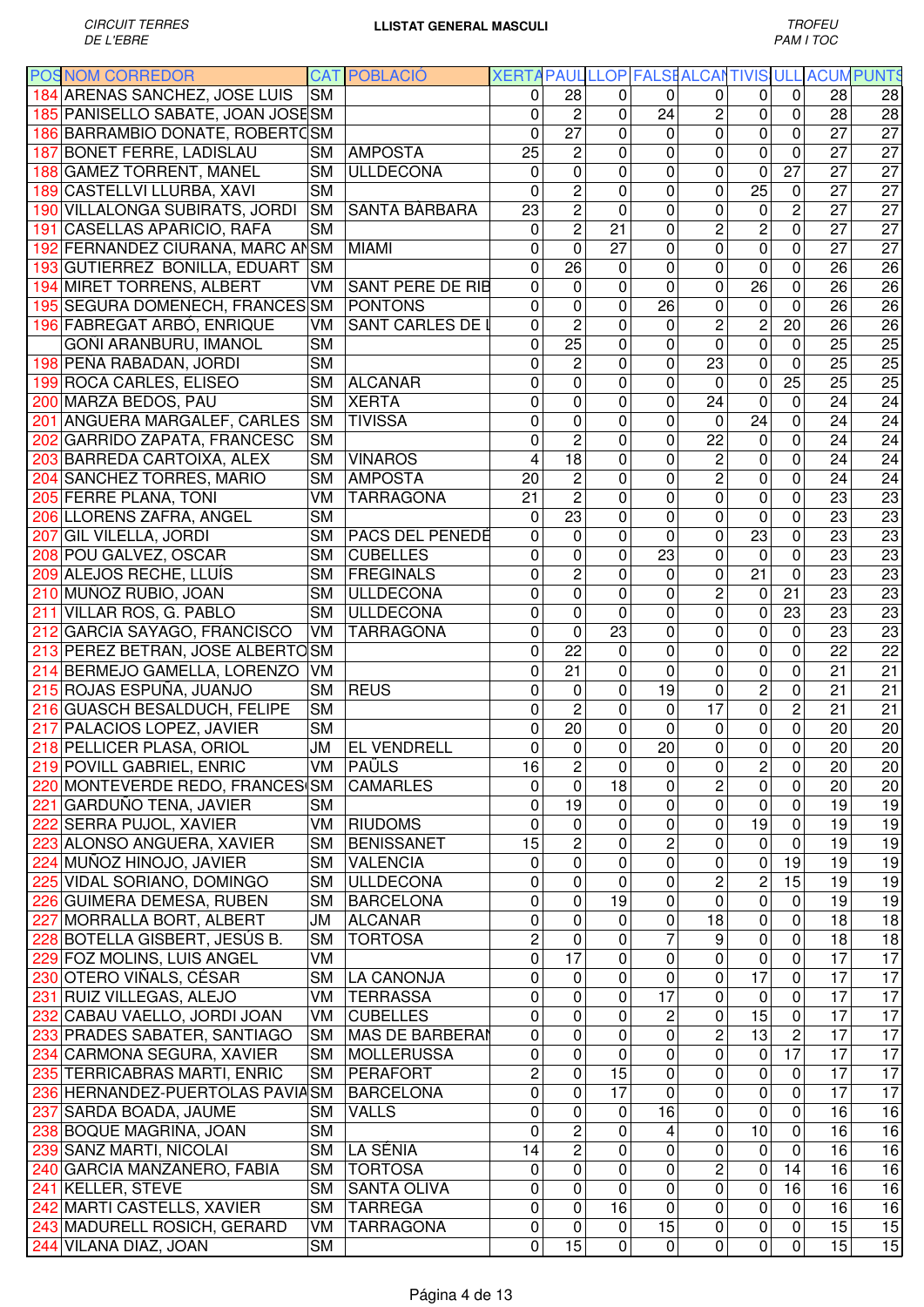| <b>POSNOM CORREDOR</b>            |                | <b>CAT POBLACIÓ</b>     |                 |                         | XERTA PAUL LLOP FALSE ALCANTIVIS ULL ACUM PUNTS |                 |                     |                         |                  |                 |                 |
|-----------------------------------|----------------|-------------------------|-----------------|-------------------------|-------------------------------------------------|-----------------|---------------------|-------------------------|------------------|-----------------|-----------------|
| 184 ARENAS SANCHEZ, JOSE LUIS     | <b>SM</b>      |                         | 0               | 28                      | 0                                               | 0               | 0                   | 0                       | $\overline{0}$   | 28              | 28              |
| 185 PANISELLO SABATE, JOAN JOSESM |                |                         | 0               | $\overline{c}$          | 0                                               | 24              | $\overline{c}$      | $\mathbf 0$             | $\mathbf 0$      | 28              | 28              |
| 186 BARRAMBIO DONATE, ROBERTOSM   |                |                         | 0               | $\overline{27}$         | 0                                               | $\Omega$        | $\mathbf 0$         | $\mathbf 0$             | $\mathbf 0$      | $\overline{27}$ | $\overline{27}$ |
| 187 BONET FERRE, LADISLAU         | <b>SM</b>      | <b>AMPOSTA</b>          | 25              | $\overline{c}$          | 0                                               | $\Omega$        | $\mathbf 0$         | $\mathbf 0$             | $\mathbf 0$      | 27              | $\overline{27}$ |
| 188 GAMEZ TORRENT, MANEL          | <b>SM</b>      | <b>ULLDECONA</b>        | 0               | 0                       | 0                                               | $\Omega$        | $\mathbf 0$         | $\mathbf 0$             | $\overline{27}$  | 27              | 27              |
| 189 CASTELLVI LLURBA, XAVI        | <b>SM</b>      |                         | 0               | $\overline{c}$          | 0                                               | 0               | 0                   | 25                      | $\mathbf 0$      | 27              | $\overline{27}$ |
| 190 VILLALONGA SUBIRATS, JORDI    | <b>SM</b>      | SANTA BÀRBARA           | 23              | $\overline{2}$          | 0                                               | 0               | $\mathbf 0$         | $\pmb{0}$               | $\overline{c}$   | 27              | $\overline{27}$ |
| 191 CASELLAS APARICIO, RAFA       | <b>SM</b>      |                         | 0               | $\overline{2}$          | 21                                              | 0               | $\overline{2}$      | $\overline{c}$          | 0                | 27              | $\overline{27}$ |
| 192 FERNANDEZ CIURANA, MARC ANSM  |                | <b>MIAMI</b>            | 0               | $\mathbf 0$             | 27                                              | 0               | $\mathbf 0$         | $\pmb{0}$               | $\mathbf 0$      | 27              | $\overline{27}$ |
| 193 GUTIERREZ BONILLA, EDUART     | <b>SM</b>      |                         | 0               | 26                      | 0                                               | 0               | $\mathbf 0$         | $\mathbf 0$             | 0                | 26              | 26              |
| 194 MIRET TORRENS, ALBERT         | VM             | <b>SANT PERE DE RIB</b> | 0               | 0                       | 0                                               | $\mathbf 0$     | $\mathbf 0$         | 26                      | 0                | 26              | 26              |
| 195 SEGURA DOMENECH, FRANCES SM   |                | PONTONS                 | 0               | 0                       | 0                                               | 26              | $\mathsf 0$         | $\mathbf 0$             | 0                | 26              | 26              |
| 196 FABREGAT ARBÓ, ENRIQUE        | VM             | <b>SANT CARLES DE I</b> | 0               | $\overline{2}$          | 0                                               | $\Omega$        | $\overline{2}$      | $\overline{c}$          | 20               | 26              | $\overline{26}$ |
| GOÑI ARANBURU, IMANOL             | <b>SM</b>      |                         | 0               | $\overline{25}$         | 0                                               | 0               | 0                   | 0                       | $\mathbf 0$      | 25              | $\overline{25}$ |
| 198 PEÑA RABADAN, JORDI           | <b>SM</b>      |                         | 0               | $\overline{2}$          | 0                                               | $\mathbf{0}$    | 23                  | $\mathbf 0$             | $\mathbf 0$      | $\overline{25}$ | 25              |
| 199 ROCA CARLES, ELISEO           | <b>SM</b>      | <b>ALCANAR</b>          | 0               | 0                       | 0                                               | $\mathbf{0}$    | 0                   | 0                       | $\overline{25}$  | $\overline{25}$ | 25              |
| 200 MARZA BEDOS, PAU              | <b>SM</b>      | <b>XERTA</b>            | 0               | 0                       | 0                                               | 0               | 24                  | 0                       | $\mathbf 0$      | 24              | $\overline{24}$ |
| 201 ANGUERA MARGALEF, CARLES      | <b>SM</b>      | <b>TIVISSA</b>          | 0               | 0                       | 0                                               | $\mathbf 0$     | 0                   | 24                      | $\mathbf 0$      | $\overline{24}$ | $\overline{24}$ |
| 202 GARRIDO ZAPATA, FRANCESC      | <b>SM</b>      |                         | 0               | $\overline{2}$          | $\overline{0}$                                  | $\mathbf 0$     | $\overline{22}$     | $\overline{0}$          | $\overline{0}$   | $\overline{24}$ | $\overline{24}$ |
| 203 BARREDA CARTOIXA, ALEX        | <b>SM</b>      | <b>VINAROS</b>          | $\overline{4}$  | 18                      | $\overline{0}$                                  | $\mathbf{0}$    | $\overline{2}$      | $\mathbf 0$             | $\overline{0}$   | $\overline{24}$ | 24              |
| 204 SANCHEZ TORRES, MARIO         | <b>SM</b>      | <b>AMPOSTA</b>          | $\overline{20}$ | $\overline{2}$          | 0                                               | 0               | $\overline{2}$      | $\pmb{0}$               | $\boldsymbol{0}$ | 24              | 24              |
| 205 FERRE PLANA, TONI             | VM             | <b>TARRAGONA</b>        | 21              | $\overline{2}$          | 0                                               | 0               | $\overline{0}$      | $\pmb{0}$               | $\boldsymbol{0}$ | 23              | $\overline{23}$ |
| 206 LLORENS ZAFRA, ANGEL          | <b>SM</b>      |                         | 0               | 23                      | 0                                               | 0               | $\overline{0}$      | $\mathbf 0$             | $\mathbf 0$      | $\overline{23}$ | $\overline{23}$ |
| 207 GIL VILELLA, JORDI            | <b>SM</b>      | PACS DEL PENEDÈ         | 0               | 0                       | 0                                               | 0               | $\mathsf 0$         | $\overline{23}$         | $\mathbf 0$      | $\overline{23}$ | 23              |
| 208 POU GALVEZ, OSCAR             | <b>SM</b>      | <b>CUBELLES</b>         | 0               | 0                       | 0                                               | 23              | $\mathsf 0$         | $\mathbf 0$             | $\mathbf 0$      | 23              | $\overline{23}$ |
| 209 ALEJOS RECHE, LLUÍS           | <b>SM</b>      | FREGINALS               | 0               | $\overline{c}$          | 0                                               | 0               | $\mathbf 0$         | 21                      | $\mathbf 0$      | 23              | 23              |
| 210 MUÑOZ RUBIO, JOAN             | <b>SM</b>      | <b>ULLDECONA</b>        | 0               | $\mathbf 0$             | 0                                               | 0               | $\overline{c}$      | $\mathbf 0$             | 21               | 23              | 23              |
| 211 VILLAR ROS, G. PABLO          | <b>SM</b>      | ULLDECONA               | 0               | $\mathbf 0$             | 0                                               | 0               | $\overline{0}$      | 0                       | 23               | 23              | $\overline{23}$ |
| 212 GARCIA SAYAGO, FRANCISCO      | VM             | <b>TARRAGONA</b>        | 0               | $\mathbf 0$             | 23                                              | 0               | $\mathsf 0$         | $\mathbf 0$             | $\mathbf 0$      | 23              | $\overline{23}$ |
| 213 PEREZ BETRAN, JOSE ALBERTOSM  |                |                         | 0               | 22                      | 0                                               | 0               | $\mathbf 0$         | $\mathbf 0$             | 0                | 22              | $\overline{22}$ |
| 214 BERMEJO GAMELLA, LORENZO      | VM             |                         | 0               | 21                      | 0                                               | $\Omega$        | 0                   | $\mathbf 0$             | $\mathbf 0$      | 21              | 21              |
| 215 ROJAS ESPUÑA, JUANJO          | <b>SM</b>      | <b>REUS</b>             | 0               | 0                       | 0                                               | 19              | $\mathbf 0$         | $\overline{2}$          | $\mathbf 0$      | 21              | 21              |
| 216 GUASCH BESALDUCH, FELIPE      | <b>SM</b>      |                         | 0               | $\overline{2}$          | 0                                               | $\mathbf 0$     | $\overline{17}$     | $\mathbf 0$             | $\overline{2}$   | 21              | 21              |
| 217 PALACIOS LOPEZ, JAVIER        | <b>SM</b>      |                         | 0               | $\overline{20}$         | 0                                               | $\mathbf 0$     | 0                   | $\mathbf 0$             | $\overline{0}$   | 20              | $\overline{20}$ |
| 218 PELLICER PLASA, ORIOL         | ЛU             | <b>EL VENDRELL</b>      | 0               | $\mathbf 0$             | 0                                               | 20              | $\mathbf 0$         | $\mathbf 0$             | $\mathbf 0$      | 20              | $\overline{20}$ |
| 219 POVILL GABRIEL, ENRIC         | V <sub>M</sub> | PAÜLS                   | 16              | $\overline{\mathbf{c}}$ | 0                                               | 0               | 0                   | $\overline{\mathbf{c}}$ | $\pmb{0}$        | $\overline{20}$ | $\overline{20}$ |
| 220 MONTEVERDE REDO, FRANCES SM   |                | <b>CAMARLES</b>         | 0               | 0                       | 18                                              | $\Omega$        | $\overline{2}$      | $\mathbf 0$             | $\mathbf 0$      | 20              | 20              |
| 221 GARDUÑO TENA, JAVIER          | <b>SM</b>      |                         | 0               | 19                      | 0                                               | 0               | $\mathbf 0$         | $\mathbf 0$             | $\overline{0}$   | 19              | 19              |
| 222 SERRA PUJOL, XAVIER           | VM             | <b>RIUDOMS</b>          | 0               | 0                       | 0                                               | 0               | 0                   | 19                      | 0                | 19              | 19              |
| 223 ALONSO ANGUERA, XAVIER        | <b>SM</b>      | <b>BENISSANET</b>       | $\overline{15}$ | $\overline{c}$          | 0                                               | 2               | $\mathsf 0$         | 0                       | $\mathbf 0$      | 19              | 19              |
| 224 MUÑOZ HINOJO, JAVIER          | <b>SM</b>      | <b>VALENCIA</b>         | 0               | 0                       | 0                                               | 0               | $\mathsf{O}\xspace$ | 0                       | 19               | 19              | 19              |
| 225 VIDAL SORIANO, DOMINGO        | <b>SM</b>      | <b>ULLDECONA</b>        | 0               | 0                       | 0                                               | 0               | $\overline{2}$      | $\overline{c}$          | 15               | 19              | 19              |
| 226 GUIMERA DEMESA, RUBEN         | <b>SM</b>      | <b>BARCELONA</b>        | 0               | $\mathsf 0$             | 19                                              | 0               | $\mathsf 0$         | $\pmb{0}$               | $\pmb{0}$        | 19              | 19              |
| 227 MORRALLA BORT, ALBERT         | JМ             | <b>ALCANAR</b>          | 0               | 0                       | 0                                               | 0               | 18                  | $\pmb{0}$               | 0                | 18              | 18              |
| 228 BOTELLA GISBERT, JESÚS B.     | <b>SM</b>      | <b>TORTOSA</b>          | $\overline{c}$  | 0                       | 0                                               | 7               | 9                   | $\pmb{0}$               | $\pmb{0}$        | 18              | 18              |
| 229 FOZ MOLINS, LUIS ANGEL        | VM             |                         | 0               | $\overline{17}$         | 0                                               | $\mathbf 0$     | $\mathbf 0$         | $\mathbf 0$             | $\boldsymbol{0}$ | 17              | 17              |
| 230 OTERO VIÑALS, CÉSAR           | <b>SM</b>      | LA CANONJA              | 0               | 0                       | 0                                               | 0               | 0                   | $\overline{17}$         | $\pmb{0}$        | 17              | 17              |
| 231 RUIZ VILLEGAS, ALEJO          | VM             | <b>TERRASSA</b>         | 0               | $\mathbf 0$             | 0                                               | $\overline{17}$ | 0                   | $\mathbf 0$             | $\overline{0}$   | 17              | 17              |
| 232 CABAU VAELLO, JORDI JOAN      | VM             | <b>CUBELLES</b>         | 0               | 0                       | 0                                               | $\overline{c}$  | 0                   | 15                      | $\overline{0}$   | $\overline{17}$ | 17              |
| 233 PRADES SABATER, SANTIAGO      | <b>SM</b>      | <b>MAS DE BARBERAI</b>  | 0               | 0                       | 0                                               | $\mathbf 0$     | $\overline{2}$      | 13                      | $\overline{2}$   | 17              | $\overline{17}$ |
| 234 CARMONA SEGURA, XAVIER        | <b>SM</b>      | MOLLERUSSA              | 0               | 0                       | 0                                               | 0               | $\mathsf 0$         | $\pmb{0}$               | 17               | $\overline{17}$ | 17              |
| 235 TERRICABRAS MARTI, ENRIC      | SM             | PERAFORT                | $\overline{2}$  | $\mathbf 0$             | $\overline{15}$                                 | 0               | $\mathbf 0$         | $\pmb{0}$               | $\overline{0}$   | $\overline{17}$ | 17              |
| 236 HERNANDEZ-PUERTOLAS PAVIASM   |                | <b>BARCELONA</b>        | $\overline{0}$  | $\mathbf 0$             | 17                                              | $\Omega$        | $\mathbf 0$         | $\mathbf 0$             | $\overline{0}$   | 17              | 17              |
| 237 SARDA BOADA, JAUME            | <b>SM</b>      | <b>VALLS</b>            | 0               | 0                       | 0                                               | 16              | $\mathbf 0$         | $\mathbf 0$             | $\overline{0}$   | 16              | 16              |
| 238 BOQUE MAGRIÑA, JOAN           | <b>SM</b>      |                         | 0               | 2                       | 0                                               | 4               | 0                   | 10                      | $\overline{0}$   | $\overline{16}$ | $\overline{16}$ |
| 239 SANZ MARTI, NICOLAI           | <b>SM</b>      | LA SÉNIA                | 14              | $\overline{2}$          | 0                                               | 0               | $\mathsf 0$         | $\mathbf 0$             | $\boldsymbol{0}$ | 16              | 16              |
| 240 GARCIA MANZANERO, FABIA       | <b>SM</b>      | <b>TORTOSA</b>          | 0               | 0                       | 0                                               | $\mathbf 0$     | $\overline{2}$      | $\mathbf 0$             | 14               | 16              | 16              |
| 241 KELLER, STEVE                 | <b>SM</b>      | <b>SANTA OLIVA</b>      | 0               | 0                       | 0                                               | 0               | $\mathsf 0$         | 0                       | 16               | 16              | 16              |
| 242 MARTI CASTELLS, XAVIER        | <b>SM</b>      | <b>TARREGA</b>          | 0               | $\mathbf 0$             | 16                                              | 0               | $\mathsf 0$         | 0                       | 0                | 16              | 16              |
| 243 MADURELL ROSICH, GERARD       | VM             | <b>TARRAGONA</b>        | 0               | 0                       | 0                                               | 15              | 0                   | $\pmb{0}$               | 0                | 15              | 15              |
| 244 VILANA DIAZ, JOAN             | <b>SM</b>      |                         | 0               | 15                      | 0                                               | 0               | 0                   | $\pmb{0}$               | $\pmb{0}$        | 15              | 15              |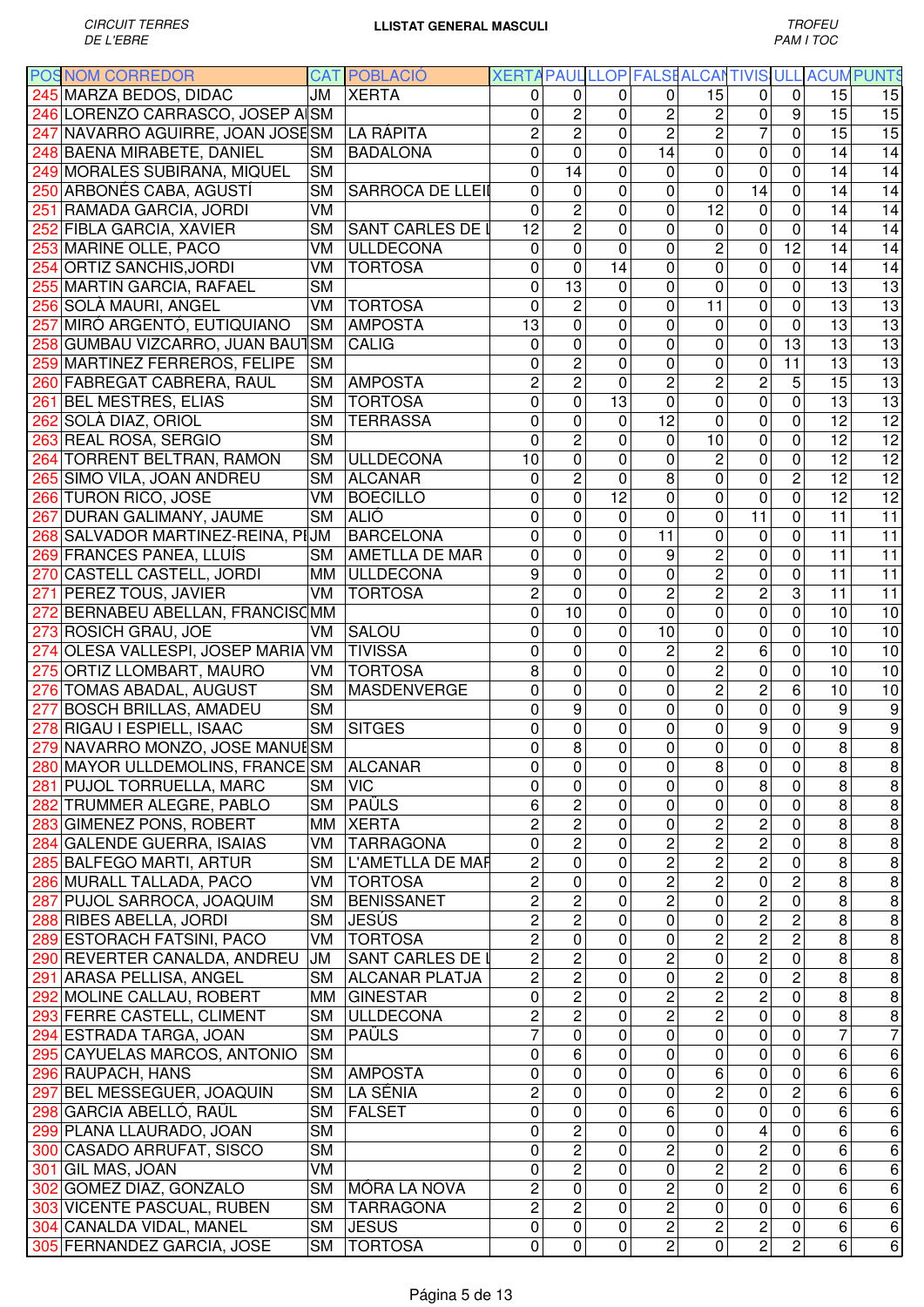|     | <b>POSNOM CORREDOR</b>                   |                        | <b>CAT POBLACIO</b>     | XERTA PAUL LLOP FALSEALCANTIVIS ULL ACUM PUNTS |                |                |                         |                         |                         |                         |                 |                         |
|-----|------------------------------------------|------------------------|-------------------------|------------------------------------------------|----------------|----------------|-------------------------|-------------------------|-------------------------|-------------------------|-----------------|-------------------------|
|     | 245 MARZA BEDOS, DIDAC                   | JM                     | <b>XERTA</b>            | 0                                              | 0              | $\Omega$       | $\Omega$                | 15                      | 0                       | $\mathbf 0$             | 15              | 15                      |
|     | 246 LORENZO CARRASCO, JOSEP A SM         |                        |                         | 0                                              | $\overline{c}$ | 0              | $\overline{\mathbf{c}}$ | $\overline{c}$          | 0                       | 9                       | 15              | 15                      |
|     | 247 NAVARRO AGUIRRE, JOAN JOSESM         |                        | LA RÁPITA               | $\overline{c}$                                 | $\overline{c}$ | $\mathbf 0$    | $\overline{c}$          | $\overline{2}$          | $\overline{7}$          | $\mathbf 0$             | 15              | 15                      |
|     | 248 BAENA MIRABETE, DANIEL               | <b>SM</b>              | <b>BADALONA</b>         | $\mathbf 0$                                    | $\mathbf 0$    | $\mathbf 0$    | 14                      | 0                       | $\mathbf 0$             | 0                       | 14              | 14                      |
|     | 249 MORALES SUBIRANA, MIQUEL             | <b>SM</b>              |                         | 0                                              | 14             | $\mathbf 0$    | $\Omega$                | $\mathbf 0$             | $\overline{0}$          | 0                       | 14              | 14                      |
|     |                                          |                        |                         |                                                |                |                |                         |                         |                         |                         |                 |                         |
|     | 250 ARBONÉS CABA, AGUSTÍ                 | <b>SM</b>              | <b>SARROCA DE LLEII</b> | $\overline{0}$                                 | $\mathbf 0$    | $\mathbf 0$    | 0                       | 0                       | 14                      | $\mathbf 0$             | 14              | 14                      |
|     | 251 RAMADA GARCIA, JORDI                 | VM                     |                         | $\overline{0}$                                 | $\overline{c}$ | $\mathbf 0$    | 0                       | 12                      | 0                       | $\mathbf 0$             | 14              | 14                      |
|     | 252 FIBLA GARCIA, XAVIER                 | <b>SM</b>              | SANT CARLES DE I        | 12                                             | $\overline{c}$ | $\mathbf 0$    | 0                       | 0                       | $\mathbf 0$             | 0                       | 14              | 14                      |
|     | 253 MARINE OLLE, PACO                    | VM                     | <b>ULLDECONA</b>        | $\overline{0}$                                 | $\mathbf 0$    | $\mathbf 0$    | $\Omega$                | $\overline{c}$          | $\mathbf 0$             | $\overline{12}$         | 14              | $\overline{14}$         |
|     | 254 ORTIZ SANCHIS, JORDI                 | VM                     | <b>TORTOSA</b>          | $\overline{0}$                                 | $\overline{0}$ | 14             | 0                       | 0                       | 0                       | 0                       | 14              | 14                      |
|     | 255 MARTIN GARCIA, RAFAEL                | <b>SM</b>              |                         | $\mathbf 0$                                    | 13             | $\mathbf 0$    | 0                       | $\mathbf 0$             | 0                       | 0                       | 13              | 13                      |
|     | 256 SOLÀ MAURI, ANGEL                    | VM                     | <b>TORTOSA</b>          | 0                                              | 2              | 0              | 0                       | 11                      | $\mathbf 0$             | 0                       | 13              | $\overline{13}$         |
| 257 | MIRÓ ARGENTÓ, EUTIQUIANO                 |                        | SM AMPOSTA              | $\overline{13}$                                | 0              | 0              | 0                       | 0                       | 0                       | $\mathbf 0$             | $\overline{13}$ | 13                      |
|     | 258 GUMBAU VIZCARRO, JUAN BAUTSM         |                        | <b>CALIG</b>            | $\mathbf 0$                                    | 0              | $\mathbf 0$    | 0                       | $\mathbf 0$             | 0                       | $\overline{13}$         | $\overline{13}$ | 13                      |
|     | 259 MARTINEZ FERREROS, FELIPE            | <b>SM</b>              |                         | $\mathbf 0$                                    | $\overline{2}$ | $\mathbf 0$    | 0                       | 0                       | 0                       | $\overline{11}$         | 13              | $\overline{13}$         |
|     | 260 FABREGAT CABRERA, RAUL               | <b>SM</b>              | <b>AMPOSTA</b>          | $\overline{c}$                                 | $\overline{2}$ | $\mathbf 0$    | $\overline{c}$          | $\overline{2}$          | $\overline{c}$          | 5                       | 15              | $\overline{13}$         |
|     |                                          |                        |                         | $\overline{0}$                                 |                |                |                         | $\overline{0}$          | $\overline{0}$          |                         |                 |                         |
|     | 261 BEL MESTRES, ELIAS                   | <b>SM</b>              | <b>TORTOSA</b>          |                                                | 0              | 13             | 0                       |                         |                         | 0                       | 13              | 13                      |
|     | 262 SOLÀ DIAZ, ORIOL                     | <b>SM</b>              | <b>TERRASSA</b>         | $\mathbf 0$                                    | 0              | $\mathbf{0}$   | 12                      | 0                       | $\mathbf 0$             | 0                       | 12              | $\overline{12}$         |
|     | 263 REAL ROSA, SERGIO                    | $\overline{\text{SM}}$ |                         | $\mathbf 0$                                    | $\overline{2}$ | $\mathbf 0$    | $\Omega$                | 10                      | 0                       | 0                       | 12              | $\overline{12}$         |
|     | 264 TORRENT BELTRAN, RAMON               | <b>SM</b>              | <b>ULLDECONA</b>        | 10                                             | 0              | 0              | $\Omega$                | $\overline{c}$          | 0                       | 0                       | 12              | $\overline{12}$         |
|     | 265 SIMO VILA, JOAN ANDREU               |                        | SM ALCANAR              | 0                                              | $\overline{2}$ | $\mathbf 0$    | 8                       | $\overline{0}$          | 0                       | $\overline{2}$          | $\overline{12}$ | $\overline{12}$         |
|     | 266 TURON RICO, JOSE                     | VM                     | <b>BOECILLO</b>         | $\mathbf 0$                                    | $\overline{0}$ | 12             | 0                       | 0                       | $\overline{0}$          | $\mathbf 0$             | $\overline{12}$ | 12                      |
|     | 267 DURAN GALIMANY, JAUME                | SM                     | <b>ALIÓ</b>             | 0                                              | 0              | $\mathbf 0$    | $\mathbf 0$             | 0                       | 11                      | 0                       | 11              | $\overline{11}$         |
|     | 268 SALVADOR MARTINEZ-REINA, PIJM        |                        | <b>BARCELONA</b>        | $\mathbf 0$                                    | 0              | $\mathbf 0$    | 11                      | 0                       | $\mathbf 0$             | 0                       | 11              | $\overline{11}$         |
|     | 269 FRANCES PANEA, LLUÍS                 | <b>SM</b>              | AMETLLA DE MAR          | $\mathbf 0$                                    | 0              | $\mathbf 0$    | 9                       | $\overline{c}$          | $\mathbf 0$             | 0                       | 11              | 11                      |
| 270 | <b>CASTELL CASTELL, JORDI</b>            | MM                     | <b>ULLDECONA</b>        | 9                                              | 0              | $\mathbf 0$    | $\mathbf 0$             | $\overline{2}$          | $\mathbf 0$             | 0                       | 11              | 11                      |
| 271 | PEREZ TOUS, JAVIER                       | VM.                    | <b>TORTOSA</b>          | $\overline{2}$                                 | $\overline{0}$ | $\mathbf 0$    | $\overline{c}$          | $\overline{2}$          | $\overline{2}$          | 3                       | 11              | $\overline{11}$         |
| 272 | BERNABEU ABELLAN, FRANCISCMM             |                        |                         | $\mathbf{0}$                                   | 10             | $\mathbf 0$    | 0                       | 0                       | 0                       | 0                       | 10              | 10                      |
|     | 273 ROSICH GRAU, JOE                     | VM                     | SALOU                   | 0                                              | 0              | $\mathbf 0$    | 10                      | 0                       | $\pmb{0}$               | 0                       | 10              | 10                      |
|     | 274 OLESA VALLESPI, JOSEP MARIA VM       |                        | <b>TIVISSA</b>          | $\mathbf 0$                                    | 0              | $\mathbf 0$    | $\overline{c}$          | $\overline{2}$          | 6                       | 0                       | 10              | 10                      |
|     | 275 ORTIZ LLOMBART, MAURO                | VM                     | <b>TORTOSA</b>          | 8                                              | $\mathbf 0$    | $\mathbf 0$    | 0                       | $\overline{2}$          | $\pmb{0}$               | $\mathbf 0$             | 10              | 10                      |
|     |                                          |                        |                         |                                                |                |                |                         |                         |                         |                         |                 |                         |
|     | 276 TOMAS ABADAL, AUGUST                 | <b>SM</b>              | <b>MASDENVERGE</b>      | $\mathbf 0$                                    | 0              | $\mathbf 0$    | 0                       | $\overline{c}$          | $\overline{c}$          | 6                       | 10              | 10                      |
| 277 | <b>BOSCH BRILLAS, AMADEU</b>             | <b>SM</b>              |                         | $\mathbf 0$                                    | 9              | $\mathbf 0$    | 0                       | 0                       | $\mathbf 0$             | 0                       | 9               | 9                       |
|     | 278 RIGAU I ESPIELL, ISAAC               | <b>SM</b>              | <b>SITGES</b>           | $\overline{0}$                                 | 0              | $\mathbf 0$    | 0                       | 0                       | 9                       | 0                       | 9               | 9                       |
|     | 279 NAVARRO MONZO, JOSE MANUESM          |                        |                         | 0                                              | 8              | 0              | $\pmb{0}$               | 0                       | $\pmb{0}$               | 0                       | 8               | $\overline{8}$          |
|     | 280 MAYOR ULLDEMOLINS, FRANCE SM ALCANAR |                        |                         | $\overline{0}$                                 | $\overline{0}$ | $\overline{0}$ | $\overline{0}$          | $\overline{8}$          | $\overline{0}$          | $\overline{\mathbf{o}}$ | $\infty$        | $\overline{8}$          |
|     | 281 PUJOL TORRUELLA, MARC                | SM   VIC               |                         | 0                                              | 0              | $\mathbf 0$    | $\Omega$                | 0                       | 8                       | $\mathbf 0$             | 8               | $\,8\,$                 |
|     | 282 TRUMMER ALEGRE, PABLO                | SM                     | <b>PAÜLS</b>            | 6                                              | $\overline{c}$ | 0              | $\Omega$                | 0                       | 0                       | 0                       | 8               | $\infty$                |
|     | 283 GIMENEZ PONS, ROBERT                 |                        | MM   XERTA              | $\overline{c}$                                 | $\overline{2}$ | $\mathbf 0$    | 0                       | $\overline{\mathbf{c}}$ | $\overline{c}$          | 0                       | 8               | $\overline{8}$          |
|     | 284 GALENDE GUERRA, ISAIAS               | VM                     | <b>TARRAGONA</b>        | $\mathbf 0$                                    | 2              | $\mathbf 0$    | $\overline{c}$          | $\overline{c}$          | $\overline{c}$          | $\mathbf 0$             | 8               | $\overline{8}$          |
|     | 285 BALFEGO MARTI, ARTUR                 | <b>SM</b>              | L'AMETLLA DE MAF        | $\overline{2}$                                 | 0              | $\mathbf 0$    | $\overline{2}$          | $\overline{2}$          | $\overline{2}$          | $\mathbf 0$             | 8               | $\overline{8}$          |
|     | 286 MURALL TALLADA, PACO                 | VM                     | <b>TORTOSA</b>          | $\overline{2}$                                 | 0              | $\mathbf 0$    | $\overline{c}$          | $\overline{2}$          | $\mathsf 0$             | $\overline{2}$          | 8               | $\overline{8}$          |
|     | 287 PUJOL SARROCA, JOAQUIM               | <b>SM</b>              | <b>BENISSANET</b>       | $\overline{2}$                                 | $\overline{2}$ | $\mathbf 0$    | $\overline{c}$          | $\mathbf 0$             | $\overline{c}$          | $\mathbf 0$             | 8               | $\overline{8}$          |
|     | 288 RIBES ABELLA, JORDI                  | <b>SM</b>              | <b>JESÚS</b>            | $\overline{2}$                                 | $\overline{2}$ | 0              | 0                       | $\mathsf 0$             | 2                       | $\overline{2}$          | 8               | $\overline{\bf 8}$      |
|     | 289 ESTORACH FATSINI, PACO               | VM                     | <b>TORTOSA</b>          | $\overline{2}$                                 | 0              | 0              | 0                       | 2                       | 2                       | $\overline{\mathbf{c}}$ | 8               | $\bf 8$                 |
|     | 290 REVERTER CANALDA, ANDREU             | JM                     | <b>SANT CARLES DE I</b> | $\overline{2}$                                 | $\overline{2}$ | 0              | $\overline{c}$          | $\mathsf 0$             | $\overline{2}$          | 0                       | 8               | $\overline{8}$          |
|     |                                          |                        |                         | $\overline{2}$                                 | $\overline{2}$ | 0              | $\mathbf 0$             | $\overline{2}$          | $\pmb{0}$               | $\overline{2}$          | 8               | $\overline{\mathbf{8}}$ |
|     | 291 ARASA PELLISA, ANGEL                 | <b>SM</b>              | <b>ALCANAR PLATJA</b>   |                                                |                |                |                         |                         |                         |                         |                 |                         |
|     | 292 MOLINE CALLAU, ROBERT                | MM                     | <b>GINESTAR</b>         | 0                                              | $\overline{2}$ | $\mathbf 0$    | $\overline{c}$          | $\overline{2}$          | $\overline{2}$          | 0                       | 8               | $\overline{8}$          |
|     | 293 FERRE CASTELL, CLIMENT               | <b>SM</b>              | <b>ULLDECONA</b>        | $\overline{c}$                                 | $\overline{2}$ | $\mathbf 0$    | $\overline{2}$          | $\overline{2}$          | $\pmb{0}$               | 0                       | 8               | $\overline{8}$          |
|     | 294 ESTRADA TARGA, JOAN                  | <b>SM</b>              | <b>PAÜLS</b>            | $\overline{7}$                                 | 0              | $\mathbf 0$    | 0                       | 0                       | $\pmb{0}$               | 0                       | $\overline{7}$  | $\overline{7}$          |
|     | 295 CAYUELAS MARCOS, ANTONIO             | <b>SM</b>              |                         | $\mathbf 0$                                    | 6              | 0              | 0                       | 0                       | 0                       | 0                       | 6               | $\overline{6}$          |
|     | 296 RAUPACH, HANS                        | <b>SM</b>              | AMPOSTA                 | $\mathbf 0$                                    | 0              | $\mathbf 0$    | $\mathbf 0$             | 6                       | $\pmb{0}$               | $\mathbf 0$             | 6               | 6                       |
|     | 297 BEL MESSEGUER, JOAQUIN               | <b>SM</b>              | LA SÉNIA                | $\overline{c}$                                 | 0              | 0              | $\mathbf 0$             | $\overline{2}$          | 0                       | $\overline{c}$          | 6               | 6                       |
|     | 298 GARCIA ABELLÓ, RAÜL                  | <b>SM</b>              | <b>FALSET</b>           | 0                                              | 0              | 0              | 6                       | 0                       | 0                       | 0                       | 6               | 6                       |
|     | 299 PLANA LLAURADO, JOAN                 | <b>SM</b>              |                         | 0                                              | $\overline{2}$ | 0              | $\mathbf 0$             | 0                       | $\overline{\mathbf{4}}$ | 0                       | 6               | $\overline{6}$          |
|     | 300 CASADO ARRUFAT, SISCO                | <b>SM</b>              |                         | 0                                              | $\overline{2}$ | $\mathbf 0$    | $\overline{c}$          | 0                       | $\overline{c}$          | 0                       | 6               | $\overline{6}$          |
|     | 301 GIL MAS, JOAN                        | VM                     |                         | $\mathbf 0$                                    | $\overline{2}$ | $\mathbf 0$    | $\mathbf 0$             | $\overline{2}$          | $\overline{2}$          | $\mathbf 0$             | 6               | 6                       |
|     | 302 GOMEZ DIAZ, GONZALO                  | <b>SM</b>              | MÓRA LA NOVA            | $\overline{c}$                                 | $\mathbf 0$    | $\mathbf 0$    | $\overline{c}$          | 0                       | $\overline{2}$          | $\mathbf 0$             | 6               | $6 \overline{}$         |
|     | 303 VICENTE PASCUAL, RUBEN               | <b>SM</b>              | <b>TARRAGONA</b>        | $\overline{2}$                                 | $\overline{c}$ | $\mathbf 0$    | $\overline{c}$          | $\mathbf 0$             | $\mathsf 0$             | $\mathbf 0$             | 6               | $6 \overline{}$         |
|     | 304 CANALDA VIDAL, MANEL                 |                        | <b>JESUS</b>            | 0                                              | 0              | 0              | $\overline{c}$          | $\overline{c}$          | $\mathbf 2$             | 0                       | 6               | 6                       |
|     |                                          | SM                     |                         | 0                                              |                |                | $\overline{c}$          | $\mathbf 0$             |                         | $\overline{c}$          |                 |                         |
|     | 305 FERNANDEZ GARCIA, JOSE               | <b>SM</b>              | <b>TORTOSA</b>          |                                                | 0              | $\pmb{0}$      |                         |                         | $\mathbf 2$             |                         | 6               | $6\overline{6}$         |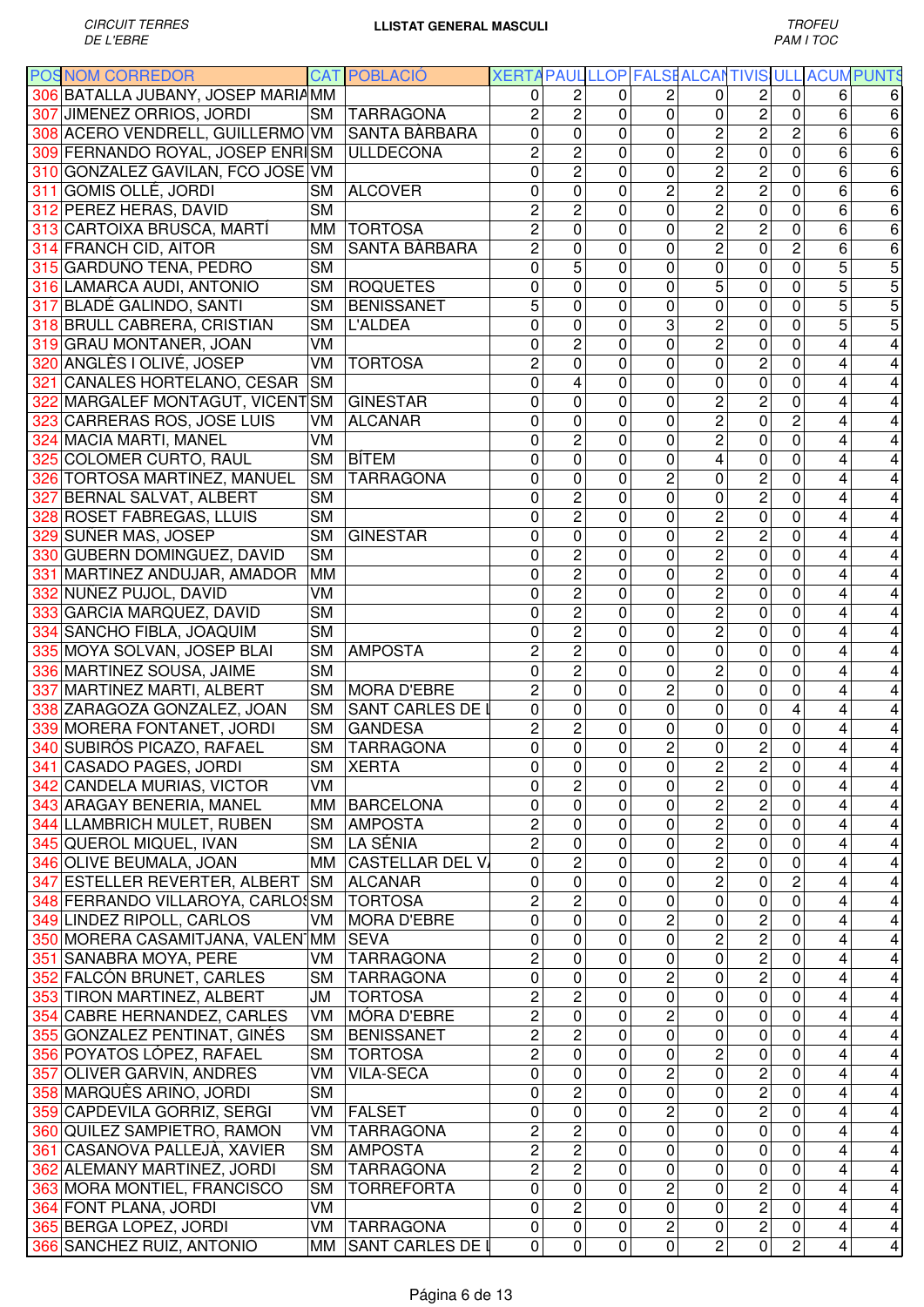|     | <b>POSNOM CORREDOR</b>            |           | <b>CAT POBLACIÓ</b>    | XERTA PAUL LLOP FALSE ALCANTIVIS ULL |                |                  |                         |                     |                               |                |                | <b>ACUMPUNTS</b>        |
|-----|-----------------------------------|-----------|------------------------|--------------------------------------|----------------|------------------|-------------------------|---------------------|-------------------------------|----------------|----------------|-------------------------|
|     | 306 BATALLA JUBANY, JOSEP MARIAMM |           |                        | 0                                    | 2              | 0                | 2                       | 0                   | 2                             | 0              | 6              | 6                       |
|     | 307 JIMENEZ ORRIOS, JORDI         | <b>SM</b> | <b>TARRAGONA</b>       | $\overline{2}$                       | $\overline{2}$ | 0                | 0                       | 0                   | $\overline{2}$                | 0              | 6              | 6                       |
|     | 308 ACERO VENDRELL, GUILLERMO VM  |           | SANTA BÀRBARA          | 0                                    | $\overline{0}$ | 0                | 0                       | $\overline{c}$      | $\overline{c}$                | $\overline{2}$ | $\overline{6}$ | $\overline{6}$          |
|     | 309 FERNANDO ROYAL, JOSEP ENRISM  |           | <b>ULLDECONA</b>       | $\overline{c}$                       | $\overline{c}$ | 0                | 0                       | $\overline{2}$      | 0                             | 0              | 6              | 6                       |
|     | 310 GONZALEZ GAVILAN, FCO JOSE VM |           |                        | 0                                    | $\overline{2}$ | $\mathbf{0}$     | 0                       | $\overline{2}$      | $\overline{c}$                | 0              | 6              | 6                       |
|     | 311 GOMIS OLLÉ, JORDI             | <b>SM</b> | <b>ALCOVER</b>         | 0                                    | $\mathbf 0$    | $\mathbf 0$      | $\overline{c}$          | $\overline{2}$      | $\overline{c}$                | $\mathbf 0$    | 6              | 6                       |
|     | 312 PEREZ HERAS, DAVID            | <b>SM</b> |                        | 2                                    | $\overline{c}$ | $\mathbf 0$      | 0                       | $\overline{2}$      | $\mathbf 0$                   | 0              | 6              | 6                       |
|     | 313 CARTOIXA BRUSCA, MARTÍ        | MM        | <b>TORTOSA</b>         | 2                                    | $\mathsf 0$    | $\mathbf 0$      | 0                       | $\overline{2}$      | $\overline{c}$                | 0              | 6              | 6                       |
|     | 314 FRANCH CID, AITOR             | <b>SM</b> | SANTA BÀRBARA          | $\overline{c}$                       | $\mathbf 0$    | $\mathbf 0$      | 0                       | $\overline{2}$      | $\mathbf 0$                   | $\overline{c}$ | 6              | 6                       |
|     | 315 GARDUÑO TENA, PEDRO           | <b>SM</b> |                        | 0                                    | 5              | $\mathbf 0$      | 0                       | 0                   | $\mathbf 0$                   | 0              | 5              | 5                       |
|     | 316 LAMARCA AUDI, ANTONIO         | <b>SM</b> | <b>ROQUETES</b>        | 0                                    | 0              | $\mathbf 0$      | 0                       | 5                   | 0                             | 0              | 5              | 5                       |
|     | 317 BLADÉ GALINDO, SANTI          | <b>SM</b> | <b>BENISSANET</b>      | 5                                    | 0              | $\mathbf 0$      | 0                       | 0                   | $\mathbf 0$                   | 0              | 5              | 5                       |
|     | 318 BRULL CABRERA, CRISTIAN       | <b>SM</b> | <b>L'ALDEA</b>         | 0                                    | 0              | $\mathbf 0$      | 3                       | $\overline{2}$      | $\mathbf 0$                   | 0              | 5              | 5                       |
|     | 319 GRAU MONTANER, JOAN           | VM        |                        | 0                                    | $\overline{2}$ | $\mathbf 0$      | 0                       | $\overline{2}$      | $\mathbf 0$                   | $\mathbf 0$    | 4              |                         |
|     |                                   | VM        | <b>TORTOSA</b>         | $\overline{c}$                       | 0              | $\mathbf 0$      | 0                       | 0                   | $\overline{2}$                | $\mathbf 0$    |                |                         |
|     | 320 ANGLÈS I OLIVÉ, JOSEP         |           |                        |                                      |                |                  |                         |                     |                               |                | 4              |                         |
| 321 | <b>CANALES HORTELANO, CESAR</b>   | <b>SM</b> |                        | 0                                    | 4              | 0                | 0                       | 0                   | $\pmb{0}$                     | 0              | 4              |                         |
| 322 | MARGALEF MONTAGUT, VICENT SM      |           | <b>GINESTAR</b>        | 0                                    | 0              | $\mathbf 0$      | 0                       | $\overline{2}$      | $\overline{2}$                | $\overline{0}$ | 4              | 4                       |
| 323 | CARRERAS ROS, JOSE LUIS           | VM        | <b>ALCANAR</b>         | 0                                    | 0              | $\mathbf 0$      | 0                       | $\overline{2}$      | $\overline{0}$                | $\overline{2}$ | 4              | 4                       |
|     | 324 MACIA MARTI, MANEL            | VM        |                        | 0                                    | $\overline{2}$ | $\mathbf 0$      | 0                       | $\overline{2}$      | $\mathbf 0$                   | $\overline{0}$ | 4              | 4                       |
| 325 | <b>COLOMER CURTO, RAUL</b>        | <b>SM</b> | <b>BÍTEM</b>           | 0                                    | 0              | 0                | 0                       | 4                   | 0                             | 0              | 4              | 4                       |
|     | 326 TORTOSA MARTINEZ, MANUEL      | <b>SM</b> | <b>TARRAGONA</b>       | 0                                    | 0              | 0                | 2                       | 0                   | $\overline{2}$                | 0              | 4              | 4                       |
|     | 327 BERNAL SALVAT, ALBERT         | <b>SM</b> |                        | 0                                    | $\overline{c}$ | 0                | 0                       | 0                   | $\overline{2}$                | 0              | 4              | 4                       |
|     | 328 ROSET FABREGAS, LLUIS         | <b>SM</b> |                        | 0                                    | $\overline{c}$ | $\mathbf 0$      | 0                       | $\overline{2}$      | $\pmb{0}$                     | $\mathbf 0$    | 4              | 4                       |
|     | 329 SUÑER MAS, JOSEP              | <b>SM</b> | <b>GINESTAR</b>        | 0                                    | 0              | $\mathbf 0$      | 0                       | $\overline{2}$      | $\overline{2}$                | 0              | 4              | 4                       |
|     | 330 GUBERN DOMINGUEZ, DAVID       | <b>SM</b> |                        | 0                                    | 2              | $\mathbf 0$      | 0                       | $\overline{2}$      | $\mathbf 0$                   | 0              | 4              | 4                       |
|     | 331 MARTINEZ ANDUJAR, AMADOR      | MM        |                        | 0                                    | $\overline{c}$ | $\mathbf 0$      | 0                       | $\overline{2}$      | $\mathbf 0$                   | $\overline{0}$ | 4              | 4                       |
|     | 332 NUÑEZ PUJOL, DAVID            | VM        |                        | 0                                    | $\overline{c}$ | $\mathbf 0$      | 0                       | $\overline{c}$      | 0                             | 0              | 4              | 4                       |
|     | 333 GARCIA MARQUEZ, DAVID         | <b>SM</b> |                        | 0                                    | $\overline{2}$ | $\mathbf 0$      | 0                       | $\overline{2}$      | $\mathbf 0$                   | 0              | 4              | 4                       |
|     | 334 SANCHO FIBLA, JOAQUIM         | <b>SM</b> |                        | 0                                    | $\overline{2}$ | $\mathbf 0$      | 0                       | $\overline{2}$      | $\mathbf 0$                   | $\mathbf 0$    | 4              | 4                       |
|     | 335 MOYA SOLVAN, JOSEP BLAI       | <b>SM</b> | <b>AMPOSTA</b>         | 2                                    | $\overline{2}$ | $\mathbf 0$      | $\Omega$                | 0                   | $\mathbf 0$                   | 0              | 4              | 4                       |
|     | 336 MARTINEZ SOUSA, JAIME         | <b>SM</b> |                        | 0                                    | $\overline{2}$ | $\mathbf 0$      | 0                       | $\overline{c}$      | 0                             | $\mathbf 0$    | 4              | 4                       |
|     | 337 MARTINEZ MARTI, ALBERT        | <b>SM</b> | <b>MORA D'EBRE</b>     | $\overline{c}$                       | $\mathbf 0$    | $\mathbf 0$      | $\overline{c}$          | 0                   | 0                             | 0              | 4              | 4                       |
|     | 338 ZARAGOZA GONZALEZ, JOAN       | <b>SM</b> | SANT CARLES DE I       | 0                                    | $\mathbf 0$    | $\mathbf 0$      | 0                       | 0                   | 0                             | 4              | 4              | 4                       |
|     | 339 MORERA FONTANET, JORDI        | <b>SM</b> | <b>GANDESA</b>         | $\overline{2}$                       | $\overline{c}$ | 0                | 0                       | 0                   | $\mathbf 0$                   | 0              | 4              | 4                       |
|     | 340 SUBIRÓS PICAZO, RAFAEL        | <b>SM</b> | <b>TARRAGONA</b>       | 0                                    | $\overline{0}$ | $\mathbf 0$      | $\overline{c}$          | $\overline{0}$      | $\overline{c}$                | $\overline{0}$ | 4              | 4                       |
|     | 341 CASADO PAGES, JORDI           | SM        | XERTA                  | 0                                    | 0              | 0                | 0                       | 2                   | 2                             | $\mathbf 0$    | 4              | 4                       |
|     | 342 CANDELA MURIAS, VICTOR        | VM        |                        | 0                                    | $\overline{c}$ | 0                | 0                       | $\overline{2}$      | 0                             | 0              | 4              | 4                       |
|     | 343 ARAGAY BENERIA, MANEL         |           | MM BARCELONA           | 0                                    | 0              | 0                | 0                       | $\overline{2}$      | $\overline{\mathbf{c}}$       | 0              | 4              | 4                       |
|     | 344 LLAMBRICH MULET, RUBEN        | <b>SM</b> | <b>AMPOSTA</b>         | $\overline{c}$                       | 0              | 0                | 0                       | $\overline{2}$      | 0                             | $\mathbf 0$    | 4              | 4                       |
|     | 345 QUEROL MIQUEL, IVAN           | <b>SM</b> | LA SÉNIA               | $\overline{c}$                       | 0              | $\mathbf 0$      | 0                       | $\overline{2}$      | $\pmb{0}$                     | $\mathbf 0$    | 4              | 4                       |
|     | 346 OLIVE BEUMALA, JOAN           | MM        | <b>CASTELLAR DEL V</b> | $\mathbf 0$                          | $\overline{c}$ | $\mathbf 0$      | 0                       | $\overline{2}$      | $\mathbf 0$                   | 0              | 4              | 4                       |
|     | 347 ESTELLER REVERTER, ALBERT     | <b>SM</b> | <b>ALCANAR</b>         | 0                                    | 0              | $\mathbf 0$      | 0                       | $\overline{2}$      | $\pmb{0}$                     | $\overline{c}$ | 4              | $\overline{\mathbf{4}}$ |
|     | 348 FERRANDO VILLAROYA, CARLOSM   |           | <b>TORTOSA</b>         | $\overline{c}$                       | $\overline{c}$ | $\mathbf 0$      | 0                       | 0                   | 0                             | 0              | 4              | $\overline{\mathbf{4}}$ |
|     |                                   |           |                        |                                      | 0              |                  |                         |                     |                               |                |                |                         |
|     | 349 LINDEZ RIPOLL, CARLOS         | VM.       | <b>MORA D'EBRE</b>     | 0                                    | 0              | $\mathbf 0$<br>0 | 2                       | 0<br>$\overline{c}$ | $\mathbf 2$<br>$\overline{c}$ | 0<br>0         | 4              | 4                       |
|     | 350 MORERA CASAMITJANA, VALEN MM  |           | <b>SEVA</b>            | 0<br>$\overline{2}$                  | $\overline{0}$ | $\mathbf 0$      | 0<br>$\mathbf 0$        | $\mathbf 0$         | $\overline{2}$                | 0              | 4              | 4                       |
|     | 351 SANABRA MOYA, PERE            | VM        | <b>TARRAGONA</b>       |                                      |                |                  |                         |                     |                               |                | 4              | 4                       |
|     | 352 FALCÓN BRUNET, CARLES         | <b>SM</b> | <b>TARRAGONA</b>       | $\mathbf 0$                          | 0              | 0                | $\overline{c}$          | 0                   | $\overline{2}$                | $\mathbf 0$    | 4              | $\overline{4}$          |
|     | 353 TIRON MARTINEZ, ALBERT        | JМ        | <b>TORTOSA</b>         | $\overline{c}$                       | $\overline{c}$ | 0                | $\mathbf 0$             | 0                   | $\pmb{0}$                     | $\mathbf 0$    | 4              | $\overline{\mathbf{4}}$ |
|     | 354 CABRE HERNANDEZ, CARLES       | VM        | MÓRA D'EBRE            | $\overline{2}$                       | 0              | $\mathbf 0$      | $\overline{c}$          | 0                   | 0                             | 0              | 4              | 4                       |
|     | 355 GONZALEZ PENTINAT, GINÉS      | <b>SM</b> | <b>BENISSANET</b>      | $\overline{2}$                       | $\overline{2}$ | $\mathbf 0$      | 0                       | 0                   | $\pmb{0}$                     | $\mathbf 0$    | 4              | $\overline{\mathbf{4}}$ |
|     | 356 POYATOS LÓPEZ, RAFAEL         | <b>SM</b> | <b>TORTOSA</b>         | $\overline{2}$                       | $\overline{0}$ | $\mathbf 0$      | 0                       | $\overline{2}$      | $\pmb{0}$                     | $\mathbf 0$    | 4              | $\overline{4}$          |
|     | 357 OLIVER GARVIN, ANDRES         | VM        | <b>VILA-SECA</b>       | 0                                    | $\overline{0}$ | $\mathbf 0$      | 2                       | $\overline{0}$      | $\overline{2}$                | 0              | 4              | $\overline{\mathbf{4}}$ |
|     | 358 MARQUÈS ARIÑO, JORDI          | <b>SM</b> |                        | 0                                    | 2              | 0                | 0                       | 0                   | 2                             | 0              | 4              | 4                       |
|     | 359 CAPDEVILA GORRIZ, SERGI       | VM        | FALSET                 | 0                                    | $\overline{0}$ | 0                | 2                       | $\mathbf 0$         | $\overline{2}$                | 0              | 4              | 4                       |
|     | 360 QUILEZ SAMPIETRO, RAMON       | VM        | <b>TARRAGONA</b>       | $\overline{2}$                       | $\overline{2}$ | 0                | 0                       | $\pmb{0}$           | 0                             | 0              | 4              | 4                       |
|     | 361 CASANOVA PALLEJÀ, XAVIER      | <b>SM</b> | <b>AMPOSTA</b>         | $\overline{2}$                       | $\overline{2}$ | 0                | 0                       | 0                   | 0                             | $\mathbf 0$    | 4              | $\overline{\mathbf{4}}$ |
|     | 362 ALEMANY MARTINEZ, JORDI       | <b>SM</b> | <b>TARRAGONA</b>       | $\overline{2}$                       | $\overline{2}$ | 0                | 0                       | 0                   | 0                             | 0              | 4              | 4                       |
|     | 363 MORA MONTIEL, FRANCISCO       | <b>SM</b> | TORREFORTA             | 0                                    | 0              | 0                | $\overline{\mathbf{c}}$ | 0                   | $\mathbf 2$                   | 0              | 4              | $\overline{\mathbf{4}}$ |
|     | 364 FONT PLANA, JORDI             | VM        |                        | 0                                    | $\overline{c}$ | $\mathbf 0$      | 0                       | 0                   | $\overline{c}$                | 0              | 4              | $\overline{\mathbf{4}}$ |
|     | 365 BERGA LOPEZ, JORDI            | VM        | <b>TARRAGONA</b>       | 0                                    | $\pmb{0}$      | 0                | $\overline{c}$          | 0                   | $\mathbf 2$                   | 0              | 4              | $\overline{\mathbf{4}}$ |
|     | 366 SANCHEZ RUIZ, ANTONIO         | MM        | SANT CARLES DE I       | 0                                    | $\overline{0}$ | $\pmb{0}$        | 0                       | $\overline{2}$      | 0                             | $\overline{c}$ | 4              | $\blacktriangle$        |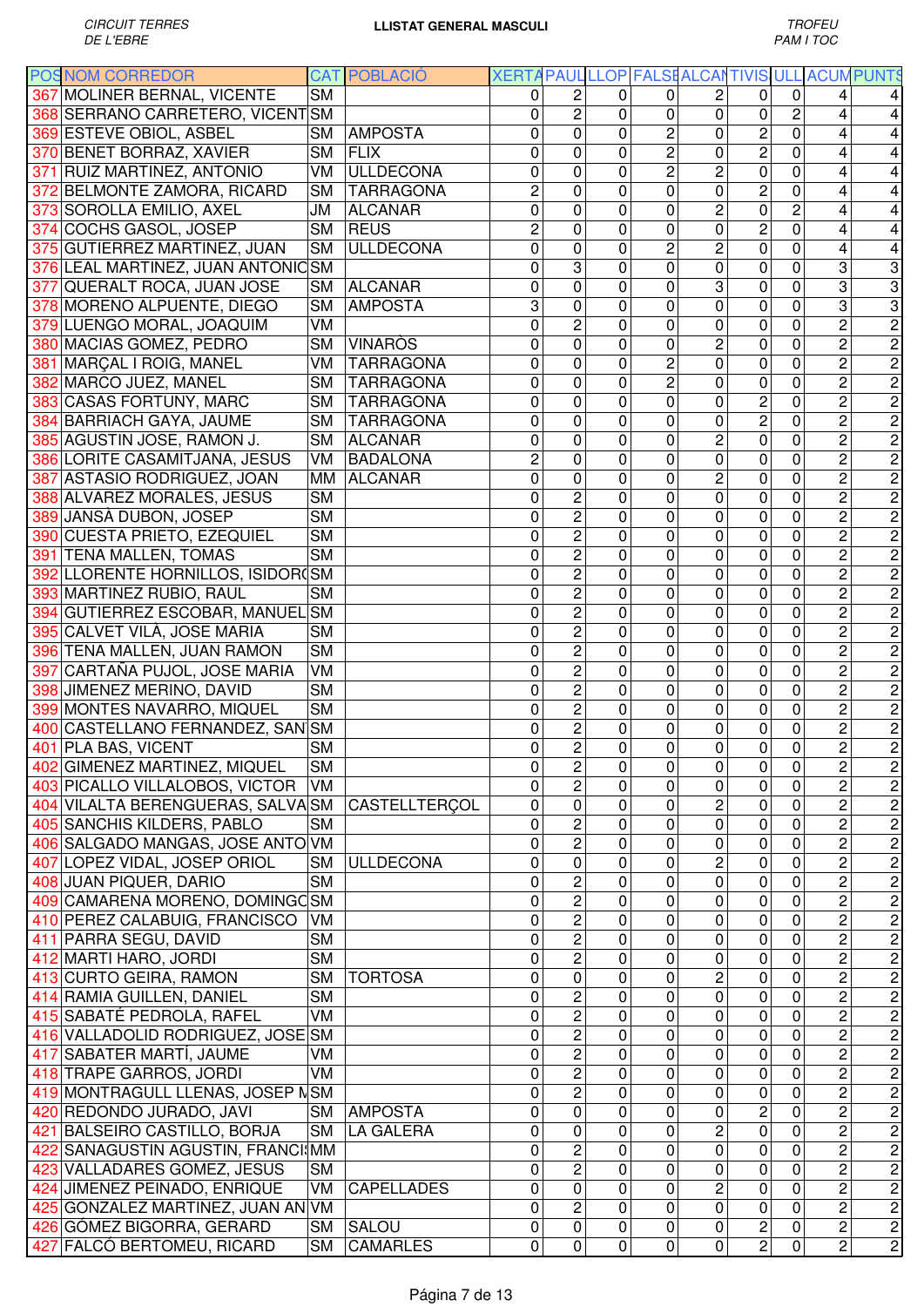| <b>POSNOM CORREDOR</b>            |                        | <b>CAT POBLACIÓ</b> |                |                         |              |                | XERTA PAUL LLOP FALSEALCANTIVIS ULL ACUM PUNTS |                         |                |                |                               |
|-----------------------------------|------------------------|---------------------|----------------|-------------------------|--------------|----------------|------------------------------------------------|-------------------------|----------------|----------------|-------------------------------|
| 367 MOLINER BERNAL, VICENTE       | <b>SM</b>              |                     | 0              | 2                       | 0            | $\mathbf{0}$   | $\overline{c}$                                 | $\Omega$                | $\Omega$       | 4              |                               |
| 368 SERRANO CARRETERO, VICENT SM  |                        |                     | 0              | $\overline{2}$          | 0            | 0              | 0                                              | 0                       | $\overline{c}$ | 4              | 4                             |
| 369 ESTEVE OBIOL, ASBEL           | <b>SM</b>              | <b>AMPOSTA</b>      | 0              | 0                       | 0            | $\overline{c}$ | 0                                              | $\overline{c}$          | $\overline{0}$ | 4              | 4                             |
| 370 BENET BORRAZ, XAVIER          | SM                     | <b>FLIX</b>         | 0              | 0                       | $\mathbf{0}$ | $\overline{c}$ | 0                                              | $\overline{c}$          | 0              | 4              | 4                             |
| 371 RUIZ MARTINEZ, ANTONIO        | VM                     | <b>ULLDECONA</b>    | 0              | 0                       | $\mathbf{0}$ | $\overline{c}$ | $\overline{c}$                                 | $\mathbf 0$             | 0              | 4              | 4                             |
| 372 BELMONTE ZAMORA, RICARD       | SM                     | <b>TARRAGONA</b>    | $\overline{c}$ | 0                       | 0            | 0              | $\overline{0}$                                 | $\overline{c}$          | 0              | 4              | 4                             |
| 373 SOROLLA EMILIO, AXEL          | JM                     | <b>ALCANAR</b>      | 0              | 0                       | 0            | 0              | $\overline{c}$                                 | 0                       | $\overline{c}$ | 4              | 4                             |
| 374 COCHS GASOL, JOSEP            | <b>SM</b>              | <b>REUS</b>         | $\overline{c}$ | 0                       | 0            | 0              | $\mathbf 0$                                    | $\overline{\mathbf{c}}$ | 0              | 4              | 4                             |
| 375 GUTIERREZ MARTINEZ, JUAN      | <b>SM</b>              | <b>ULLDECONA</b>    | 0              | $\mathsf 0$             | $\mathbf{0}$ | 2              | $\overline{c}$                                 | 0                       | 0              | 4              | 4                             |
| 376 LEAL MARTINEZ, JUAN ANTONICSM |                        |                     | 0              | 3                       | 0            | 0              | $\mathbf 0$                                    | 0                       | $\mathbf 0$    | 3              | $\overline{3}$                |
| 377 QUERALT ROCA, JUAN JOSE       | <b>SM</b>              | <b>ALCANAR</b>      | 0              | 0                       | $\mathbf 0$  | 0              | 3                                              | 0                       | 0              | 3              | $\overline{3}$                |
| 378 MORENO ALPUENTE, DIEGO        | <b>SM</b>              | <b>AMPOSTA</b>      | 3              | 0                       | 0            | 0              | 0                                              | $\mathbf 0$             | 0              | 3              | $\overline{3}$                |
| 379 LUENGO MORAL, JOAQUIM         | VM                     |                     | 0              | $\overline{2}$          | 0            | 0              | 0                                              | $\mathbf 0$             | 0              | $\overline{2}$ | $\overline{2}$                |
| 380 MACIAS GOMEZ, PEDRO           | <b>SM</b>              | <b>VINARÒS</b>      | 0              | 0                       | 0            | 0              | $\overline{c}$                                 | $\mathbf 0$             | 0              | $\overline{c}$ | $\overline{2}$                |
| 381 MARÇAL I ROIG, MANEL          | VM                     | <b>TARRAGONA</b>    | 0              | $\mathbf 0$             | 0            | 2              | $\mathbf 0$                                    | $\mathbf 0$             | 0              | $\overline{c}$ | $\overline{2}$                |
| 382 MARCO JUEZ, MANEL             | <b>SM</b>              | <b>TARRAGONA</b>    | 0              | 0                       | 0            | 2              | 0                                              | 0                       | 0              | $\overline{c}$ | $\overline{2}$                |
| 383 CASAS FORTUNY, MARC           | <b>SM</b>              | <b>TARRAGONA</b>    | 0              | 0                       | $\mathbf{0}$ | 0              | 0                                              | $\overline{2}$          | 0              | $\overline{2}$ | $\overline{2}$                |
| 384 BARRIACH GAYA, JAUME          | <b>SM</b>              | <b>TARRAGONA</b>    | $\mathbf 0$    | 0                       | 0            | 0              | 0                                              | $\overline{2}$          | 0              | $\overline{2}$ | $\overline{2}$                |
| 385 AGUSTIN JOSE, RAMON J.        | <b>SM</b>              | <b>ALCANAR</b>      | 0              | 0                       | 0            | 0              | $\overline{c}$                                 | $\mathbf 0$             | 0              | $\overline{2}$ | $\overline{2}$                |
| 386 LORITE CASAMITJANA, JESUS     | VM                     | <b>BADALONA</b>     | $\overline{c}$ | 0                       | 0            | 0              | $\mathbf 0$                                    | 0                       | 0              | $\overline{2}$ | $\overline{c}$                |
| 387 ASTASIO RODRIGUEZ, JOAN       | MМ                     | <b>ALCANAR</b>      | $\overline{0}$ | 0                       | $\mathbf 0$  | 0              | $\overline{2}$                                 | $\mathbf 0$             | 0              | $\overline{2}$ | $\overline{2}$                |
| 388 ALVAREZ MORALES, JESUS        | <b>SM</b>              |                     | 0              | $\overline{c}$          | $\mathbf{0}$ | 0              | $\overline{0}$                                 | $\mathbf 0$             | 0              | $\overline{2}$ | $\overline{2}$                |
| 389 JANSÀ DUBON, JOSEP            | <b>SM</b>              |                     | 0              | $\overline{2}$          | $\mathbf{0}$ | 0              | $\mathbf 0$                                    | $\mathbf 0$             | 0              | $\overline{2}$ | $\overline{c}$                |
| 390 CUESTA PRIETO, EZEQUIEL       | <b>SM</b>              |                     | 0              | $\overline{2}$          | 0            | 0              | 0                                              | 0                       | 0              | $\overline{c}$ | $\overline{2}$                |
| 391 TENA MALLEN, TOMAS            | <b>SM</b>              |                     | 0              | $\overline{2}$          | 0            | 0              | 0                                              | 0                       | 0              | $\overline{c}$ | $\overline{2}$                |
| 392 LLORENTE HORNILLOS, ISIDOR(SM |                        |                     | 0              | $\overline{2}$          | 0            | 0              | 0                                              | $\pmb{0}$               | 0              | $\overline{c}$ | $\overline{2}$                |
| 393 MARTINEZ RUBIO, RAUL          | <b>SM</b>              |                     | 0              | $\overline{2}$          | $\mathbf 0$  | 0              | 0                                              | $\mathbf 0$             | 0              | $\overline{c}$ | $\overline{c}$                |
| 394 GUTIERREZ ESCOBAR, MANUEL     | <b>SM</b>              |                     | 0              | $\overline{c}$          | $\mathbf 0$  | 0              | 0                                              | $\mathbf 0$             | 0              | $\overline{c}$ | $\overline{2}$                |
| 395 CALVET VILÀ, JOSE MARIA       | <b>SM</b>              |                     | 0              | $\overline{c}$          | 0            | 0              | 0                                              | $\mathbf 0$             | 0              | $\overline{c}$ | $\overline{c}$                |
| 396 TENA MALLEN, JUAN RAMON       | <b>SM</b>              |                     | 0              | $\overline{c}$          | 0            | 0              | 0                                              | $\mathbf 0$             | 0              | $\overline{c}$ | $\overline{2}$                |
| 397 CARTAÑA PUJOL, JOSE MARIA     | VM                     |                     | 0              | $\overline{2}$          | 0            | 0              | 0                                              | $\mathbf 0$             | 0              | $\overline{c}$ | $\overline{2}$                |
| 398 JIMENEZ MERINO, DAVID         | <b>SM</b>              |                     | 0              | $\overline{c}$          | 0            | 0              | 0                                              | $\mathbf 0$             | 0              | 2              | $\overline{2}$                |
| 399 MONTES NAVARRO, MIQUEL        | <b>SM</b>              |                     | 0              | $\overline{c}$          | $\mathbf{0}$ | 0              | 0                                              | $\mathbf 0$             | 0              | $\overline{c}$ | $\overline{2}$                |
| 400 CASTELLANO FERNANDEZ, SAN SM  |                        |                     | 0              | $\overline{2}$          | 0            | 0              | 0                                              | $\mathbf 0$             | 0              | $\overline{c}$ | $\overline{2}$                |
| 401 PLA BAS, VICENT               | <b>SM</b>              |                     | 0              | $\overline{c}$          | 0            | $\pmb{0}$      | 0                                              | $\pmb{0}$               | 0              | $\overline{2}$ | $\overline{2}$                |
| 402 GIMENEZ MARTINEZ, MIQUEL      | $\overline{\text{SM}}$ |                     | $\pmb{0}$      | $\overline{2}$          | $\mathbf 0$  | $\mathbf 0$    | $\mathbf 0$                                    | $\mathbf 0$             | $\pmb{0}$      |                |                               |
| 403 PICALLO VILLALOBOS, VICTOR    | VM                     |                     | 0              | $\overline{c}$          | $\mathbf 0$  | 0              | 0                                              | $\mathbf 0$             | $\mathbf 0$    | $\frac{2}{2}$  | $\frac{1}{2}$                 |
| 404 VILALTA BERENGUERAS, SALVASM  |                        | CASTELLTERCOL       | 0              | 0                       | 0            | 0              | $\overline{c}$                                 | 0                       | 0              | $\overline{2}$ | $\overline{c}$                |
| 405 SANCHIS KILDERS, PABLO        | <b>SM</b>              |                     | 0              | $\overline{c}$          | 0            | 0              | 0                                              | 0                       | 0              | $\overline{c}$ |                               |
| 406 SALGADO MANGAS, JOSE ANTO VM  |                        |                     | 0              | $\overline{2}$          | 0            | 0              | 0                                              | 0                       | 0              | $\overline{c}$ |                               |
| 407 LOPEZ VIDAL, JOSEP ORIOL      | <b>SM</b>              | <b>ULLDECONA</b>    | 0              | 0                       | 0            | 0              | $\overline{c}$                                 | 0                       | 0              | $\overline{c}$ |                               |
| 408 JUAN PIQUER, DARIO            | <b>SM</b>              |                     | 0              | $\overline{2}$          | 0            | 0              | 0                                              | $\pmb{0}$               | 0              | $\overline{c}$ |                               |
| 409 CAMARENA MORENO, DOMINGC SM   |                        |                     | 0              | $\overline{2}$          | 0            | 0              | 0                                              | $\pmb{0}$               | 0              | $\overline{c}$ |                               |
| 410 PEREZ CALABUIG, FRANCISCO     | VM                     |                     | 0              | $\overline{c}$          | 0            | 0              | 0                                              | 0                       | 0              | $\overline{c}$ |                               |
| 411 PARRA SEGU, DAVID             | <b>SM</b>              |                     | 0              | $\overline{\mathbf{c}}$ | $\mathbf 0$  | 0              | 0                                              | $\pmb{0}$               | 0              | $\overline{c}$ |                               |
| 412 MARTI HARO, JORDI             | <b>SM</b>              |                     | 0              | $\overline{2}$          | $\mathbf 0$  | 0              | 0                                              | $\mathbf 0$             | 0              | $\overline{c}$ | $\frac{1}{2}$                 |
| 413 CURTO GEIRA, RAMON            | <b>SM</b>              | <b>TORTOSA</b>      | 0              | 0                       | 0            | 0              | $\overline{c}$                                 | 0                       | 0              | $\overline{c}$ |                               |
| 414 RAMIA GUILLEN, DANIEL         | $\overline{\text{SM}}$ |                     | 0              | $\overline{2}$          | $\mathbf 0$  | 0              | 0                                              | $\mathbf 0$             | $\mathbf 0$    | $\overline{c}$ |                               |
| 415 SABATÉ PEDROLA, RAFEL         | VM                     |                     | 0              | $\overline{2}$          | 0            | 0              | 0                                              | 0                       | 0              | $\overline{c}$ |                               |
| 416 VALLADOLID RODRIGUEZ, JOSE SM |                        |                     | 0              | $\overline{2}$          | $\mathbf{0}$ | 0              | 0                                              | 0                       | $\mathbf 0$    | $\overline{2}$ |                               |
| 417 SABATER MARTÍ, JAUME          | VM                     |                     | 0              | $\overline{2}$          | $\Omega$     | 0              | $\mathbf 0$                                    | 0                       | 0              | $\overline{2}$ | ט ט ט ט ט ט ט ט ט ט ט ט ט ט ט |
| 418 TRAPE GARROS, JORDI           | VM                     |                     | 0              | $\overline{2}$          | 0            | 0              | 0                                              | 0                       | $\mathbf 0$    | $\overline{2}$ |                               |
| 419 MONTRAGULL LLENAS, JOSEP NSM  |                        |                     | 0              | $\overline{2}$          | 0            | 0              | 0                                              | 0                       | 0              | $\overline{2}$ |                               |
| 420 REDONDO JURADO, JAVI          | <b>SM</b>              | <b>AMPOSTA</b>      | 0              | $\overline{0}$          | $\mathbf 0$  | 0              | 0                                              | $\overline{2}$          | 0              | $\overline{2}$ |                               |
| 421 BALSEIRO CASTILLO, BORJA      | <b>SM</b>              | LA GALERA           | $\mathbf 0$    | 0                       | $\mathbf{0}$ | 0              | $\overline{2}$                                 | $\overline{0}$          | 0              | $\overline{2}$ |                               |
| 422 SANAGUSTIN AGUSTIN, FRANCI MM |                        |                     | 0              | $\overline{2}$          | $\mathbf{0}$ | 0              | $\overline{0}$                                 | 0                       | 0              | $\overline{2}$ |                               |
| 423 VALLADARES GOMEZ, JESUS       | <b>SM</b>              |                     | 0              | $\overline{2}$          | 0            | 0              | 0                                              | 0                       | 0              | $\overline{c}$ |                               |
| 424 JIMENEZ PEINADO, ENRIQUE      | VM                     | <b>CAPELLADES</b>   | 0              | 0                       | 0            | 0              | $\overline{c}$                                 | 0                       | 0              | $\overline{c}$ |                               |
| 425 GONZALEZ MARTINEZ, JUAN AN VM |                        |                     | 0              | $\overline{2}$          | 0            | 0              | $\mathbf 0$                                    | 0                       | 0              | $\overline{2}$ |                               |
| 426 GÓMEZ BIGORRA, GERARD         | <b>SM</b>              | SALOU               | 0              | $\pmb{0}$               | 0            | $\pmb{0}$      | $\pmb{0}$                                      | $\overline{c}$          | 0              | $\overline{c}$ |                               |
| 427 FALCÓ BERTOMEU, RICARD        | <b>SM</b>              | <b>CAMARLES</b>     | 0              | $\mathbf 0$             | $\mathbf 0$  | 0              | 0                                              | $\overline{c}$          | 0              | $\overline{c}$ |                               |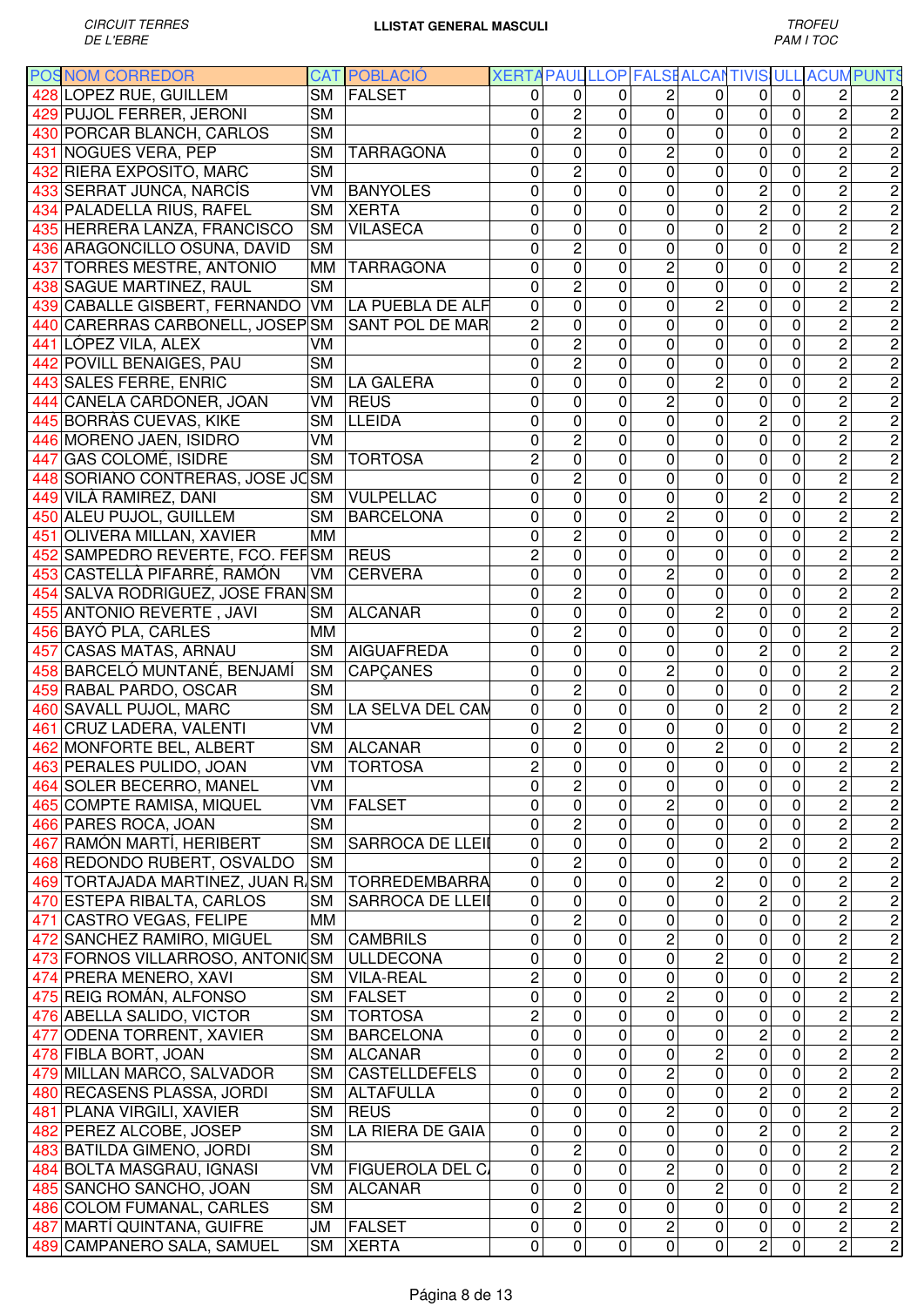|     | <b>POSNOM CORREDOR</b>                |           | <b>CAT POBLACIÓ</b>     |                         |                         |              |                         |                | XERTA PAUL LLOP FALSE ALCANTIVIS ULL ACUM PUNTS |                |                         |                         |
|-----|---------------------------------------|-----------|-------------------------|-------------------------|-------------------------|--------------|-------------------------|----------------|-------------------------------------------------|----------------|-------------------------|-------------------------|
|     | 428 LOPEZ RUE, GUILLEM                | <b>SM</b> | FALSET                  | 0                       | $\mathbf 0$             | 0            | 2                       | 0              | $\Omega$                                        | 0              | 2                       | 2                       |
|     | 429 PUJOL FERRER, JERONI              | <b>SM</b> |                         | 0                       | $\overline{c}$          | 0            | $\mathbf 0$             | 0              | 0                                               | $\mathbf 0$    | $\overline{c}$          | $\overline{c}$          |
|     | 430 PORCAR BLANCH, CARLOS             | <b>SM</b> |                         | 0                       | $\overline{c}$          | $\mathbf 0$  | 0                       | 0              | $\mathbf 0$                                     | 0              | $\overline{c}$          | $\overline{2}$          |
|     | 431 NOGUES VERA, PEP                  | <b>SM</b> | <b>TARRAGONA</b>        | 0                       | $\overline{0}$          | $\mathbf 0$  | $\overline{c}$          | 0              | $\mathbf 0$                                     | 0              | $\overline{2}$          | $\overline{2}$          |
|     | 432 RIERA EXPOSITO, MARC              | <b>SM</b> |                         | 0                       | $\overline{c}$          | $\Omega$     | 0                       | 0              | $\mathbf 0$                                     | 0              | $\overline{2}$          | $\overline{2}$          |
|     | 433 SERRAT JUNCA, NARCÍS              | VM        | <b>BANYOLES</b>         | 0                       | $\overline{0}$          | 0            | 0                       | 0              | $\overline{c}$                                  | 0              | $\overline{2}$          | $\overline{2}$          |
|     | 434 PALADELLA RIUS, RAFEL             | SM        | <b>XERTA</b>            | 0                       | 0                       | 0            | 0                       | 0              | $\overline{c}$                                  | 0              | $\overline{c}$          | $\overline{2}$          |
|     | 435 HERRERA LANZA, FRANCISCO          | <b>SM</b> | <b>VILASECA</b>         | 0                       | 0                       | 0            | 0                       | 0              | $\overline{c}$                                  | 0              | $\overline{2}$          | $\overline{2}$          |
|     | 436 ARAGONCILLO OSUNA, DAVID          | <b>SM</b> |                         | 0                       | $\overline{2}$          | $\mathbf{0}$ | 0                       | 0              | 0                                               | 0              | $\overline{2}$          | $\overline{2}$          |
|     | 437 TORRES MESTRE, ANTONIO            | MМ        | <b>TARRAGONA</b>        | 0                       | 0                       | $\mathbf 0$  | $\overline{c}$          | 0              | $\mathbf 0$                                     | 0              | $\overline{c}$          | $\overline{2}$          |
|     | 438 SAGUE MARTINEZ, RAUL              | <b>SM</b> |                         | 0                       | $\overline{c}$          | $\mathbf 0$  | 0                       | 0              | $\mathbf 0$                                     | 0              | $\overline{c}$          | $\overline{2}$          |
|     | 439 CABALLE GISBERT, FERNANDO         | VM        | LA PUEBLA DE ALF        | 0                       | 0                       | $\mathbf 0$  | 0                       | 2              | $\mathbf 0$                                     | 0              | $\overline{c}$          | $\overline{2}$          |
|     | 440 CARERRAS CARBONELL, JOSEP SM      |           | SANT POL DE MAR         | $\overline{c}$          | 0                       | $\mathbf 0$  | 0                       | $\overline{0}$ | $\mathbf 0$                                     | $\overline{0}$ | $\overline{c}$          | $\overline{2}$          |
|     | 441 LÓPEZ VILA, ALEX                  | VM        |                         | 0                       | $\overline{2}$          | $\mathbf 0$  | 0                       | 0              | $\mathbf 0$                                     | 0              | $\overline{c}$          | $\overline{2}$          |
|     | 442 POVILL BENAIGES, PAU              | <b>SM</b> |                         | 0                       | $\overline{2}$          | $\mathbf 0$  | 0                       | 0              | $\mathbf 0$                                     | 0              | $\overline{c}$          | $\overline{2}$          |
|     | 443 SALES FERRE, ENRIC                | <b>SM</b> | <b>LA GALERA</b>        | 0                       | 0                       | 0            | 0                       | $\overline{2}$ | 0                                               | 0              | $\overline{c}$          | $\overline{2}$          |
|     |                                       |           | <b>REUS</b>             |                         |                         |              | $\overline{c}$          | $\overline{0}$ |                                                 |                | $\overline{2}$          |                         |
|     | 444 CANELA CARDONER, JOAN             | VM        |                         | 0                       | 0                       | 0            |                         |                | 0                                               | 0              |                         | $\overline{2}$          |
|     | 445 BORRAS CUEVAS, KIKE               | <b>SM</b> | <b>LLEIDA</b>           | 0                       | 0                       | $\mathbf 0$  | 0                       | 0              | $\overline{2}$                                  | 0              | $\overline{2}$          | $\overline{2}$          |
|     | 446 MORENO JAEN, ISIDRO               | VM        |                         | 0                       | $\overline{2}$          | $\mathbf 0$  | $\mathbf 0$             | 0              | $\mathbf 0$                                     | $\mathbf 0$    | $\overline{2}$          | $\overline{2}$          |
|     | 447 GAS COLOMÉ, ISIDRE                | <b>SM</b> | <b>TORTOSA</b>          | 2                       | 0                       | $\mathbf 0$  | 0                       | 0              | $\mathbf 0$                                     | 0              | $\overline{2}$          | $\overline{2}$          |
|     | 448 SORIANO CONTRERAS, JOSE JOSM      |           |                         | $\overline{0}$          | $\overline{2}$          | $\mathbf 0$  | 0                       | 0              | $\mathbf 0$                                     | 0              | $\overline{2}$          | $\overline{c}$          |
|     | 449 VILÀ RAMIREZ, DANI                | <b>SM</b> | <b>VULPELLAC</b>        | $\overline{0}$          | $\overline{0}$          | $\Omega$     | 0                       | 0              | $\overline{2}$                                  | 0              | $\overline{2}$          | $\overline{2}$          |
|     | 450 ALEU PUJOL, GUILLEM               | <b>SM</b> | <b>BARCELONA</b>        | 0                       | 0                       | 0            | 2                       | 0              | $\mathbf 0$                                     | 0              | $\overline{2}$          | $\overline{2}$          |
| 451 | <b>OLIVERA MILLAN, XAVIER</b>         | MМ        |                         | 0                       | $\overline{c}$          | 0            | 0                       | 0              | 0                                               | 0              | $\overline{c}$          | $\overline{2}$          |
|     | 452 SAMPEDRO REVERTE, FCO. FEFSM REUS |           |                         | $\overline{c}$          | 0                       | 0            | 0                       | 0              | 0                                               | 0              | $\overline{c}$          | $\overline{2}$          |
|     | 453 CASTELLÀ PIFARRÉ, RAMÓN           | VM        | <b>CERVERA</b>          | 0                       | 0                       | 0            | 2                       | 0              | 0                                               | 0              | $\overline{c}$          | $\overline{2}$          |
|     | 454 SALVA RODRIGUEZ, JOSE FRANSM      |           |                         | 0                       | $\overline{c}$          | $\mathbf 0$  | 0                       | 0              | $\mathbf 0$                                     | 0              | $\overline{c}$          | $\overline{2}$          |
|     | 455 ANTONIO REVERTE, JAVI             | <b>SM</b> | <b>ALCANAR</b>          | 0                       | 0                       | $\mathbf 0$  | 0                       | $\overline{c}$ | $\mathbf 0$                                     | 0              | $\overline{c}$          | $\overline{2}$          |
|     | 456 BAYÓ PLA, CARLES                  | <b>MM</b> |                         | 0                       | $\overline{c}$          | $\mathbf 0$  | 0                       | 0              | $\mathbf 0$                                     | 0              | $\overline{c}$          | $\overline{2}$          |
|     | 457 CASAS MATAS, ARNAU                | <b>SM</b> | <b>AIGUAFREDA</b>       | 0                       | 0                       | $\mathbf 0$  | 0                       | 0              | $\overline{c}$                                  | 0              | $\overline{c}$          | $\overline{c}$          |
|     | 458 BARCELÓ MUNTANÉ, BENJAMÍ          | <b>SM</b> | <b>CAPCANES</b>         | 0                       | 0                       | $\mathbf 0$  | $\overline{c}$          | 0              | $\mathbf 0$                                     | 0              | $\overline{c}$          | $\overline{2}$          |
|     | 459 RABAL PARDO, OSCAR                | <b>SM</b> |                         | 0                       | $\overline{c}$          | 0            | 0                       | 0              | $\mathbf 0$                                     | 0              | 2                       | $\overline{\mathbf{c}}$ |
|     | 460 SAVALL PUJOL, MARC                | <b>SM</b> | LA SELVA DEL CAN        | 0                       | $\mathbf 0$             | 0            | 0                       | 0              | $\overline{c}$                                  | 0              | $\overline{c}$          | $\overline{c}$          |
|     | 461 CRUZ LADERA, VALENTI              | <b>VM</b> |                         | 0                       | $\overline{2}$          | 0            | 0                       | 0              | 0                                               | 0              | $\overline{c}$          | $\overline{c}$          |
|     | 462 MONFORTE BEL, ALBERT              | <b>SM</b> | <b>ALCANAR</b>          | 0                       | $\overline{0}$          | $\pmb{0}$    | $\pmb{0}$               | $\overline{c}$ | $\pmb{0}$                                       | 0              | $\overline{2}$          | $\overline{2}$          |
|     | 463 PERALES PULIDO, JOAN              |           | VM TORTOSA              | $\overline{\mathbf{c}}$ | $\overline{0}$          | $\mathbf 0$  | $\overline{0}$          | $\overline{0}$ | $\pmb{0}$                                       | $\overline{0}$ |                         |                         |
|     | 464 SOLER BECERRO, MANEL              | VM        |                         | $\mathbf 0$             | $\overline{c}$          | $\mathbf 0$  | $\mathbf 0$             | 0              | $\mathbf 0$                                     | $\mathbf 0$    | $\frac{2}{2}$           | $\frac{1}{2}$           |
|     | 465 COMPTE RAMISA, MIQUEL             | VM        | <b>FALSET</b>           | 0                       | $\mathbf 0$             | 0            | 2                       | 0              | 0                                               | 0              | $\overline{2}$          | $\overline{c}$          |
|     | 466 PARES ROCA, JOAN                  | <b>SM</b> |                         | 0                       | $\overline{c}$          | 0            | 0                       | 0              | 0                                               | 0              | $\overline{2}$          |                         |
|     | 467 RAMÓN MARTÍ, HERIBERT             | <b>SM</b> | <b>SARROCA DE LLEII</b> | $\mathbf 0$             | $\overline{0}$          | 0            | 0                       | $\mathbf 0$    | $\overline{c}$                                  | $\mathbf 0$    | $\overline{c}$          |                         |
|     | 468 REDONDO RUBERT, OSVALDO           | <b>SM</b> |                         | 0                       | $\overline{2}$          | 0            | 0                       | 0              | $\pmb{0}$                                       | 0              | $\overline{c}$          |                         |
|     | 469 TORTAJADA MARTINEZ, JUAN R SM     |           | <b>TORREDEMBARRA</b>    | 0                       | 0                       | 0            | 0                       | $\overline{2}$ | $\pmb{0}$                                       | 0              | $\overline{c}$          |                         |
|     | 470 ESTEPA RIBALTA, CARLOS            | <b>SM</b> | <b>SARROCA DE LLEII</b> | 0                       | 0                       | $\mathbf 0$  | 0                       | 0              | $\mathbf 2$                                     | $\mathbf 0$    | $\overline{c}$          |                         |
|     | 471 CASTRO VEGAS, FELIPE              | MM        |                         | 0                       | 2                       | $\mathbf 0$  | 0                       | 0              | $\pmb{0}$                                       | 0              | $\overline{c}$          |                         |
|     |                                       | <b>SM</b> | <b>CAMBRILS</b>         | 0                       | 0                       | 0            | $\overline{\mathbf{c}}$ | 0              | $\pmb{0}$                                       | 0              | 2                       |                         |
|     | 472 SANCHEZ RAMIRO, MIGUEL            |           | <b>ULLDECONA</b>        | 0                       | 0                       | $\mathbf 0$  | 0                       | $\overline{2}$ | $\pmb{0}$                                       | 0              | $\overline{2}$          |                         |
|     | 473 FORNOS VILLARROSO, ANTONICSM      |           |                         |                         |                         |              |                         |                |                                                 |                |                         |                         |
|     | 474 PRERA MENERO, XAVI                | <b>SM</b> | <b>VILA-REAL</b>        | 2                       | 0                       | $\mathbf 0$  | 0                       | $\mathbf 0$    | 0                                               | 0              | $\overline{2}$          |                         |
|     | 475 REIG ROMÁN, ALFONSO               | <b>SM</b> | <b>FALSET</b>           | 0                       | 0                       | $\mathbf 0$  | 2                       | 0              | 0                                               | 0              | 2                       |                         |
|     | 476 ABELLA SALIDO, VICTOR             | <b>SM</b> | <b>TORTOSA</b>          | 2                       | 0                       | 0            | 0                       | 0              | 0                                               | 0              | 2                       |                         |
|     | 477 ODENA TORRENT, XAVIER             | <b>SM</b> | <b>BARCELONA</b>        | 0                       | $\overline{0}$          | 0            | $\mathbf 0$             | 0              | $\mathbf 2$                                     | 0              | $\overline{2}$          |                         |
|     | 478 FIBLA BORT, JOAN                  | <b>SM</b> | <b>ALCANAR</b>          | 0                       | $\overline{\mathsf{o}}$ | 0            | $\mathbf 0$             | $\overline{2}$ | $\overline{0}$                                  | $\pmb{0}$      | $\overline{2}$          |                         |
|     | 479 MILLAN MARCO, SALVADOR            | <b>SM</b> | <b>CASTELLDEFELS</b>    | 0                       | $\overline{0}$          | 0            | $\overline{2}$          | $\mathbf 0$    | $\overline{0}$                                  | $\mathbf 0$    | $\overline{2}$          |                         |
|     | 480 RECASENS PLASSA, JORDI            | <b>SM</b> | <b>ALTAFULLA</b>        | 0                       | 0                       | 0            | $\mathbf 0$             | 0              | $\overline{2}$                                  | $\mathbf 0$    | $\overline{2}$          |                         |
|     | 481 PLANA VIRGILI, XAVIER             | <b>SM</b> | <b>REUS</b>             | $\mathbf 0$             | 0                       | $\mathbf 0$  | $\overline{c}$          | 0              | $\overline{0}$                                  | $\mathbf 0$    | $\overline{2}$          |                         |
|     | 482 PEREZ ALCOBE, JOSEP               | <b>SM</b> | LA RIERA DE GAIA        | $\mathbf 0$             | 0                       | 0            | 0                       | $\mathbf 0$    | $\overline{c}$                                  | 0              | $\overline{2}$          |                         |
|     | 483 BATILDA GIMENO, JORDI             | <b>SM</b> |                         | 0                       | $\overline{2}$          | 0            | 0                       | 0              | $\pmb{0}$                                       | $\mathbf 0$    | $\overline{2}$          |                         |
|     | 484 BOLTA MASGRAU, IGNASI             | VM        | <b>FIGUEROLA DEL CA</b> | 0                       | $\overline{0}$          | 0            | 2                       | 0              | $\pmb{0}$                                       | 0              | $\overline{2}$          |                         |
|     | 485 SANCHO SANCHO, JOAN               | <b>SM</b> | <b>ALCANAR</b>          | 0                       | $\mathbf 0$             | 0            | 0                       | 2              | $\pmb{0}$                                       | 0              | $\overline{\mathbf{c}}$ |                         |
|     | 486 COLOM FUMANAL, CARLES             | <b>SM</b> |                         | 0                       | $\overline{2}$          | 0            | $\mathbf 0$             | $\pmb{0}$      | $\pmb{0}$                                       | 0              | 2                       |                         |
|     | 487 MARTÍ QUINTANA, GUIFRE            | JM        | FALSET                  | 0                       | $\mathsf{O}\xspace$     | $\pmb{0}$    | $\overline{\mathbf{c}}$ | $\pmb{0}$      | $\pmb{0}$                                       | 0              | 2                       |                         |
|     | 489 CAMPANERO SALA, SAMUEL            | <b>SM</b> | <b>XERTA</b>            | 0                       | $\pmb{0}$               | $\pmb{0}$    | 0                       | 0              | $\overline{c}$                                  | 0              | 2                       |                         |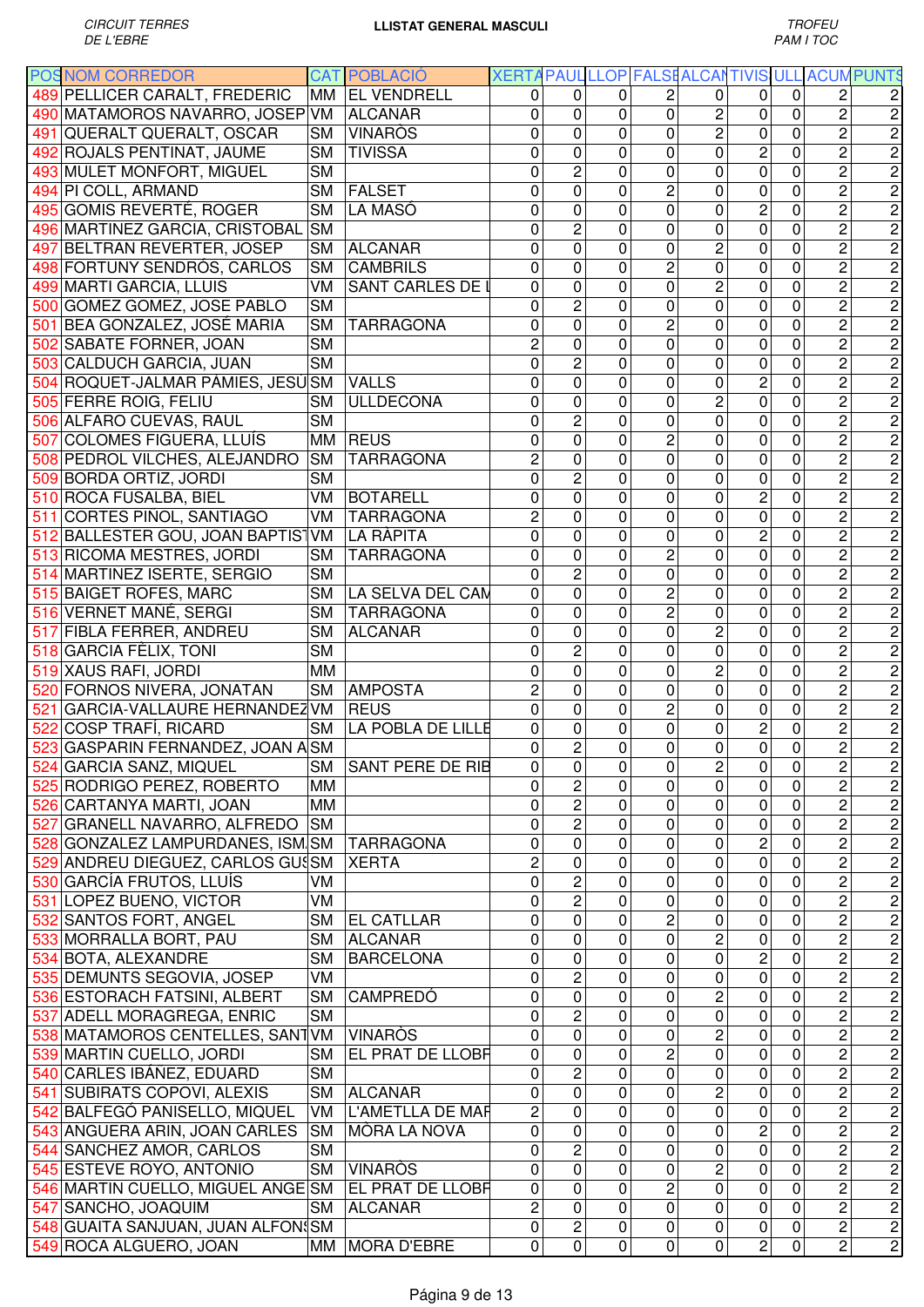|     | <b>POSNOM CORREDOR</b>               |           | <b>CAT POBLACIÓ</b> | XERTA PAUL LLOP FALSE ALCANTIVIS ULL ACUM PUNTS |                |              |                |                |                |                |                         |                                                               |
|-----|--------------------------------------|-----------|---------------------|-------------------------------------------------|----------------|--------------|----------------|----------------|----------------|----------------|-------------------------|---------------------------------------------------------------|
|     | 489 PELLICER CARALT, FREDERIC        |           | MM   EL VENDRELL    | 0                                               | $\Omega$       | 0            | 2              | 0              | 0              | 0              | 2                       |                                                               |
|     | 490 MATAMOROS NAVARRO, JOSEP VM      |           | <b>ALCANAR</b>      | 0                                               | $\mathbf 0$    | $\mathbf{0}$ | 0              | $\overline{2}$ | 0              | 0              | $\overline{c}$          | 2                                                             |
|     | 491 QUERALT QUERALT, OSCAR           | <b>SM</b> | <b>VINARÒS</b>      | 0                                               | 0              | $\mathbf{0}$ | 0              | $\overline{c}$ | 0              | $\mathbf 0$    | $\overline{2}$          | $\overline{c}$                                                |
|     | 492 ROJALS PENTINAT, JAUME           | <b>SM</b> | <b>TIVISSA</b>      | 0                                               | 0              | $\Omega$     | 0              | 0              | $\overline{c}$ | 0              | $\overline{c}$          | $\overline{c}$                                                |
|     | 493 MULET MONFORT, MIGUEL            | <b>SM</b> |                     | 0                                               | $\overline{c}$ | 0            | 0              | 0              | $\mathbf 0$    | 0              | $\overline{c}$          | $\overline{\mathbf{c}}$                                       |
| 494 | PI COLL, ARMAND                      | <b>SM</b> | <b>FALSET</b>       | 0                                               | 0              | $\Omega$     | 2              | 0              | $\mathbf 0$    | 0              | $\overline{2}$          | $\overline{c}$                                                |
|     | 495 GOMIS REVERTÉ, ROGER             | <b>SM</b> | LA MASÓ             | 0                                               | $\mathbf 0$    | 0            | 0              | 0              | $\overline{c}$ | 0              | $\overline{2}$          | $\overline{2}$                                                |
|     | 496 MARTINEZ GARCIA, CRISTOBAL       | <b>SM</b> |                     | 0                                               | $\overline{2}$ | $\mathbf{0}$ | 0              | 0              | 0              | 0              | $\overline{c}$          | $\overline{2}$                                                |
|     | 497 BELTRAN REVERTER, JOSEP          | <b>SM</b> | <b>ALCANAR</b>      | 0                                               | 0              | $\mathbf{0}$ | 0              | $\overline{c}$ | 0              | 0              | $\overline{c}$          | $\overline{2}$                                                |
|     | 498 FORTUNY SENDRÓS, CARLOS          | SM        | <b>CAMBRILS</b>     | 0                                               | $\mathbf 0$    | 0            | 2              | 0              | 0              | 0              | $\overline{c}$          | $\overline{2}$                                                |
|     | 499 MARTI GARCIA, LLUIS              | <b>VM</b> | SANT CARLES DE I    | 0                                               | 0              | $\mathbf 0$  | 0              | $\overline{c}$ | 0              | 0              | $\overline{c}$          | $\overline{c}$                                                |
|     | 500 GOMEZ GOMEZ, JOSE PABLO          | <b>SM</b> |                     | 0                                               | $\overline{c}$ | $\mathbf 0$  | 0              | 0              | 0              | 0              | $\overline{c}$          | $\overline{2}$                                                |
|     | 501 BEA GONZALEZ, JOSÉ MARIA         | <b>SM</b> | <b>TARRAGONA</b>    | 0                                               | 0              | $\mathbf 0$  | 2              | 0              | $\mathbf 0$    | 0              | $\overline{c}$          | $\overline{2}$                                                |
|     | 502 SABATE FORNER, JOAN              | <b>SM</b> |                     | $\overline{c}$                                  | 0              | $\mathbf 0$  | 0              | 0              | $\mathbf 0$    | 0              | $\overline{2}$          | $\overline{2}$                                                |
|     | 503 CALDUCH GARCIA, JUAN             | <b>SM</b> |                     | 0                                               | $\overline{c}$ | $\mathbf 0$  | 0              | 0              | $\mathbf 0$    | 0              | $\overline{c}$          | $\overline{2}$                                                |
|     | 504 ROQUET-JALMAR PÀMIES, JESÚSM     |           | <b>VALLS</b>        | 0                                               | 0              | 0            | 0              | 0              | $\overline{c}$ | 0              | $\overline{c}$          | $\overline{c}$                                                |
|     | 505 FERRE ROIG, FELIU                | <b>SM</b> | <b>ULLDECONA</b>    | 0                                               | 0              | 0            | 0              | $\overline{c}$ | 0              | 0              | $\overline{c}$          | $\overline{c}$                                                |
|     | 506 ALFARO CUEVAS, RAUL              | <b>SM</b> |                     | 0                                               | $\overline{2}$ | $\mathbf 0$  | 0              | 0              | 0              | 0              | $\overline{2}$          | $\overline{2}$                                                |
|     | 507 COLOMES FIGUERA, LLUÍS           |           | MM REUS             | 0                                               | 0              | $\mathbf 0$  | 2              | 0              | 0              | 0              | $\overline{2}$          | $\overline{2}$                                                |
|     | 508 PEDROL VILCHES, ALEJANDRO        | <b>SM</b> | <b>TARRAGONA</b>    | $\overline{c}$                                  | 0              | $\mathbf 0$  | 0              | 0              | 0              | 0              | $\overline{2}$          | $\overline{2}$                                                |
|     | 509 BORDA ORTIZ, JORDI               | <b>SM</b> |                     | 0                                               | $\overline{c}$ | 0            | 0              | 0              | $\mathbf 0$    | 0              | $\overline{2}$          | $\overline{2}$                                                |
|     | 510 ROCA FUSALBA, BIEL               | VM        | <b>BOTARELL</b>     | 0                                               | $\overline{0}$ | $\mathbf 0$  | 0              | 0              | $\overline{2}$ | 0              | $\overline{2}$          | $\overline{2}$                                                |
| 511 | CORTES PIÑOL, SANTIAGO               | VM        | <b>TARRAGONA</b>    | $\overline{2}$                                  | 0              | $\mathbf{0}$ | 0              | 0              | $\mathbf 0$    | 0              | $\overline{2}$          | $\overline{2}$                                                |
| 512 | <b>BALLESTER GOU, JOAN BAPTIS VM</b> |           | LA RÀPITA           | 0                                               | $\overline{0}$ | $\mathbf{0}$ | 0              | 0              | $\overline{2}$ | $\overline{0}$ | $\overline{2}$          | $\overline{2}$                                                |
|     | 513 RICOMA MESTRES, JORDI            | <b>SM</b> | TARRAGONA           | 0                                               | $\mathbf 0$    | 0            | 2              | 0              | 0              | 0              | $\overline{c}$          | $\overline{c}$                                                |
|     | 514 MARTINEZ ISERTE, SERGIO          | <b>SM</b> |                     | 0                                               | $\overline{c}$ | 0            | 0              | 0              | 0              | 0              | $\overline{c}$          | $\overline{c}$                                                |
|     | 515 BAIGET ROFES, MARC               | <b>SM</b> | LA SELVA DEL CAM    | 0                                               | $\mathbf 0$    | $\mathbf 0$  | $\overline{c}$ | 0              | 0              | 0              | $\overline{c}$          | $\overline{c}$                                                |
|     | 516 VERNET MAÑÉ, SERGI               | <b>SM</b> | <b>TARRAGONA</b>    | 0                                               | 0              | $\mathbf 0$  | $\overline{c}$ | 0              | 0              | 0              | $\overline{c}$          | $\overline{2}$                                                |
|     | 517 FIBLA FERRER, ANDREU             | <b>SM</b> | <b>ALCANAR</b>      | 0                                               | 0              | $\mathbf 0$  | $\mathbf 0$    | $\overline{c}$ | $\mathbf 0$    | 0              | $\overline{c}$          | $\overline{c}$                                                |
|     | 518 GARCIA FÈLIX, TONI               | <b>SM</b> |                     | 0                                               | $\overline{c}$ | $\mathbf 0$  | 0              | 0              | $\mathbf 0$    | 0              | $\overline{c}$          | $\overline{c}$                                                |
|     | 519 XAUS RAFI, JORDI                 | MM        |                     | 0                                               | 0              | $\mathbf 0$  | 0              | $\overline{c}$ | $\mathbf 0$    | 0              | $\overline{c}$          | $\overline{c}$                                                |
|     | 520 FORNOS NIVERA, JONATAN           | <b>SM</b> | <b>AMPOSTA</b>      | $\overline{c}$                                  | 0              | 0            | 0              | 0              | $\mathbf 0$    | 0              | $\overline{c}$          | $\overline{c}$                                                |
| 521 | GARCIA-VALLAURE HERNANDEZ VM         |           | <b>REUS</b>         | 0                                               | 0              | 0            | $\overline{c}$ | 0              | $\mathbf 0$    | 0              | 2                       | $\overline{c}$                                                |
|     | 522 COSP TRAFÍ, RICARD               | <b>SM</b> | LA POBLA DE LILLE   | 0                                               | 0              | 0            | 0              | 0              | $\overline{c}$ | 0              | $\overline{c}$          | $\overline{c}$                                                |
|     | 523 GASPARIN FERNANDEZ, JOAN A SM    |           |                     | 0                                               | $\overline{c}$ | 0            | $\pmb{0}$      | $\pmb{0}$      | $\pmb{0}$      | 0              | $\overline{c}$          | 2                                                             |
|     | 524 GARCIA SANZ, MIQUEL              | <b>SM</b> | SANT PERE DE RIB    | $\mathbf 0$                                     | $\overline{0}$ | $\mathbf 0$  | $\overline{0}$ | $\overline{2}$ | $\pmb{0}$      | $\overline{0}$ | $\frac{2}{2}$           | $\overline{2}$                                                |
|     | 525 RODRIGO PEREZ, ROBERTO           | MM        |                     | 0                                               | 2              | $\mathbf 0$  | 0              | 0              | $\mathbf 0$    | $\mathbf 0$    |                         |                                                               |
|     | 526 CARTANYA MARTI, JOAN             | MM        |                     | 0                                               | $\overline{c}$ | 0            | 0              | 0              | 0              | 0              | $\overline{2}$          |                                                               |
|     | 527 GRANELL NAVARRO, ALFREDO         | <b>SM</b> |                     | $\mathbf 0$                                     | $\overline{2}$ | $\mathbf 0$  | 0              | 0              | $\pmb{0}$      | $\mathbf 0$    | $\overline{2}$          |                                                               |
|     | 528 GONZALEZ LAMPURDANES, ISM SM     |           | <b>TARRAGONA</b>    | 0                                               | 0              | 0            | 0              | 0              | $\overline{c}$ | $\mathbf 0$    | $\overline{2}$          |                                                               |
|     | 529 ANDREU DIEGUEZ, CARLOS GUSSM     |           | <b>XERTA</b>        | $\overline{c}$                                  | $\mathbf 0$    | 0            | 0              | 0              | 0              | 0              | $\overline{c}$          |                                                               |
|     | 530 GARCÍA FRUTOS, LLUÍS             | VM        |                     | 0                                               | $\overline{c}$ | 0            | 0              | 0              | 0              | 0              | 2                       |                                                               |
|     | 531 LOPEZ BUENO, VICTOR              | VM        |                     | 0                                               | $\overline{2}$ | 0            | 0              | 0              | 0              | 0              | $\overline{c}$          |                                                               |
|     | 532 SANTOS FORT, ANGEL               | <b>SM</b> | <b>EL CATLLAR</b>   | 0                                               | 0              | 0            | $\overline{c}$ | 0              | 0              | 0              | $\overline{c}$          | $\frac{2}{2}$                                                 |
|     | 533 MORRALLA BORT, PAU               | <b>SM</b> | <b>ALCANAR</b>      | 0                                               | 0              | $\mathbf 0$  | 0              | $\overline{c}$ | $\pmb{0}$      | 0              | $\overline{c}$          |                                                               |
|     | 534 BOTA, ALEXANDRE                  | <b>SM</b> | <b>BARCELONA</b>    | 0                                               | 0              | $\mathbf 0$  | 0              | 0              | $\mathbf 2$    | 0              | $\overline{c}$          |                                                               |
|     | 535 DEMUNTS SEGOVIA, JOSEP           | VM        |                     | 0                                               | $\overline{2}$ | $\mathbf 0$  | 0              | 0              | $\overline{0}$ | 0              | $\overline{2}$          |                                                               |
|     | 536 ESTORACH FATSINI, ALBERT         | <b>SM</b> | <b>CAMPREDÓ</b>     | 0                                               | 0              | $\mathbf 0$  | 0              | 2              | 0              | 0              | $\overline{c}$          | $\sim$   סן $\sim$   סן $\sim$   סן $\sim$   סן $\sim$   סן ס |
|     | 537 ADELL MORAGREGA, ENRIC           | <b>SM</b> |                     | 0                                               | $\overline{2}$ | 0            | 0              | 0              | 0              | $\mathbf 0$    | $\overline{c}$          |                                                               |
|     | 538 MATAMOROS CENTELLES, SANTVM      |           | <b>VINARÒS</b>      | 0                                               | $\overline{0}$ | 0            | $\pmb{0}$      | $\overline{2}$ | 0              | 0              | 2                       |                                                               |
|     | 539 MARTIN CUELLO, JORDI             | <b>SM</b> | EL PRAT DE LLOBF    | 0                                               | $\overline{0}$ | $\mathbf 0$  | $\overline{c}$ | $\overline{0}$ | $\mathbf 0$    | 0              | $\overline{2}$          |                                                               |
|     | 540 CARLES IBAÑEZ, EDUARD            | <b>SM</b> |                     | 0                                               | $\overline{2}$ | 0            | $\mathbf 0$    | $\mathbf 0$    | $\mathbf 0$    | $\mathbf 0$    | $\overline{2}$          |                                                               |
|     | 541 SUBIRATS COPOVI, ALEXIS          | <b>SM</b> | <b>ALCANAR</b>      | 0                                               | 0              | 0            | 0              | $\overline{2}$ | 0              | 0              | $\overline{2}$          |                                                               |
|     | 542 BALFEGÓ PANISELLO, MIQUEL        | VM        | L'AMETLLA DE MAF    | $\overline{c}$                                  | 0              | 0            | 0              | 0              | 0              | 0              | $\overline{2}$          |                                                               |
|     | 543 ANGUERA ARIN, JOAN CARLES        | <b>SM</b> | MÒRA LA NOVA        | $\mathbf 0$                                     | 0              | $\mathbf 0$  | 0              | $\mathbf 0$    | $\overline{2}$ | $\mathbf 0$    | $\overline{2}$          |                                                               |
|     | 544 SANCHEZ AMOR, CARLOS             | <b>SM</b> |                     | $\mathbf 0$                                     | $\overline{2}$ | 0            | 0              | $\mathbf 0$    | $\overline{0}$ | $\mathbf 0$    | $\overline{2}$          |                                                               |
|     | 545 ESTEVE ROYO, ANTONIO             | <b>SM</b> | <b>VINARÒS</b>      | 0                                               | $\overline{0}$ | 0            | 0              | $\overline{2}$ | $\pmb{0}$      | $\mathbf 0$    | $\overline{2}$          |                                                               |
|     | 546 MARTIN CUELLO, MIGUEL ANGE SM    |           | EL PRAT DE LLOBF    | 0                                               | 0              | 0            | 2              | 0              | 0              | 0              | $\overline{\mathbf{c}}$ |                                                               |
|     | 547 SANCHO, JOAQUIM                  | SM        | <b>ALCANAR</b>      | $\overline{c}$                                  | $\mathbf 0$    | 0            | 0              | 0              | 0              | 0              | $\overline{\mathbf{c}}$ |                                                               |
|     | 548 GUAITA SANJUAN, JUAN ALFONSM     |           |                     | 0                                               | $\overline{2}$ | 0            | $\pmb{0}$      | 0              | $\pmb{0}$      | 0              | $\overline{c}$          |                                                               |
|     | 549 ROCA ALGUERO, JOAN               |           | MM MORA D'EBRE      | 0                                               | $\mathbf 0$    | $\pmb{0}$    | 0              | 0              | $\overline{c}$ | 0              | $\overline{c}$          |                                                               |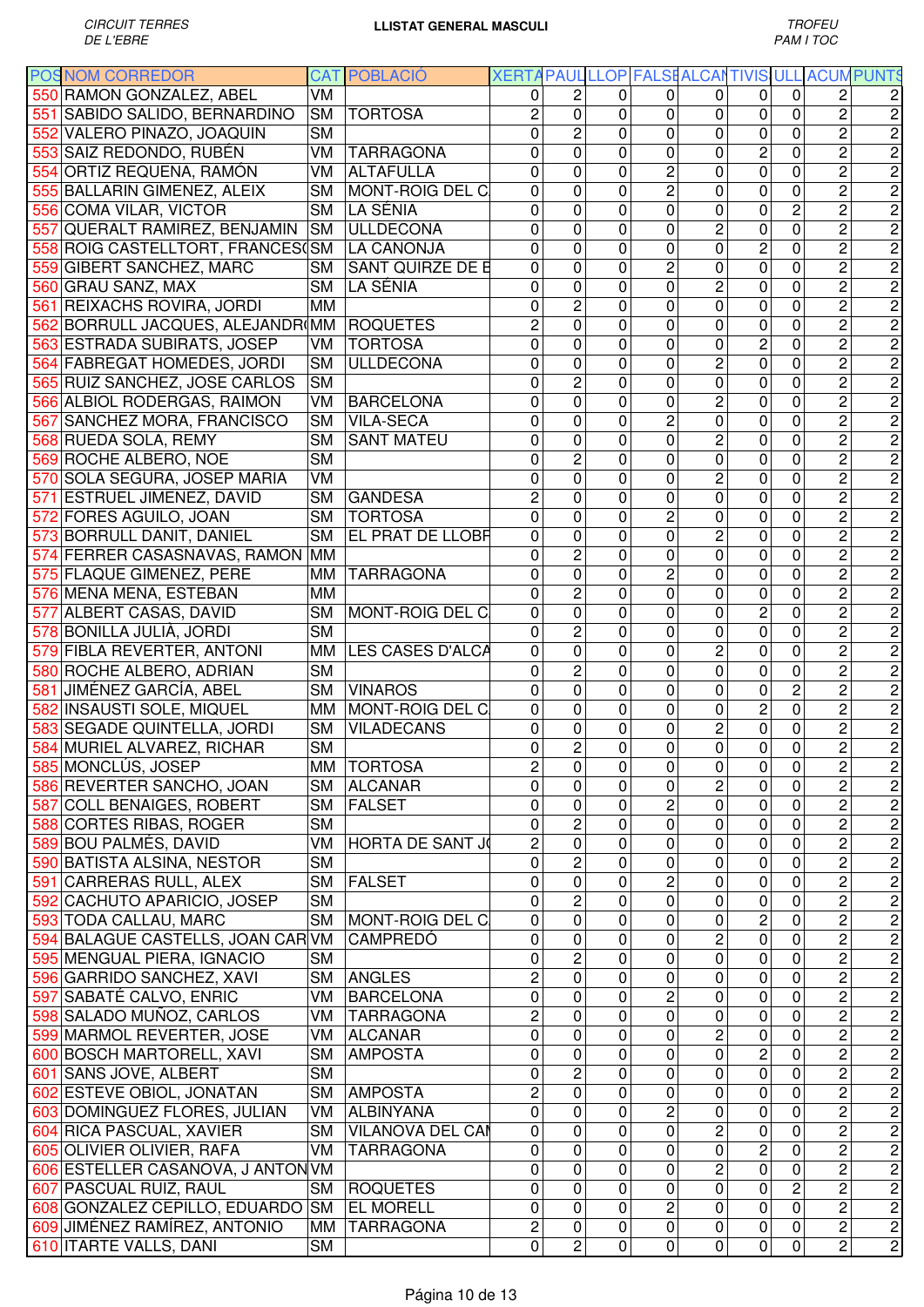|     | <b>POSNOM CORREDOR</b>                                 |           | <b>CAT POBLACIÓ</b>              | XERTA PAUL LLOP FALSE ALCANTIVIS ULL ACUM PUNTS |                |              |                |                |                |                |                         |                                                                                                                                                                                                                                                                                                                                                                                                                                                           |
|-----|--------------------------------------------------------|-----------|----------------------------------|-------------------------------------------------|----------------|--------------|----------------|----------------|----------------|----------------|-------------------------|-----------------------------------------------------------------------------------------------------------------------------------------------------------------------------------------------------------------------------------------------------------------------------------------------------------------------------------------------------------------------------------------------------------------------------------------------------------|
|     | 550 RAMON GONZALEZ, ABEL                               | VM        |                                  | 0                                               | 2              | 0            | 0              | 0              | 0              | 0              | 2                       |                                                                                                                                                                                                                                                                                                                                                                                                                                                           |
| 551 | SABIDO SALIDO, BERNARDINO                              | <b>SM</b> | <b>TORTOSA</b>                   | $\overline{c}$                                  | 0              | $\mathbf{0}$ | 0              | 0              | 0              | 0              | $\overline{c}$          | $\overline{\mathbf{c}}$                                                                                                                                                                                                                                                                                                                                                                                                                                   |
|     | 552 VALERO PINAZO, JOAQUIN                             | <b>SM</b> |                                  | 0                                               | $\overline{c}$ | $\mathbf{0}$ | 0              | 0              | $\mathbf 0$    | 0              | $\overline{2}$          | $\overline{c}$                                                                                                                                                                                                                                                                                                                                                                                                                                            |
|     | 553 SAIZ REDONDO, RUBÉN                                | VM        | <b>TARRAGONA</b>                 | 0                                               | $\overline{0}$ | 0            | 0              | 0              | $\overline{c}$ | 0              | $\overline{2}$          | $\overline{2}$                                                                                                                                                                                                                                                                                                                                                                                                                                            |
| 554 | ORTIZ REQUENA, RAMÓN                                   | VM        | <b>ALTAFULLA</b>                 | 0                                               | $\mathbf 0$    | $\mathbf{0}$ | $\overline{c}$ | 0              | 0              | 0              | $\overline{c}$          | $\overline{2}$                                                                                                                                                                                                                                                                                                                                                                                                                                            |
|     | 555 BALLARIN GIMENEZ, ALEIX                            | <b>SM</b> | MONT-ROIG DEL C                  | 0                                               | 0              | $\mathbf{0}$ | 2              | 0              | 0              | 0              | $\overline{c}$          | $\overline{2}$                                                                                                                                                                                                                                                                                                                                                                                                                                            |
|     | 556 COMA VILAR, VICTOR                                 | <b>SM</b> | LA SÉNIA                         | 0                                               | 0              | $\mathbf{0}$ | 0              | 0              | 0              | $\overline{c}$ | $\overline{c}$          | $\overline{2}$                                                                                                                                                                                                                                                                                                                                                                                                                                            |
| 557 | <b>QUERALT RAMIREZ, BENJAMIN</b>                       | <b>SM</b> | <b>ULLDECONA</b>                 | 0                                               | 0              | $\mathbf 0$  | 0              | $\overline{c}$ | $\mathbf 0$    | 0              | $\overline{c}$          | $\overline{2}$                                                                                                                                                                                                                                                                                                                                                                                                                                            |
|     | 558 ROIG CASTELLTORT, FRANCES(SM                       |           | <b>LA CANONJA</b>                | 0                                               | 0              | $\mathbf 0$  | 0              | 0              | $\overline{c}$ | 0              | $\overline{c}$          | $\overline{2}$                                                                                                                                                                                                                                                                                                                                                                                                                                            |
|     | 559 GIBERT SANCHEZ, MARC                               | SM        | <b>SANT QUIRZE DE E</b>          | 0                                               | 0              | $\mathbf 0$  | $\overline{c}$ | 0              | $\mathbf 0$    | 0              | $\overline{c}$          | $\overline{2}$                                                                                                                                                                                                                                                                                                                                                                                                                                            |
|     | 560 GRAU SANZ, MAX                                     | <b>SM</b> | LA SÉNIA                         | 0                                               | $\mathbf 0$    | $\mathbf 0$  | 0              | $\overline{c}$ | $\mathbf 0$    | 0              | $\overline{c}$          | $\overline{c}$                                                                                                                                                                                                                                                                                                                                                                                                                                            |
|     | 561 REIXACHS ROVIRA, JORDI                             | MM        |                                  | 0                                               | $\overline{c}$ | $\mathbf 0$  | 0              | 0              | $\mathbf 0$    | 0              | $\overline{c}$          | $\overline{c}$                                                                                                                                                                                                                                                                                                                                                                                                                                            |
|     | 562 BORRULL JACQUES, ALEJANDR(MM                       |           | <b>ROQUETES</b>                  | 2                                               | $\mathbf 0$    | 0            | 0              | 0              | $\mathbf 0$    | 0              | $\overline{c}$          | $\overline{2}$                                                                                                                                                                                                                                                                                                                                                                                                                                            |
|     | 563 ESTRADA SUBIRATS, JOSEP                            | VM.       | <b>TORTOSA</b>                   | 0                                               | 0              | 0            | 0              | 0              | $\overline{c}$ | 0              | 2                       | 2                                                                                                                                                                                                                                                                                                                                                                                                                                                         |
|     | 564 FABREGAT HOMEDES, JORDI                            | <b>SM</b> | <b>ULLDECONA</b>                 | 0                                               | 0              | $\mathbf 0$  | 0              | $\overline{2}$ | 0              | 0              | $\overline{2}$          | $\overline{2}$                                                                                                                                                                                                                                                                                                                                                                                                                                            |
|     | 565 RUIZ SANCHEZ, JOSE CARLOS                          | <b>SM</b> |                                  | 0                                               | $\overline{2}$ | $\mathbf 0$  | 0              | 0              | $\mathbf 0$    | 0              | $\overline{2}$          | $\overline{2}$                                                                                                                                                                                                                                                                                                                                                                                                                                            |
|     |                                                        | VM        |                                  | 0                                               | 0              | $\mathbf 0$  | 0              | $\overline{2}$ | $\mathbf 0$    | $\mathbf 0$    | $\overline{2}$          | $\overline{2}$                                                                                                                                                                                                                                                                                                                                                                                                                                            |
|     | 566 ALBIOL RODERGAS, RAIMON                            |           | <b>BARCELONA</b>                 |                                                 |                |              |                |                |                |                |                         |                                                                                                                                                                                                                                                                                                                                                                                                                                                           |
|     | 567 SANCHEZ MORA, FRANCISCO                            | <b>SM</b> | <b>VILA-SECA</b>                 | 0                                               | 0              | $\mathbf 0$  | 2              | 0              | 0              | 0              | $\overline{2}$          | $\overline{2}$                                                                                                                                                                                                                                                                                                                                                                                                                                            |
|     | 568 RUEDA SOLA, REMY                                   | <b>SM</b> | <b>SANT MATEU</b>                | 0                                               | 0              | $\mathbf 0$  | 0              | $\overline{2}$ | $\mathbf 0$    | 0              | $\overline{2}$          | $\overline{2}$                                                                                                                                                                                                                                                                                                                                                                                                                                            |
| 569 | <b>ROCHE ALBERO, NOE</b>                               | <b>SM</b> |                                  | 0                                               | $\overline{c}$ | $\mathbf{0}$ | 0              | 0              | 0              | 0              | $\overline{2}$          | $\overline{2}$                                                                                                                                                                                                                                                                                                                                                                                                                                            |
| 570 | SOLA SEGURA, JOSEP MARIA                               | VM        |                                  | 0                                               | $\overline{0}$ | $\mathbf 0$  | 0              | $\overline{2}$ | $\mathbf 0$    | 0              | $\overline{2}$          | $\overline{2}$                                                                                                                                                                                                                                                                                                                                                                                                                                            |
| 571 | <b>ESTRUEL JIMENEZ, DAVID</b>                          | <b>SM</b> | <b>GANDESA</b>                   | $\overline{c}$                                  | 0              | 0            | 0              | 0              | 0              | 0              | $\overline{c}$          | $\overline{2}$                                                                                                                                                                                                                                                                                                                                                                                                                                            |
| 572 | <b>FORES AGUILO, JOAN</b>                              | <b>SM</b> | <b>TORTOSA</b>                   | 0                                               | 0              | 0            | 2              | 0              | 0              | 0              | $\overline{2}$          | $\overline{2}$                                                                                                                                                                                                                                                                                                                                                                                                                                            |
|     | 573 BORRULL DANIT, DANIEL                              | <b>SM</b> | EL PRAT DE LLOBF                 | 0                                               | 0              | $\mathbf 0$  | 0              | $\overline{2}$ | 0              | 0              | $\overline{c}$          | $\overline{2}$                                                                                                                                                                                                                                                                                                                                                                                                                                            |
|     | 574 FERRER CASASNAVAS, RAMON                           | <b>MM</b> |                                  | 0                                               | $\overline{2}$ | $\mathbf 0$  | 0              | 0              | 0              | 0              | $\overline{c}$          | $\overline{c}$                                                                                                                                                                                                                                                                                                                                                                                                                                            |
|     | 575 FLAQUE GIMENEZ, PERE                               | MМ        | <b>TARRAGONA</b>                 | 0                                               | 0              | $\mathbf 0$  | 2              | 0              | $\mathbf 0$    | 0              | $\overline{c}$          | $\overline{2}$                                                                                                                                                                                                                                                                                                                                                                                                                                            |
|     | 576 MENA MENA, ESTEBAN                                 | <b>MM</b> |                                  | 0                                               | $\overline{c}$ | $\mathbf 0$  | 0              | 0              | $\mathbf 0$    | 0              | $\overline{c}$          | $\overline{2}$                                                                                                                                                                                                                                                                                                                                                                                                                                            |
| 577 | <b>ALBERT CASAS, DAVID</b>                             | <b>SM</b> | MONT-ROIG DEL C                  | 0                                               | $\mathbf 0$    | $\mathbf 0$  | 0              | 0              | $\overline{c}$ | 0              | $\overline{c}$          | $\overline{c}$                                                                                                                                                                                                                                                                                                                                                                                                                                            |
|     | 578 BONILLA JULIÀ, JORDI                               | <b>SM</b> |                                  | 0                                               | $\overline{c}$ | 0            | 0              | 0              | $\mathbf 0$    | 0              | $\overline{c}$          | $\overline{c}$                                                                                                                                                                                                                                                                                                                                                                                                                                            |
|     | 579 FIBLA REVERTER, ANTONI                             | MM        | LES CASES D'ALCA                 | 0                                               | 0              | $\mathbf 0$  | 0              | $\overline{c}$ | 0              | 0              | 2                       | $\overline{c}$                                                                                                                                                                                                                                                                                                                                                                                                                                            |
|     | 580 ROCHE ALBERO, ADRIAN                               | <b>SM</b> |                                  | 0                                               | $\overline{2}$ | $\mathbf 0$  | 0              | 0              | $\mathbf 0$    | 0              | $\overline{c}$          | $\overline{c}$                                                                                                                                                                                                                                                                                                                                                                                                                                            |
|     | 581 JIMÉNEZ GARCÍA, ABEL                               | <b>SM</b> | <b>VINAROS</b>                   | 0                                               | $\mathbf 0$    | $\mathbf{0}$ | $\Omega$       | 0              | 0              | $\overline{c}$ | $\overline{c}$          | $\overline{c}$                                                                                                                                                                                                                                                                                                                                                                                                                                            |
|     | 582 INSAUSTI SOLE, MIQUEL                              |           | MM MONT-ROIG DEL C               | 0                                               | 0              | $\mathbf{0}$ | 0              | 0              | $\overline{c}$ | 0              | $\overline{2}$          | $\overline{2}$                                                                                                                                                                                                                                                                                                                                                                                                                                            |
|     | 583 SEGADE QUINTELLA, JORDI                            | <b>SM</b> | <b>VILADECANS</b>                | 0                                               | 0              | $\mathbf{0}$ | 0              | $\overline{c}$ | $\overline{0}$ | 0              | $\overline{c}$          | $\overline{2}$                                                                                                                                                                                                                                                                                                                                                                                                                                            |
|     | 584 MURIEL ALVAREZ, RICHAR                             | <b>SM</b> |                                  | 0                                               | $\overline{c}$ | 0            | 0              | 0              | 0              | 0              | $\overline{\mathbf{c}}$ | $\overline{\mathbf{c}}$                                                                                                                                                                                                                                                                                                                                                                                                                                   |
|     | 585 MONCLÚS, JOSEP                                     |           | MM   TORTOSA                     | 2                                               | 0              | 0            | 0              | 0              | 0              | 0              | $\overline{\mathbf{c}}$ | $\overline{c}$                                                                                                                                                                                                                                                                                                                                                                                                                                            |
|     | 586 REVERTER SANCHO, JOAN                              | <b>SM</b> | <b>ALCANAR</b>                   | $\mathbf 0$                                     | 0              | 0            | 0              | $\overline{c}$ | 0              | $\mathbf 0$    | $\overline{2}$          |                                                                                                                                                                                                                                                                                                                                                                                                                                                           |
|     | 587 COLL BENAIGES, ROBERT                              | <b>SM</b> | <b>FALSET</b>                    | 0                                               | 0              | 0            | 2              | 0              | 0              | 0              | $\overline{\mathbf{c}}$ |                                                                                                                                                                                                                                                                                                                                                                                                                                                           |
|     | 588 CORTES RIBAS, ROGER                                | <b>SM</b> |                                  | 0                                               | $\overline{c}$ | 0            | 0              | 0              | 0              | 0              | $\overline{\mathbf{c}}$ |                                                                                                                                                                                                                                                                                                                                                                                                                                                           |
|     | 589 BOU PALMÉS, DAVID                                  | VM        | <b>HORTA DE SANT JO</b>          | $\overline{c}$                                  | 0              | 0            | 0              | 0              | 0              | 0              | $\overline{c}$          |                                                                                                                                                                                                                                                                                                                                                                                                                                                           |
|     | 590 BATISTA ALSINA, NESTOR                             | <b>SM</b> |                                  | 0                                               | $\overline{c}$ | 0            | 0              | 0              | 0              | 0              | $\overline{c}$          |                                                                                                                                                                                                                                                                                                                                                                                                                                                           |
|     | 591 CARRERAS RULL, ALEX                                | <b>SM</b> | <b>FALSET</b>                    | 0                                               | 0              | $\mathbf 0$  | $\overline{c}$ | 0              | 0              | 0              | $\overline{c}$          | $\frac{1}{2} \log \left  \frac{1}{2} \log \left  \frac{1}{2} \log \left  \frac{1}{2} \log \left  \frac{1}{2} \log \left  \frac{1}{2} \log \left  \frac{1}{2} \log \left  \frac{1}{2} \log \left  \frac{1}{2} \log \left  \frac{1}{2} \log \left  \frac{1}{2} \log \left  \frac{1}{2} \log \left  \frac{1}{2} \log \left  \frac{1}{2} \log \left  \frac{1}{2} \log \left  \frac{1}{2} \log \left  \frac{1}{2} \log \left  \frac{1}{2} \log \left  \frac{1$ |
|     | 592 CACHUTO APARICIO, JOSEP                            | <b>SM</b> |                                  | 0                                               | $\overline{c}$ | $\mathbf 0$  | 0              | 0              | $\pmb{0}$      | 0              | $\overline{c}$          |                                                                                                                                                                                                                                                                                                                                                                                                                                                           |
|     | 593 TODA CALLAU, MARC                                  | <b>SM</b> | MONT-ROIG DEL C                  | $\mathbf 0$                                     | 0              | $\mathbf 0$  | 0              | 0              | $\overline{c}$ | 0              | $\overline{c}$          |                                                                                                                                                                                                                                                                                                                                                                                                                                                           |
|     | 594 BALAGUE CASTELLS, JOAN CAR VM                      |           | <b>CAMPREDÓ</b>                  | $\mathbf 0$                                     | 0              | $\mathbf 0$  | 0              | 2              | $\pmb{0}$      | 0              | $\overline{\mathbf{c}}$ |                                                                                                                                                                                                                                                                                                                                                                                                                                                           |
|     | 595 MENGUAL PIERA, IGNACIO                             | <b>SM</b> |                                  | 0                                               | $\overline{c}$ | 0            | 0              | 0              | $\mathbf 0$    | $\mathbf 0$    | $\overline{c}$          |                                                                                                                                                                                                                                                                                                                                                                                                                                                           |
|     | 596 GARRIDO SANCHEZ, XAVI                              | <b>SM</b> | ANGLES                           | $\overline{c}$                                  | 0              | 0            | 0              | 0              | 0              | 0              | $\overline{c}$          |                                                                                                                                                                                                                                                                                                                                                                                                                                                           |
|     | 597 SABATÉ CALVO, ENRIC                                | VM        | <b>BARCELONA</b>                 | 0                                               | $\overline{0}$ | $\mathbf 0$  | $\overline{c}$ | $\mathbf 0$    | 0              | $\mathbf 0$    | $\overline{2}$          |                                                                                                                                                                                                                                                                                                                                                                                                                                                           |
|     | 598 SALADO MUÑOZ, CARLOS                               | VM        | <b>TARRAGONA</b>                 | $\overline{2}$                                  | 0              | 0            | $\mathbf 0$    | 0              | 0              | 0              | $\overline{2}$          |                                                                                                                                                                                                                                                                                                                                                                                                                                                           |
|     |                                                        | VM        |                                  | 0                                               | 0              | 0            | 0              | $\overline{2}$ | 0              | 0              | $\overline{2}$          |                                                                                                                                                                                                                                                                                                                                                                                                                                                           |
|     | 599 MARMOL REVERTER, JOSE<br>600 BOSCH MARTORELL, XAVI | <b>SM</b> | <b>ALCANAR</b><br><b>AMPOSTA</b> | 0                                               | 0              | 0            | 0              | 0              | $\overline{c}$ | 0              | $\overline{2}$          |                                                                                                                                                                                                                                                                                                                                                                                                                                                           |
|     |                                                        | <b>SM</b> |                                  | $\mathbf 0$                                     | $\overline{2}$ | $\mathbf 0$  |                | 0              | $\pmb{0}$      | $\mathbf 0$    | $\overline{2}$          |                                                                                                                                                                                                                                                                                                                                                                                                                                                           |
|     | 601 SANS JOVE, ALBERT                                  |           |                                  | $\overline{2}$                                  | 0              |              | 0              |                |                |                | $\overline{2}$          |                                                                                                                                                                                                                                                                                                                                                                                                                                                           |
|     | 602 ESTEVE OBIOL, JONATAN                              | <b>SM</b> | <b>AMPOSTA</b>                   |                                                 |                | 0            | 0              | $\mathbf 0$    | 0              | 0              |                         |                                                                                                                                                                                                                                                                                                                                                                                                                                                           |
|     | 603 DOMINGUEZ FLORES, JULIAN                           | VM        | ALBINYANA                        | 0                                               | $\overline{0}$ | 0            | $\overline{2}$ | $\mathbf 0$    | 0              | $\mathbf 0$    | $\overline{2}$          |                                                                                                                                                                                                                                                                                                                                                                                                                                                           |
|     | 604 RICA PASCUAL, XAVIER                               | <b>SM</b> | <b>VILANOVA DEL CAI</b>          | 0                                               | $\pmb{0}$      | 0            | 0              | $\overline{2}$ | 0              | 0              | $\overline{2}$          |                                                                                                                                                                                                                                                                                                                                                                                                                                                           |
|     | 605 OLIVIER OLIVIER, RAFA                              | VM        | <b>TARRAGONA</b>                 | 0                                               | 0              | 0            | 0              | $\pmb{0}$      | $\mathbf 2$    | 0              | $\overline{2}$          |                                                                                                                                                                                                                                                                                                                                                                                                                                                           |
|     | 606 ESTELLER CASANOVA, J ANTON VM                      |           |                                  | 0                                               | $\pmb{0}$      | 0            | $\mathbf 0$    | $\overline{2}$ | $\pmb{0}$      | 0              | $\overline{c}$          |                                                                                                                                                                                                                                                                                                                                                                                                                                                           |
|     | 607 PASCUAL RUIZ, RAUL                                 | <b>SM</b> | <b>ROQUETES</b>                  | 0                                               | $\pmb{0}$      | $\mathbf 0$  | $\mathbf 0$    | $\pmb{0}$      | 0              | $\overline{c}$ | $\overline{c}$          |                                                                                                                                                                                                                                                                                                                                                                                                                                                           |
|     | 608 GONZALEZ CEPILLO, EDUARDO SM                       |           | <b>EL MORELL</b>                 | 0                                               | 0              | $\mathbf 0$  | $\overline{c}$ | $\mathbf 0$    | 0              | 0              | $\overline{c}$          |                                                                                                                                                                                                                                                                                                                                                                                                                                                           |
|     | 609 JIMÉNEZ RAMÍREZ, ANTONIO                           | MМ        | <b>TARRAGONA</b>                 | 2                                               | 0              | 0            | 0              | 0              | 0              | 0              | 2                       |                                                                                                                                                                                                                                                                                                                                                                                                                                                           |
|     | 610 ITARTE VALLS, DANI                                 | <b>SM</b> |                                  | 0                                               | $\overline{2}$ | $\pmb{0}$    | 0              | 0              | $\pmb{0}$      | 0              | $\overline{c}$          | $\overline{c}$                                                                                                                                                                                                                                                                                                                                                                                                                                            |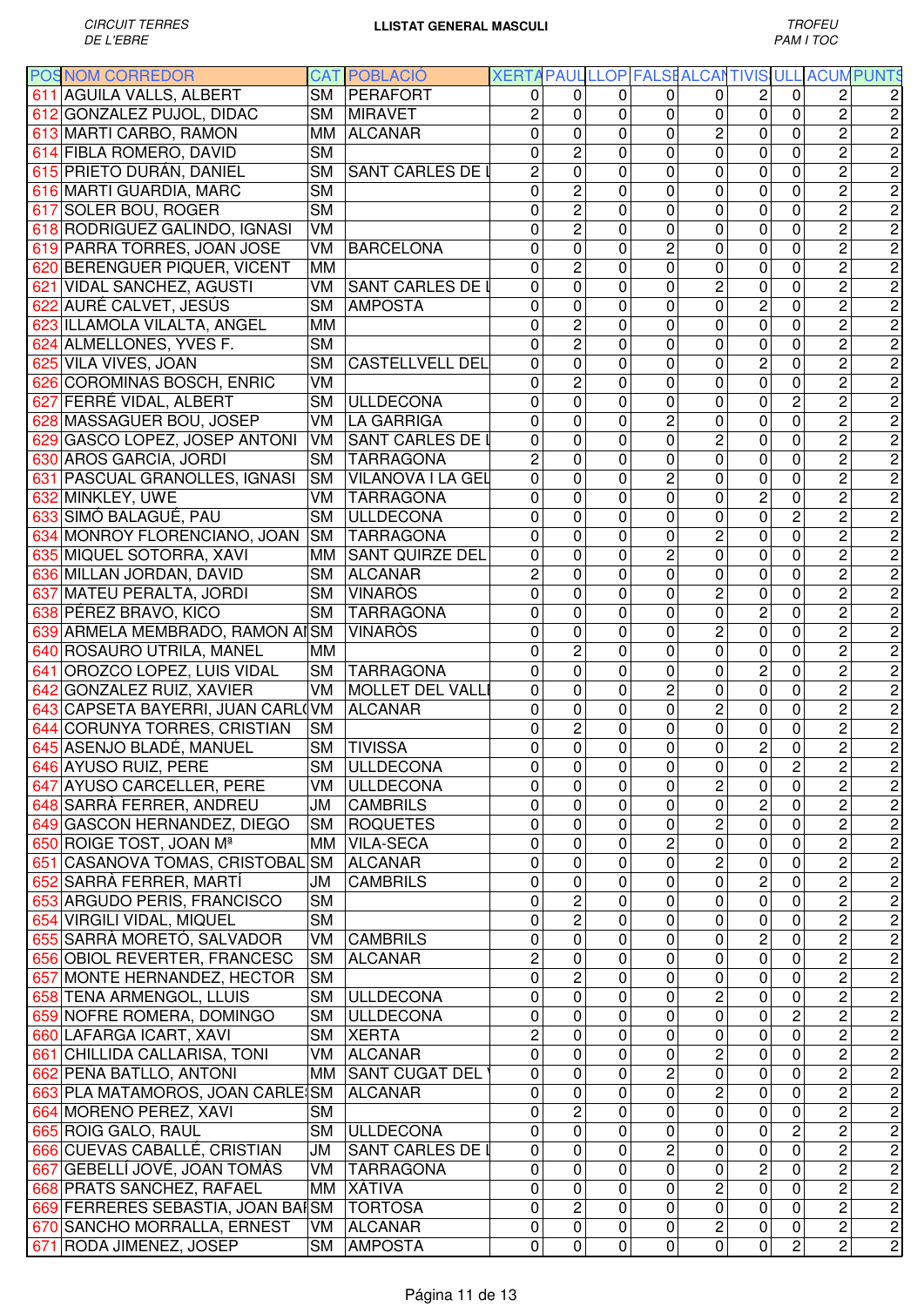|     | <b>POSNOM CORREDOR</b>              |           | <b>CAT POBLACIÓ</b>      |                |                         |                |                         |                | XERTA PAUL LLOP FALSE ALCANTIVIS ULL ACUM PUNTS |                                  |                                                                                                                                                                                                                                                                                                                                                                                                                                                           |
|-----|-------------------------------------|-----------|--------------------------|----------------|-------------------------|----------------|-------------------------|----------------|-------------------------------------------------|----------------------------------|-----------------------------------------------------------------------------------------------------------------------------------------------------------------------------------------------------------------------------------------------------------------------------------------------------------------------------------------------------------------------------------------------------------------------------------------------------------|
|     | 611 AGUILA VALLS, ALBERT            | SM        | PERAFORT                 | 0              | $\Omega$                | 0              | 0                       | 0              | 2                                               | 2<br>0                           |                                                                                                                                                                                                                                                                                                                                                                                                                                                           |
|     | 612 GONZALEZ PUJOL, DIDAC           |           | SM MIRAVET               | 2              | $\mathbf 0$             | $\mathbf{0}$   | 0                       | 0              | 0                                               | $\overline{c}$<br>0              | 2                                                                                                                                                                                                                                                                                                                                                                                                                                                         |
|     | 613 MARTI CARBO, RAMON              | MM        | <b>ALCANAR</b>           | 0              | $\mathbf 0$             | 0              | $\Omega$                | $\overline{c}$ | 0                                               | $\overline{c}$<br>0              | $\overline{c}$                                                                                                                                                                                                                                                                                                                                                                                                                                            |
|     | 614 FIBLA ROMERO, DAVID             | <b>SM</b> |                          | 0              | $\overline{2}$          | $\mathbf{0}$   | 0                       | 0              | 0                                               | $\overline{c}$<br>0              | $\overline{c}$                                                                                                                                                                                                                                                                                                                                                                                                                                            |
|     | 615 PRIETO DURÁN, DANIEL            | <b>SM</b> | SANT CARLES DE I         | $\overline{c}$ | $\overline{0}$          | $\mathbf 0$    | 0                       | 0              | 0                                               | $\overline{c}$<br>0              | $\overline{2}$                                                                                                                                                                                                                                                                                                                                                                                                                                            |
|     | 616 MARTI GUARDIA, MARC             | <b>SM</b> |                          | 0              | $\overline{c}$          | $\mathbf{0}$   | 0                       | 0              | 0                                               | $\overline{2}$<br>0              | $\overline{2}$                                                                                                                                                                                                                                                                                                                                                                                                                                            |
|     | 617 SOLER BOU, ROGER                | <b>SM</b> |                          | 0              | $\overline{c}$          | $\mathbf{0}$   | 0                       | 0              | $\mathbf 0$                                     | $\overline{2}$<br>0              | $\overline{c}$                                                                                                                                                                                                                                                                                                                                                                                                                                            |
|     | 618 RODRIGUEZ GALINDO, IGNASI       | VM        |                          | 0              | $\overline{2}$          | $\mathbf{0}$   | 0                       | 0              | 0                                               | $\overline{2}$<br>0              | $\overline{2}$                                                                                                                                                                                                                                                                                                                                                                                                                                            |
|     | 619 PARRA TORRES, JOAN JOSE         | VM        | <b>BARCELONA</b>         | 0              | 0                       | 0              | 2                       | 0              | 0                                               | $\overline{\mathbf{c}}$<br>0     | $\overline{2}$                                                                                                                                                                                                                                                                                                                                                                                                                                            |
|     | 620 BERENGUER PIQUER, VICENT        | MМ        |                          | 0              | $\overline{2}$          | $\mathbf{0}$   | 0                       | 0              | 0                                               | $\overline{c}$<br>0              | $\overline{2}$                                                                                                                                                                                                                                                                                                                                                                                                                                            |
|     | 621 VIDAL SANCHEZ, AGUSTI           | VM        | <b>SANT CARLES DE I</b>  | 0              | 0                       | $\mathbf{0}$   |                         | $\overline{2}$ | 0                                               | $\overline{c}$<br>0              | $\overline{2}$                                                                                                                                                                                                                                                                                                                                                                                                                                            |
|     | 622 AURÉ CALVET, JESÚS              | <b>SM</b> | <b>AMPOSTA</b>           | 0              | 0                       | $\mathbf 0$    | 0<br>0                  | 0              | $\overline{2}$                                  | $\overline{0}$<br>$\overline{c}$ | $\overline{2}$                                                                                                                                                                                                                                                                                                                                                                                                                                            |
|     |                                     | MM        |                          | 0              | $\overline{c}$          | $\mathbf 0$    | 0                       | 0              | 0                                               | 0                                | $\overline{2}$                                                                                                                                                                                                                                                                                                                                                                                                                                            |
|     | 623 ILLAMOLA VILALTA, ANGEL         |           |                          |                |                         |                |                         |                |                                                 | $\overline{c}$                   |                                                                                                                                                                                                                                                                                                                                                                                                                                                           |
|     | 624 ALMELLONES, YVES F.             | <b>SM</b> |                          | 0              | $\overline{c}$          | $\mathbf 0$    | 0                       | 0              | $\mathbf 0$                                     | $\overline{c}$<br>0              | $\overline{2}$                                                                                                                                                                                                                                                                                                                                                                                                                                            |
|     | 625 VILA VIVES, JOAN                | <b>SM</b> | <b>CASTELLVELL DEL</b>   | 0              | $\mathbf 0$             | 0              | 0                       | 0              | $\overline{2}$                                  | $\overline{2}$<br>0              | $\overline{2}$                                                                                                                                                                                                                                                                                                                                                                                                                                            |
|     | 626 COROMINAS BOSCH, ENRIC          | VM        |                          | 0              | $\overline{c}$          | $\mathbf{0}$   | 0                       | 0              | $\mathbf 0$                                     | $\overline{c}$<br>0              | $\overline{c}$                                                                                                                                                                                                                                                                                                                                                                                                                                            |
|     | 627 FERRÉ VIDAL, ALBERT             | <b>SM</b> | <b>ULLDECONA</b>         | 0              | 0                       | $\mathbf 0$    | 0                       | 0              | $\mathbf 0$                                     | $\overline{2}$<br>$\overline{c}$ | $\overline{2}$                                                                                                                                                                                                                                                                                                                                                                                                                                            |
|     | 628 MASSAGUER BOU, JOSEP            |           | VM LA GARRIGA            | 0              | 0                       | 0              | 2                       | 0              | 0                                               | $\overline{c}$<br>0              | 2                                                                                                                                                                                                                                                                                                                                                                                                                                                         |
|     | 629 GASCO LOPEZ, JOSEP ANTONI       | VM        | <b>SANT CARLES DE I</b>  | 0              | $\overline{0}$          | $\mathbf{0}$   | 0                       | $\overline{2}$ | 0                                               | $\overline{2}$<br>0              | $\overline{2}$                                                                                                                                                                                                                                                                                                                                                                                                                                            |
|     | 630 AROS GARCIA, JORDI              | <b>SM</b> | <b>TARRAGONA</b>         | $\overline{c}$ | 0                       | $\mathbf{0}$   | $\Omega$                | 0              | 0                                               | $\overline{2}$<br>0              | $\overline{2}$                                                                                                                                                                                                                                                                                                                                                                                                                                            |
|     | 631 PASCUAL GRANOLLES, IGNASI       | <b>SM</b> | <b>VILANOVA I LA GEL</b> | 0              | 0                       | $\mathbf 0$    | 2                       | 0              | 0                                               | $\overline{c}$<br>$\mathbf 0$    | 2                                                                                                                                                                                                                                                                                                                                                                                                                                                         |
|     | 632 MINKLEY, UWE                    | VM        | <b>TARRAGONA</b>         | 0              | 0                       | $\mathbf 0$    | 0                       | 0              | $\overline{2}$                                  | $\overline{2}$<br>0              | $\overline{2}$                                                                                                                                                                                                                                                                                                                                                                                                                                            |
|     | 633 SIMÓ BALAGUÉ, PAU               | <b>SM</b> | <b>ULLDECONA</b>         | 0              | 0                       | $\mathbf 0$    | 0                       | 0              | $\overline{0}$                                  | $\overline{2}$<br>$\overline{2}$ | $\overline{2}$                                                                                                                                                                                                                                                                                                                                                                                                                                            |
|     | 634 MONROY FLORENCIANO, JOAN        | <b>SM</b> | <b>TARRAGONA</b>         | $\Omega$       | $\mathbf 0$             | $\mathbf 0$    | 0                       | $\overline{2}$ | $\mathbf 0$                                     | $\overline{2}$<br>$\overline{0}$ | $\overline{2}$                                                                                                                                                                                                                                                                                                                                                                                                                                            |
|     | 635 MIQUEL SOTORRA, XAVI            | MМ        | <b>SANT QUIRZE DEL</b>   | 0              | $\mathbf 0$             | $\mathbf{0}$   | 2                       | 0              | 0                                               | $\overline{c}$<br>0              | $\overline{c}$                                                                                                                                                                                                                                                                                                                                                                                                                                            |
|     | 636 MILLAN JORDAN, DAVID            | <b>SM</b> | <b>ALCANAR</b>           | $\overline{2}$ | $\mathbf 0$             | 0              | 0                       | 0              | 0                                               | $\overline{c}$<br>0              | $\overline{2}$                                                                                                                                                                                                                                                                                                                                                                                                                                            |
|     | 637 MATEU PERALTA, JORDI            | SM        | <b>VINARÒS</b>           | 0              | 0                       | $\mathbf{0}$   | 0                       | $\overline{2}$ | $\pmb{0}$                                       | $\overline{c}$<br>0              | $\overline{2}$                                                                                                                                                                                                                                                                                                                                                                                                                                            |
|     | 638 PÉREZ BRAVO, KICO               | SM        | <b>TARRAGONA</b>         | 0              | 0                       | $\mathbf{0}$   | 0                       | 0              | $\overline{c}$                                  | 0<br>2                           | $\overline{c}$                                                                                                                                                                                                                                                                                                                                                                                                                                            |
|     | 639 ARMELA MEMBRADO, RAMON AI SM    |           | <b>VINARÒS</b>           | 0              | 0                       | $\mathbf 0$    | 0                       | $\overline{2}$ | $\mathbf 0$                                     | 0<br>$\overline{c}$              | $\overline{2}$                                                                                                                                                                                                                                                                                                                                                                                                                                            |
|     | 640 ROSAURO UTRILA, MANEL           | MМ        |                          | 0              | $\overline{c}$          | $\mathbf 0$    | 0                       | 0              | $\mathbf 0$                                     | 0<br>$\overline{c}$              | $\overline{c}$                                                                                                                                                                                                                                                                                                                                                                                                                                            |
| 641 | <b>OROZCO LOPEZ, LUIS VIDAL</b>     | <b>SM</b> | <b>TARRAGONA</b>         | 0              | 0                       | $\mathbf 0$    | 0                       | 0              | $\overline{c}$                                  | $\overline{c}$<br>0              | 2                                                                                                                                                                                                                                                                                                                                                                                                                                                         |
|     | 642 GONZALEZ RUIZ, XAVIER           | VM        | <b>MOLLET DEL VALL</b>   | 0              | $\mathbf 0$             | $\mathbf 0$    | $\overline{c}$          | 0              | $\mathbf 0$                                     | $\overline{c}$<br>0              | $\overline{c}$                                                                                                                                                                                                                                                                                                                                                                                                                                            |
|     | 643 CAPSETA BAYERRI, JUAN CARL(VM   |           | <b>ALCANAR</b>           | 0              | 0                       | 0              | 0                       | $\overline{c}$ | 0                                               | $\overline{c}$<br>0              | $\overline{c}$                                                                                                                                                                                                                                                                                                                                                                                                                                            |
|     | 644 CORUNYA TORRES, CRISTIAN        | <b>SM</b> |                          | 0              | $\overline{2}$          | 0              | 0                       | 0              | 0                                               | $\overline{c}$<br>0              | 2                                                                                                                                                                                                                                                                                                                                                                                                                                                         |
|     | 645 ASENJO BLADÉ, MANUEL            | <b>SM</b> | <b>TIVISSA</b>           | 0              | $\mathbf 0$             | 0              | $\pmb{0}$               | $\pmb{0}$      | $\mathbf 2$                                     | 2<br>0                           | 2                                                                                                                                                                                                                                                                                                                                                                                                                                                         |
|     | 646 AYUSO RUIZ, PERE                |           | SM ULLDECONA             | 0              | $\overline{\mathbf{o}}$ | $\overline{0}$ | $\overline{\mathsf{o}}$ | $\overline{0}$ | $\overline{\mathbf{o}}$                         | 2<br>$\overline{\mathbf{c}}$     | $\overline{c}$                                                                                                                                                                                                                                                                                                                                                                                                                                            |
|     | 647 AYUSO CARCELLER, PERE           | VM        | <b>ULLDECONA</b>         | 0              | $\mathbf 0$             | $\mathbf 0$    | $\mathbf 0$             | $\overline{c}$ | $\pmb{0}$                                       | $\overline{2}$<br>$\mathbf 0$    |                                                                                                                                                                                                                                                                                                                                                                                                                                                           |
|     | 648 SARRÀ FERRER, ANDREU            | JM        | <b>CAMBRILS</b>          | 0              | 0                       | $\mathbf 0$    | 0                       | $\mathbf 0$    | $\overline{c}$                                  | $\overline{2}$<br>$\mathbf 0$    | $\frac{2}{2}$                                                                                                                                                                                                                                                                                                                                                                                                                                             |
|     | 649 GASCON HERNANDEZ, DIEGO         | <b>SM</b> | <b>ROQUETES</b>          | 0              | 0                       | $\mathbf 0$    | 0                       | $\overline{c}$ | $\pmb{0}$                                       | $\overline{2}$<br>$\mathbf 0$    |                                                                                                                                                                                                                                                                                                                                                                                                                                                           |
|     | 650 ROIGE TOST, JOAN M <sup>ª</sup> | MМ        | <b>VILA-SECA</b>         | $\mathbf 0$    | $\mathbf 0$             | $\mathbf 0$    | $\overline{c}$          | $\mathbf 0$    | $\pmb{0}$                                       | $\overline{2}$<br>$\mathbf 0$    |                                                                                                                                                                                                                                                                                                                                                                                                                                                           |
|     | 651 CASANOVA TOMAS, CRISTOBAL SM    |           | <b>ALCANAR</b>           | $\mathbf 0$    | 0                       | 0              | 0                       | $\overline{2}$ | 0                                               | $\overline{2}$<br>$\mathbf 0$    |                                                                                                                                                                                                                                                                                                                                                                                                                                                           |
|     | 652 SARRÀ FERRER, MARTÍ             | JM        | <b>CAMBRILS</b>          | 0              | 0                       | 0              | 0                       | 0              | 2                                               | 2<br>0                           |                                                                                                                                                                                                                                                                                                                                                                                                                                                           |
|     | 653 ARGUDO PERIS, FRANCISCO         | <b>SM</b> |                          | 0              | $\overline{c}$          | 0              | 0                       | 0              | $\pmb{0}$                                       | $\overline{\mathbf{c}}$<br>0     |                                                                                                                                                                                                                                                                                                                                                                                                                                                           |
|     | 654 VIRGILI VIDAL, MIQUEL           | <b>SM</b> |                          | 0              | $\overline{2}$          | 0              | $\pmb{0}$               | $\pmb{0}$      | $\pmb{0}$                                       | $\overline{c}$<br>0              |                                                                                                                                                                                                                                                                                                                                                                                                                                                           |
|     | 655 SARRÀ MORETÓ, SALVADOR          | VM        | <b>CAMBRILS</b>          | 0              | 0                       | 0              | $\mathbf 0$             | 0              | $\mathbf 2$                                     | $\mathbf 0$<br>$\overline{c}$    | $\frac{1}{2} \log \left  \frac{1}{2} \log \left  \frac{1}{2} \log \left  \frac{1}{2} \log \left  \frac{1}{2} \log \left  \frac{1}{2} \log \left  \frac{1}{2} \log \left  \frac{1}{2} \log \left  \frac{1}{2} \log \left  \frac{1}{2} \log \left  \frac{1}{2} \log \left  \frac{1}{2} \log \left  \frac{1}{2} \log \left  \frac{1}{2} \log \left  \frac{1}{2} \log \left  \frac{1}{2} \log \left  \frac{1}{2} \log \left  \frac{1}{2} \log \left  \frac{1$ |
|     | 656 OBIOL REVERTER, FRANCESC        | <b>SM</b> | <b>ALCANAR</b>           | $\overline{c}$ | 0                       | 0              | 0                       | 0              | $\pmb{0}$                                       | $\overline{c}$<br>0              |                                                                                                                                                                                                                                                                                                                                                                                                                                                           |
|     | 657 MONTE HERNANDEZ, HECTOR         | <b>SM</b> |                          | 0              | 2                       | 0              | 0                       | 0              | 0                                               | $\overline{c}$<br>0              |                                                                                                                                                                                                                                                                                                                                                                                                                                                           |
|     | 658 TENA ARMENGOL, LLUIS            | <b>SM</b> | <b>ULLDECONA</b>         | 0              | 0                       | $\mathbf 0$    | 0                       | $\overline{2}$ | $\pmb{0}$                                       | $\overline{2}$<br>$\mathbf 0$    |                                                                                                                                                                                                                                                                                                                                                                                                                                                           |
|     |                                     |           |                          |                |                         |                |                         |                |                                                 | $\overline{2}$                   |                                                                                                                                                                                                                                                                                                                                                                                                                                                           |
|     | 659 NOFRE ROMERA, DOMINGO           | <b>SM</b> | <b>ULLDECONA</b>         | 0              | 0                       | $\mathbf 0$    | 0                       | $\mathbf 0$    | 0                                               | 2                                | $\frac{1}{2}$ ט $\frac{1}{2}$ ט                                                                                                                                                                                                                                                                                                                                                                                                                           |
|     | 660 LAFARGA ICART, XAVI             | <b>SM</b> | <b>XERTA</b>             | 2              | 0                       | $\mathbf 0$    | 0                       | 0              | $\mathbf 0$                                     | $\overline{2}$<br>$\mathbf 0$    |                                                                                                                                                                                                                                                                                                                                                                                                                                                           |
|     | 661 CHILLIDA CALLARISA, TONI        | VM        | <b>ALCANAR</b>           | 0              | 0                       | 0              | 0                       | 2              | 0                                               | 2<br>0                           |                                                                                                                                                                                                                                                                                                                                                                                                                                                           |
|     | 662 PEÑA BATLLO, ANTONI             |           | MM SANT CUGAT DEL        | 0              | 0                       | 0              | 2                       | $\overline{0}$ | 0                                               | $\overline{2}$<br>0              |                                                                                                                                                                                                                                                                                                                                                                                                                                                           |
|     | 663 PLA MATAMOROS, JOAN CARLE SM    |           | <b>ALCANAR</b>           | 0              | 0                       | 0              | $\mathbf 0$             | $\overline{2}$ | 0                                               | $\overline{2}$<br>0              | $\overline{2}$                                                                                                                                                                                                                                                                                                                                                                                                                                            |
|     | 664 MORENO PEREZ, XAVI              | <b>SM</b> |                          | 0              | $\overline{2}$          | 0              | 0                       | 0              | $\pmb{0}$                                       | $\overline{2}$<br>$\mathbf 0$    |                                                                                                                                                                                                                                                                                                                                                                                                                                                           |
|     | 665 ROIG GALO, RAUL                 | <b>SM</b> | <b>ULLDECONA</b>         | 0              | $\overline{0}$          | 0              | 0                       | 0              | 0                                               | $\overline{2}$<br>$\overline{2}$ |                                                                                                                                                                                                                                                                                                                                                                                                                                                           |
|     | 666 CUEVAS CABALLÉ, CRISTIAN        | ЛU        | <b>SANT CARLES DE I</b>  | $\mathbf 0$    | 0                       | $\mathbf 0$    | $\overline{2}$          | $\mathbf 0$    | $\pmb{0}$                                       | $\overline{2}$<br>$\overline{0}$ |                                                                                                                                                                                                                                                                                                                                                                                                                                                           |
|     | 667 GEBELLÍ JOVÉ, JOAN TOMÀS        | VM        | <b>TARRAGONA</b>         | $\mathbf 0$    | 0                       | $\mathbf 0$    | 0                       | $\mathbf 0$    | $\overline{2}$                                  | $\overline{2}$<br>0              | $\log  \alpha $ טן מ $\log  \alpha $ טן                                                                                                                                                                                                                                                                                                                                                                                                                   |
|     | 668 PRATS SANCHEZ, RAFAEL           | MM        | <b>XÀTIVA</b>            | 0              | 0                       | 0              | 0                       | $\overline{c}$ | $\pmb{0}$                                       | $\overline{2}$<br>0              |                                                                                                                                                                                                                                                                                                                                                                                                                                                           |
|     | 669 FERRERES SEBASTIA, JOAN BAISM   |           | <b>TORTOSA</b>           | 0              | $\overline{2}$          | 0              | 0                       | $\pmb{0}$      | 0                                               | $\overline{2}$<br>$\mathbf 0$    |                                                                                                                                                                                                                                                                                                                                                                                                                                                           |
|     | 670 SANCHO MORRALLA, ERNEST         | VM        | ALCANAR                  | 0              | $\mathsf{O}\xspace$     | 0              | $\pmb{0}$               | 2              | $\pmb{0}$                                       | 2<br>0                           |                                                                                                                                                                                                                                                                                                                                                                                                                                                           |
|     | 671 RODA JIMENEZ, JOSEP             | <b>SM</b> | <b>AMPOSTA</b>           | 0              | $\mathsf{O}\xspace$     | $\pmb{0}$      | $\pmb{0}$               | $\overline{0}$ | $\pmb{0}$                                       | $\overline{c}$<br>$\overline{c}$ |                                                                                                                                                                                                                                                                                                                                                                                                                                                           |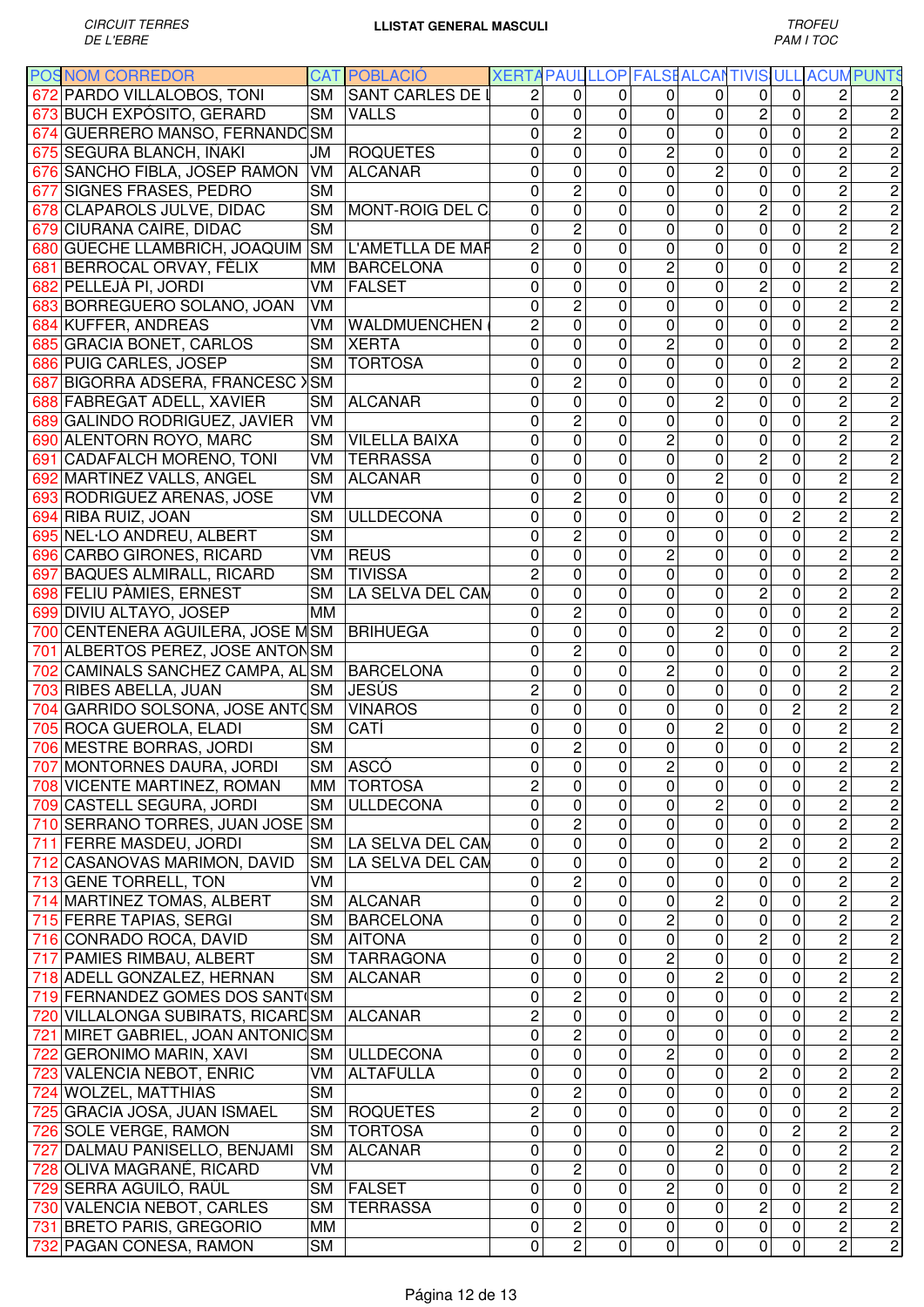| <b>POSNOM CORREDOR</b>            |           | <b>CAT POBLACIÓ</b>     | XERTA PAUL LLOP FALSE ALCANTIVIS ULL |                     |              |                     |                  |                |                     |                                  | <b>ACUMPUNTS</b>                |
|-----------------------------------|-----------|-------------------------|--------------------------------------|---------------------|--------------|---------------------|------------------|----------------|---------------------|----------------------------------|---------------------------------|
| 672 PARDO VILLALOBOS, TONI        | SM        | <b>SANT CARLES DE I</b> | 2                                    | 0                   | 0            | 0                   | 0                | 0              | 0                   | 2                                | 2                               |
| 673 BUCH EXPÓSITO, GERARD         | <b>SM</b> | <b>VALLS</b>            | 0                                    | $\mathbf 0$         | $\mathbf{0}$ | 0                   | 0                | $\overline{c}$ | $\overline{0}$      | $\overline{2}$                   | $\overline{c}$                  |
| 674 GUERRERO MANSO, FERNANDC SM   |           |                         | 0                                    | $\overline{2}$      | $\mathbf{0}$ | 0                   | $\mathbf 0$      | $\mathbf 0$    | $\overline{0}$      | $\overline{2}$                   | $\overline{2}$                  |
| 675 SEGURA BLANCH, IÑAKI          | JM        | <b>ROQUETES</b>         | 0                                    | 0                   | 0            | 2                   | 0                | 0              | 0                   | $\overline{c}$                   | $\overline{2}$                  |
| 676 SANCHO FIBLA, JOSEP RAMON     | VM        | <b>ALCANAR</b>          | 0                                    | 0                   | 0            | 0                   | $\overline{c}$   | 0              | 0                   | $\overline{2}$                   | $\overline{2}$                  |
| 677 SIGNES FRASES, PEDRO          | <b>SM</b> |                         | 0                                    | $\overline{2}$      | $\mathbf 0$  | 0                   | $\mathbf 0$      | $\pmb{0}$      | 0                   | $\overline{c}$                   | $\overline{2}$                  |
| 678 CLAPAROLS JULVE, DIDAC        | <b>SM</b> | MONT-ROIG DEL C         | 0                                    | 0                   | 0            | 0                   | $\mathbf 0$      | $\overline{c}$ | 0                   | $\overline{c}$                   | $\overline{2}$                  |
| 679 CIURANA CAIRE, DIDAC          | <b>SM</b> |                         | 0                                    | $\overline{2}$      | $\mathbf 0$  | 0                   | 0                | $\mathbf 0$    | 0                   | $\overline{c}$                   | $\overline{2}$                  |
| 680 GÜECHE LLAMBRICH, JOAQUIM     | <b>SM</b> | L'AMETLLA DE MAF        | $\overline{c}$                       | $\mathsf 0$         | $\mathbf 0$  | 0                   | 0                | $\mathbf 0$    | 0                   | $\overline{c}$                   | $\overline{2}$                  |
| 681 BERROCAL ORVAY, FÈLIX         | MM        | <b>BARCELONA</b>        | 0                                    | $\mathsf 0$         | 0            | 2                   | $\mathbf 0$      | $\mathbf 0$    | 0                   | $\overline{c}$                   | $\overline{2}$                  |
| 682 PELLEJÀ PI, JORDI             | VM        | <b>FALSET</b>           | 0                                    | 0                   | $\mathbf 0$  | 0                   | 0                | $\overline{c}$ | 0                   | $\overline{c}$                   | $\overline{2}$                  |
| 683 BORREGUERO SOLANO, JOAN       | VM        |                         | 0                                    | $\overline{2}$      | 0            | 0                   | $\mathbf 0$      | $\pmb{0}$      | 0                   | 2                                | $\overline{2}$                  |
| 684 KUFFER, ANDREAS               | VM        | WALDMUENCHEN            | $\overline{c}$                       | 0                   | $\mathbf 0$  | 0                   | 0                | $\pmb{0}$      | 0                   | $\overline{c}$                   | $\overline{2}$                  |
| 685 GRACIA BONET, CARLOS          | SМ        | <b>XERTA</b>            | 0                                    | 0                   | $\mathbf 0$  | $\overline{2}$      | 0                | $\mathbf 0$    | 0                   | $\overline{2}$                   | $\overline{2}$                  |
| 686 PUIG CARLES, JOSEP            | <b>SM</b> | <b>TORTOSA</b>          | 0                                    | 0                   | $\mathbf 0$  | 0                   | $\mathbf 0$      | $\mathbf 0$    | $\overline{2}$      | $\overline{2}$                   | $\overline{2}$                  |
|                                   |           |                         |                                      |                     |              |                     |                  |                |                     |                                  |                                 |
| 687 BIGORRA ADSERÀ, FRANCESC >    | <b>SM</b> |                         | 0                                    | $\overline{2}$      | $\mathbf 0$  | 0                   | 0                | $\mathbf 0$    | 0                   | $\overline{2}$                   | $\overline{2}$                  |
| 688 FABREGAT ADELL, XAVIER        | <b>SM</b> | <b>ALCANAR</b>          | 0                                    | 0                   | $\mathbf 0$  | 0                   | $\overline{2}$   | $\pmb{0}$      | 0                   | $\overline{2}$                   | $\overline{2}$                  |
| 689 GALINDO RODRIGUEZ, JAVIER     | VM        |                         | 0                                    | $\overline{2}$      | 0            | 0                   | $\overline{0}$   | $\overline{0}$ | $\overline{0}$      | $\overline{2}$                   | $\overline{2}$                  |
| 690 ALENTORN ROYO, MARC           | <b>SM</b> | <b>VILELLA BAIXA</b>    | 0                                    | 0                   | $\mathbf{0}$ | 2                   | $\overline{0}$   | $\pmb{0}$      | 0                   | $\overline{2}$                   | $\overline{2}$                  |
| 691 CADAFALCH MORENO, TONI        | VM        | <b>TERRASSA</b>         | 0                                    | $\overline{0}$      | $\mathbf 0$  | 0                   | $\mathbf 0$      | $\overline{2}$ | 0                   | $\overline{2}$                   | $\overline{2}$                  |
| 692 MARTINEZ VALLS, ANGEL         | SM        | <b>ALCANAR</b>          | 0                                    | 0                   | 0            | 0                   | $\overline{2}$   | $\pmb{0}$      | 0                   | $\overline{2}$                   | $\overline{c}$                  |
| 693 RODRIGUEZ ARENAS, JOSE        | VM        |                         | 0                                    | $\overline{2}$      | $\mathbf{0}$ | 0                   | $\overline{0}$   | $\pmb{0}$      | 0                   | $\overline{2}$                   | $\overline{c}$                  |
| 694 RIBA RUIZ, JOAN               | <b>SM</b> | <b>ULLDECONA</b>        | 0                                    | 0                   | 0            | 0                   | 0                | $\overline{0}$ | $\overline{2}$      | $\overline{2}$                   | $\overline{2}$                  |
| 695 NEL·LO ANDREU, ALBERT         | <b>SM</b> |                         | 0                                    | $\overline{2}$      | 0            | 0                   | 0                | $\pmb{0}$      | 0                   | $\overline{c}$                   | $\overline{2}$                  |
| 696 CARBO GIRONES, RICARD         | VM        | <b>REUS</b>             | 0                                    | 0                   | 0            | 2                   | 0                | $\pmb{0}$      | 0                   | $\overline{c}$                   | $\overline{2}$                  |
| 697 BAQUES ALMIRALL, RICARD       | <b>SM</b> | <b>TIVISSA</b>          | $\overline{c}$                       | 0                   | 0            | 0                   | 0                | $\mathbf 0$    | 0                   | $\overline{c}$                   | $\overline{2}$                  |
| 698 FELIU PÀMIES, ERNEST          | <b>SM</b> | LA SELVA DEL CAM        | $\overline{0}$                       | 0                   | 0            | 0                   | 0                | $\overline{c}$ | 0                   | $\overline{c}$                   | $\overline{2}$                  |
| 699 DIVIU ALTAYO, JOSEP           | MM        |                         | 0                                    | $\overline{c}$      | $\mathbf 0$  | 0                   | 0                | $\mathbf 0$    | 0                   | $\overline{c}$                   | $\overline{2}$                  |
| 700 CENTENERA AGUILERA, JOSE MSM  |           | <b>BRIHUEGA</b>         | 0                                    | $\mathbf 0$         | 0            | 0                   | $\overline{c}$   | $\pmb{0}$      | 0                   | 2                                | $\overline{\mathbf{c}}$         |
| 701 ALBERTOS PEREZ, JOSE ANTONSM  |           |                         | 0                                    | $\overline{c}$      | 0            | 0                   | 0                | $\mathbf 0$    | 0                   | $\overline{c}$                   | $\overline{c}$                  |
| 702 CAMINALS SANCHEZ CAMPA, AL SM |           | <b>BARCELONA</b>        | 0                                    | $\mathbf 0$         | 0            | 2                   | 0                | $\pmb{0}$      | 0                   | $\overline{c}$                   | $\overline{2}$                  |
| 703 RIBES ABELLA, JUAN            | <b>SM</b> | <b>JESÚS</b>            | $\overline{c}$                       | 0                   | 0            | 0                   | 0                | $\mathbf 0$    | 0                   | $\overline{2}$                   | $\overline{2}$                  |
| 704 GARRIDO SOLSONA, JOSE ANTOSM  |           | <b>VINAROS</b>          | 0                                    | 0                   | $\mathbf 0$  | 0                   | 0                | $\mathbf 0$    | $\overline{c}$      | $\overline{c}$                   | $\overline{2}$                  |
| 705 ROCA GUEROLA, ELADI           | SМ        | CATÍ                    | 0                                    | 0                   | 0            | 0                   | $\overline{c}$   | $\mathbf 0$    | $\overline{0}$      | $\overline{2}$                   | $\overline{2}$                  |
| 706 MESTRE BORRAS, JORDI          | <b>SM</b> |                         | 0                                    | $\overline{c}$      | $\mathbf 0$  | 0                   | $\overline{0}$   | $\mathbf 0$    | $\overline{0}$      | $\overline{2}$                   | $\overline{2}$                  |
| 707 MONTORNES DAURA, JORDI        | SM        | ASCÓ                    | 0                                    | 0                   | 0            | 2                   | 0                | 0              | 0                   | $\overline{\mathbf{c}}$          |                                 |
| 708 VICENTE MARTINEZ, ROMAN       | MM        | <b>TORTOSA</b>          | $\overline{c}$                       | 0                   | 0            | 0                   | 0                | 0              | $\mathbf 0$         | $\overline{c}$                   |                                 |
| 709 CASTELL SEGURA, JORDI         | SM        | <b>ULLDECONA</b>        | 0                                    | 0                   | 0            | 0                   | $\overline{c}$   | $\pmb{0}$      | 0                   | $\overline{2}$                   |                                 |
| 710 SERRANO TORRES, JUAN JOSE     | <b>SM</b> |                         | $\mathbf 0$                          | $\overline{2}$      | 0            | 0                   | $\pmb{0}$        | $\pmb{0}$      | $\mathbf 0$         | $\overline{c}$                   |                                 |
| 711 FERRE MASDEU, JORDI           | <b>SM</b> | LA SELVA DEL CAN        | $\mathbf 0$                          | 0                   | 0            | 0                   | $\pmb{0}$        | $\overline{c}$ | $\mathbf 0$         | $\overline{c}$                   |                                 |
| 712 CASANOVAS MARIMON, DAVID      | <b>SM</b> | LA SELVA DEL CAN        | 0                                    | 0                   | 0            | 0                   | 0                | $\overline{c}$ | 0                   | $\overline{c}$                   |                                 |
| 713 GENE TORRELL, TON             | VM        |                         | 0                                    | $\overline{c}$      | $\mathbf 0$  | 0                   | 0                | $\pmb{0}$      | 0                   | $\overline{c}$                   |                                 |
| 714 MARTINEZ TOMAS, ALBERT        | <b>SM</b> | <b>ALCANAR</b>          | 0                                    | 0                   | $\mathbf 0$  | 0                   | $\overline{c}$   | $\pmb{0}$      | 0                   | $\overline{c}$                   | <u>טן טן טן טן טן טן ט</u>      |
| 715 FERRE TAPIAS, SERGI           | SM        | <b>BARCELONA</b>        | 0                                    | 0                   | 0            | $\overline{c}$      | 0                | 0              | 0                   | $\overline{c}$                   |                                 |
| 716 CONRADO ROCA, DAVID           | <b>SM</b> | <b>AITONA</b>           | 0                                    | $\mathbf 0$         | $\mathbf 0$  | 0                   | $\pmb{0}$        | $\overline{c}$ | 0                   | $\overline{c}$                   |                                 |
| 717 PAMIES RIMBAU, ALBERT         | <b>SM</b> | <b>TARRAGONA</b>        | $\mathbf 0$                          | $\mathbf 0$         | 0            | 2                   | $\pmb{0}$        | 0              | 0                   | $\overline{c}$                   |                                 |
| 718 ADELL GONZALEZ, HERNAN        | <b>SM</b> | <b>ALCANAR</b>          | 0                                    | 0                   | 0            | 0                   | $\overline{2}$   | $\mathbf 0$    | $\mathbf 0$         | $\overline{2}$                   |                                 |
| 719 FERNANDEZ GOMES DOS SANT (SM  |           |                         | $\mathbf 0$                          | $\overline{2}$      | $\mathbf 0$  | $\mathbf 0$         | $\overline{0}$   | $\mathbf 0$    | $\mathbf 0$         | $\overline{2}$                   |                                 |
| 720 VILLALONGA SUBIRATS, RICARESM |           | <b>ALCANAR</b>          | $\overline{c}$                       | 0                   | 0            | 0                   | 0                | 0              | $\mathbf 0$         | $\overline{c}$                   |                                 |
|                                   |           |                         | $\mathbf 0$                          |                     |              |                     |                  |                |                     |                                  |                                 |
| 721 MIRET GABRIEL, JOAN ANTONIOSM |           |                         | 0                                    | 2<br>$\overline{0}$ | 0<br>0       | 0<br>$\overline{2}$ | 0<br>$\mathbf 0$ | 0<br>$\pmb{0}$ | 0<br>$\overline{0}$ | $\overline{2}$<br>$\overline{2}$ |                                 |
| 722 GERONIMO MARIN, XAVI          | SM        | <b>ULLDECONA</b>        | $\mathbf 0$                          | $\overline{0}$      |              |                     | $\mathbf 0$      |                | 0                   | $\overline{2}$                   |                                 |
| 723 VALENCIA NEBOT, ENRIC         | VM        | <b>ALTAFULLA</b>        |                                      |                     | $\Omega$     | 0                   |                  | $\overline{2}$ |                     |                                  |                                 |
| 724 WOLZEL, MATTHIAS              | <b>SM</b> |                         | 0                                    | $\overline{2}$      | 0            | 0                   | 0                | $\overline{0}$ | $\overline{0}$      | $\overline{2}$                   |                                 |
| 725 GRACIA JOSA, JUAN ISMAEL      | <b>SM</b> | <b>ROQUETES</b>         | $\overline{2}$                       | $\overline{0}$      | 0            | 0                   | 0                | 0              | 0                   | $\overline{2}$                   |                                 |
| 726 SOLE VERGE, RAMON             | <b>SM</b> | <b>TORTOSA</b>          | 0                                    | 0                   | 0            | 0                   | 0                | $\pmb{0}$      | $\overline{2}$      | $\overline{2}$                   |                                 |
| 727 DALMAU PANISELLO, BENJAMI     | <b>SM</b> | <b>ALCANAR</b>          | 0                                    | 0                   | 0            | 0                   | $\overline{2}$   | $\pmb{0}$      | 0                   | $\overline{2}$                   |                                 |
| 728 OLIVA MAGRANÉ, RICARD         | VM        |                         | 0                                    | $\overline{2}$      | 0            | 0                   | 0                | $\pmb{0}$      | $\mathbf 0$         | $\overline{c}$                   | מ מ מ מ מ מ מ מ מ מ מ מ מ מ מ מ |
| 729 SERRA AGUILÓ, RAÜL            | <b>SM</b> | <b>FALSET</b>           | 0                                    | 0                   | 0            | $\overline{c}$      | 0                | 0              | $\mathbf 0$         | $\overline{c}$                   |                                 |
| 730 VALENCIA NEBOT, CARLES        | <b>SM</b> | <b>TERRASSA</b>         | 0                                    | 0                   | 0            | 0                   | 0                | $\overline{c}$ | 0                   | $\overline{c}$                   |                                 |
| 731 BRETO PARIS, GREGORIO         | МM        |                         | 0                                    | 2                   | 0            | 0                   | 0                | $\pmb{0}$      | 0                   | $\overline{c}$                   | $\overline{2}$                  |
| 732 PAGAN CONESA, RAMON           | <b>SM</b> |                         | 0                                    | $\overline{2}$      | 0            | 0                   | 0                | $\pmb{0}$      | 0                   | $\overline{c}$                   | $\overline{2}$                  |